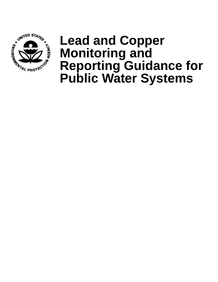

# **Lead and Copper Monitoring and Reporting Guidance for Public Water Systems**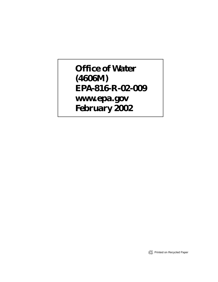## **Office of Water (4606M) EPA-816-R-02-009 www.epa.gov February 2002**

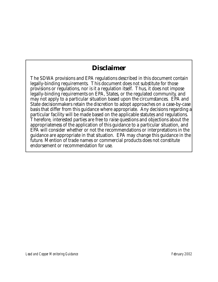### **Disclaimer**

The SDWA provisions and EPA regulations described in this document contain legally-binding requirements. This document does not substitute for those provisions or regulations, nor is it a regulation itself. Thus, it does not impose legally-binding requirements on EPA, States, or the regulated community, and may not apply to a particular situation based upon the circumstances. EPA and State decisionmakers retain the discretion to adopt approaches on a case-by-case basis that differ from this guidance where appropriate. Any decisions regarding a particular facility will be made based on the applicable statutes and regulations. Therefore, interested parties are free to raise questions and objections about the appropriateness of the application of this guidance to a particular situation, and EPA will consider whether or not the recommendations or interpretations in the guidance are appropriate in that situation. EPA may change this guidance in the future. Mention of trade names or commercial products does not constitute endorsement or recommendation for use.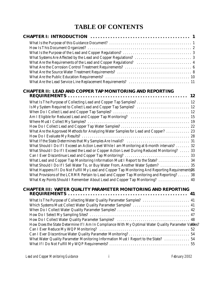### **TABLE OF CONTENTS**

| What Are the Requirements of the Lead and Copper Regulations?  4                                                                                                                             |
|----------------------------------------------------------------------------------------------------------------------------------------------------------------------------------------------|
|                                                                                                                                                                                              |
|                                                                                                                                                                                              |
|                                                                                                                                                                                              |
|                                                                                                                                                                                              |
| <b>CHAPTER II: LEAD AND COPPER TAP MONITORING AND REPORTING</b>                                                                                                                              |
|                                                                                                                                                                                              |
| What Is The Purpose of Collecting Lead and Copper Tap Samples?  12                                                                                                                           |
| Is My System Required to Collect Lead and Copper Tap Samples?  12                                                                                                                            |
|                                                                                                                                                                                              |
| Am I Eligible for Reduced Lead and Copper Tap Monitoring?  15                                                                                                                                |
|                                                                                                                                                                                              |
|                                                                                                                                                                                              |
| What Are the Approved Methods for Analyzing Water Samples for Lead and Copper?  23                                                                                                           |
|                                                                                                                                                                                              |
|                                                                                                                                                                                              |
| What Should I Do If I Exceed an Action Level While I am Monitoring at 6-month intervals?  32                                                                                                 |
| What Should I Do If I Exceed the Lead or Copper Action Level During Reduced Monitoring?  33                                                                                                  |
|                                                                                                                                                                                              |
| What Lead and Copper Tap Monitoring Information Must I Report to the State?  34                                                                                                              |
| What Should I Do If I Sell Water To, or Buy Water From, Another Water System?  35                                                                                                            |
| What Happens If I Do Not Fulfill My Lead and Copper Tap Monitoring And Reporting Requirements36<br>What Provisions of the LCRMR Pertain to Lead and Copper Tap Monitoring and Reporting?  38 |
| What Key Points Should I Remember About Lead and Copper Tap Monitoring?  40                                                                                                                  |
|                                                                                                                                                                                              |
| <b>CHAPTER III: WATER QUALITY PARAMETER MONITORING AND REPORTING</b>                                                                                                                         |
|                                                                                                                                                                                              |
| What Is The Purpose of Collecting Water Quality Parameter Samples?  41                                                                                                                       |
| Which Systems Must Collect Water Quality Parameter Samples?  41                                                                                                                              |
|                                                                                                                                                                                              |
|                                                                                                                                                                                              |
|                                                                                                                                                                                              |
| How Does the State Determine If I Am In Compliance With My Optimal Water Quality Parameter Values?                                                                                           |
|                                                                                                                                                                                              |
|                                                                                                                                                                                              |
| What Water Quality Parameter Monitoring Information Must I Report to the State?  54                                                                                                          |
|                                                                                                                                                                                              |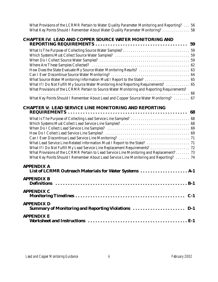| What Provisions of the LCRMR Pertain to Water Quality Parameter Monitoring and Reporting? 56<br>What Key Points Should I Remember About Water Quality Parameter Monitoring?  58    |  |
|------------------------------------------------------------------------------------------------------------------------------------------------------------------------------------|--|
| <b>CHAPTER IV: LEAD AND COPPER SOURCE WATER MONITORING AND</b>                                                                                                                     |  |
|                                                                                                                                                                                    |  |
|                                                                                                                                                                                    |  |
|                                                                                                                                                                                    |  |
|                                                                                                                                                                                    |  |
|                                                                                                                                                                                    |  |
| How Does the State Evaluate My Source Water Monitoring Results?  63                                                                                                                |  |
|                                                                                                                                                                                    |  |
| What Source Water Monitoring Information Must I Report to the State?  65                                                                                                           |  |
| What If I Do Not Fulfill My Source Water Monitoring And Reporting Requirements?  65<br>What Provisions of the LCRMR Pertain to Source Water Monitoring and Reporting Requirements? |  |
| What Key Points Should I Remember About Lead and Copper Source Water Monitoring?  67                                                                                               |  |
| <b>CHAPTER V: LEAD SERVICE LINE MONITORING AND REPORTING</b>                                                                                                                       |  |
|                                                                                                                                                                                    |  |
|                                                                                                                                                                                    |  |
|                                                                                                                                                                                    |  |
|                                                                                                                                                                                    |  |
|                                                                                                                                                                                    |  |
| What Lead Service Line-Related Information Must I Report to the State?  71                                                                                                         |  |
| What If I Do Not Fulfill My Lead Service Line Replacement Requirements?  72                                                                                                        |  |
| What Provisions of the LCRMR Pertain to Lead Service Line Monitoring and Replacement?  73                                                                                          |  |
| What Key Points Should I Remember About Lead Service Line Monitoring and Reporting?  74                                                                                            |  |
| <b>APPENDIX A</b><br>List of LCRMR Outreach Materials for Water Systems  A-1                                                                                                       |  |
| <b>APPENDIX B</b>                                                                                                                                                                  |  |
| <b>APPENDIX C</b>                                                                                                                                                                  |  |
| <b>APPENDIX D</b>                                                                                                                                                                  |  |
| Summary of Monitoring and Reporting Violations  D-1<br><b>APPENDIX E</b>                                                                                                           |  |
|                                                                                                                                                                                    |  |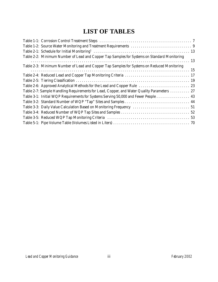### **LIST OF TABLES**

| Table 2-2: Minimum Number of Lead and Copper Tap Samples for Systems on Standard Monitoring |  |
|---------------------------------------------------------------------------------------------|--|
|                                                                                             |  |
| Table 2-3: Minimum Number of Lead and Copper Tap Samples for Systems on Reduced Monitoring  |  |
|                                                                                             |  |
|                                                                                             |  |
|                                                                                             |  |
| Table 2-6: Approved Analytical Methods for the Lead and Copper Rule  23                     |  |
| Table 2-7: Sample Handling Requirements for Lead, Copper, and Water Quality Parameters  27  |  |
| Table 3-1: Initial WQP Requirements for Systems Serving 50,000 and Fewer People  43         |  |
|                                                                                             |  |
| Table 3-3: Daily Value Calculation Based on Monitoring Frequency  51                        |  |
|                                                                                             |  |
|                                                                                             |  |
|                                                                                             |  |
|                                                                                             |  |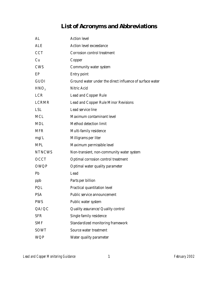### **List of Acronyms and Abbreviations**

| AL               | <b>Action level</b>                                      |
|------------------|----------------------------------------------------------|
| <b>ALE</b>       | <b>Action level exceedance</b>                           |
| <b>CCT</b>       | <b>Corrosion control treatment</b>                       |
| Cu               | Copper                                                   |
| <b>CWS</b>       | <b>Community water system</b>                            |
| EP               | <b>Entry point</b>                                       |
| <b>GUDI</b>      | Ground water under the direct influence of surface water |
| HNO <sub>3</sub> | <b>Nitric Acid</b>                                       |
| LCR              | <b>Lead and Copper Rule</b>                              |
| <b>LCRMR</b>     | <b>Lead and Copper Rule Minor Revisions</b>              |
| <b>LSL</b>       | Lead service line                                        |
| <b>MCL</b>       | <b>Maximum contaminant level</b>                         |
| <b>MDL</b>       | <b>Method detection limit</b>                            |
| <b>MFR</b>       | <b>Multi-family residence</b>                            |
| mg/L             | Milligrams per liter                                     |
| <b>MPL</b>       | Maximum permissible level                                |
| <b>NTNCWS</b>    | Non-transient, non-community water system                |
| <b>OCCT</b>      | <b>Optimal corrosion control treatment</b>               |
| <b>OWQP</b>      | <b>Optimal water quality parameter</b>                   |
| Pb               | Lead                                                     |
| ppb              | Parts per billion                                        |
| PQL              | <b>Practical quantitation level</b>                      |
| <b>PSA</b>       | <b>Public service announcement</b>                       |
| <b>PWS</b>       | Public water system                                      |
| QA/QC            | Quality assurance/Quality control                        |
| <b>SFR</b>       | Single family residence                                  |
| <b>SMF</b>       | <b>Standardized monitoring framework</b>                 |
| <b>SOWT</b>      | Source water treatment                                   |
| <b>WQP</b>       | Water quality parameter                                  |
|                  |                                                          |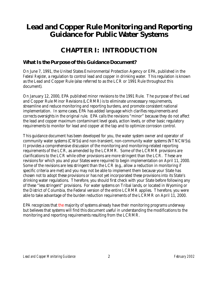### **Lead and Copper Rule Monitoring and Reporting Guidance for Public Water Systems**

### **CHAPTER I: INTRODUCTION**

#### *What Is the Purpose of this Guidance Document?*

On June 7, 1991, the United States Environmental Protection Agency or EPA, published in the *Federal Register*, a regulation to control lead and copper in drinking water. This regulation is known as the Lead and Copper Rule (also referred to as the LCR or 1991 Rule throughout this document).

On January 12, 2000, EPA published minor revisions to the 1991 Rule. The purpose of the Lead and Copper Rule Minor Revisions (LCRMR) is to eliminate unnecessary requirements, streamline and reduce monitoring and reporting burdens, and promote consistent national implementation. In some cases, EPA has added language which clarifies requirements and corrects oversights in the original rule. EPA calls the revisions "minor" because they do not affect the lead and copper maximum contaminant level goals, action levels, or other basic regulatory requirements to monitor for lead and copper at the tap and to optimize corrosion control.

This guidance document has been developed for you, the water system owner and operator of community water systems (CWSs) and non-transient, non-community water systems (NTNCWSs). It provides a comprehensive discussion of the monitoring and monitoring-related reporting requirements of the LCR, as amended by the LCRMR. Some of the LCRMR provisions are clarifications to the LCR while other provisions are more stringent than the LCR. These are revisions for which you and your States were required to begin implementation on April 11, 2000. Some of the revisions are less stringent than the LCR (e.g., allow a reduction in monitoring if specific criteria are met) and you may not be able to implement them because your State has chosen not to adopt these provisions or has not yet incorporated these provisions into its State's drinking water regulations. Therefore, you should first check with your State before following any of these "less stringent" provisions. For water systems on Tribal lands, or located in Wyoming or the District of Columbia, the Federal version of the entire LCRMR applies. Therefore, you were able to take advantage of the burden reduction requirements of the LCRMR on April 11, 2000.

EPA recognizes that the majority of systems already have their monitoring programs underway but believes that systems will find this document useful in understanding the modifications to the monitoring and reporting requirements resulting from the LCRMR.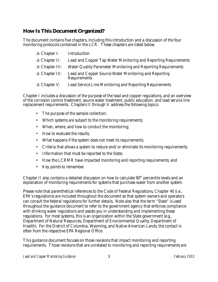#### *How Is This Document Organized?*

The document contains five chapters, including this introduction and a discussion of the four monitoring protocols contained in the LCR. These chapters are listed below.

| $\star$ Chapter I:        | <b>Introduction</b>                                                                 |
|---------------------------|-------------------------------------------------------------------------------------|
| $\mathcal{R}$ Chapter II: | Lead and Copper Tap Water Monitoring and Reporting Requirements                     |
| $\star$ Chapter III:      | <b>Water Quality Parameter Monitoring and Reporting Requirements</b>                |
| $\star$ Chapter IV:       | <b>Lead and Copper Source Water Monitoring and Reporting</b><br><b>Requirements</b> |
| $\star$ Chapter V:        | <b>Lead Service Line Monitoring and Reporting Requirements</b>                      |

Chapter I includes a discussion of the purpose of the lead and copper regulations, and an overview of the corrosion control treatment, source water treatment, public education, and lead service line replacement requirements. Chapters II through V address the following topics:

- The purpose of the sample collection;
- Which systems are subject to the monitoring requirements;
- When, where, and how to conduct the monitoring;
- How to evaluate the results;
- What happens if the system does not meet its requirements;
- Criteria that allows a system to reduce and/or eliminate its monitoring requirements;
- Information that must be reported to the State;
- How the LCRMR have impacted monitoring and reporting requirements; and
- Key points to remember.

Chapter II also contains a detailed discussion on how to calculate  $90<sup>th</sup>$  percentile levels and an explanation of monitoring requirements for systems that purchase water from another system.

Please note that parenthetical references to the Code of Federal Regulations, Chapter 40 (i.e., EPA's regulations) are included throughout the document so that system owners and operators can consult the federal regulations for further details. Note also that the term "State" is used throughout the guidance document to refer to the government agency that enforces compliance with drinking water regulations and assists you in understanding and implementing these regulations. For most systems, this is an organization within the State government (e.g., Department of Natural Resources, Department of Environmental Quality, Department of Health). For the District of Columbia, Wyoming, and Native American Lands, the contact is often from the respective EPA Regional Office.

This guidance document focuses on those revisions that impact monitoring and reporting requirements. Those revisions that are unrelated to monitoring and reporting requirements are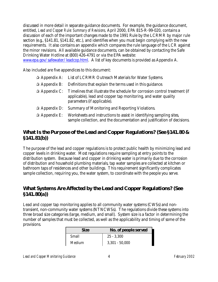discussed in more detail in separate guidance documents. For example, the guidance document, entitled, *Lead and Copper Rule: Summary of Revisions,* April 2000, EPA 815-R-99-020, contains a discussion of each of the important changes made to the 1991 Rule by the LCRMR by major rule section (e.g., §141.81, §141.82, etc.), and identifies when you must begin complying with the new requirements. It also contains an appendix which compares the rule language of the LCR against the minor revisions. All available guidance documents, can be obtained by contacting the Safe Drinking Water Hotline at (800) 426-4791 or via the EPA website:

www.epa.gov/safewater/leadcop.html. A list of key documents is provided as Appendix A.

Also included are five appendices to this document:

|                       | $\triangle$ Appendix A: List of LCRMR Outreach Materials for Water Systems.                                                                                                                                |
|-----------------------|------------------------------------------------------------------------------------------------------------------------------------------------------------------------------------------------------------|
|                       | $\Rightarrow$ Appendix B: Definitions that explain the terms used in this guidance.                                                                                                                        |
|                       | $\hat{\mathbf{x}}$ Appendix C: Timelines that illustrate the schedule for corrosion control treatment (if<br>applicable), lead and copper tap monitoring, and water quality<br>parameters (if applicable). |
| $\lambda$ Appendix D: | <b>Summary of Monitoring and Reporting Violations.</b>                                                                                                                                                     |
| $\lambda$ Appendix E: | Worksheets and instructions to assist in identifying sampling sites,<br>sample collection, and the documentation and justification of decisions.                                                           |

#### *What Is the Purpose of the Lead and Copper Regulations? (See §141.80 & §141.81(b))*

The purpose of the lead and copper regulations is to protect public health by minimizing lead and copper levels in drinking water. Most regulations require sampling at entry points to the distribution system. Because lead and copper in drinking water is primarily due to the corrosion of distribution and household plumbing materials, tap water samples are collected at kitchen or bathroom taps of residences and other buildings. This requirement significantly complicates sample collection, requiring you, the water system, to coordinate with the people you serve.

#### *What Systems Are Affected by the Lead and Copper Regulations? (See §141.80(a))*

Lead and copper tap monitoring applies to all community water systems (CWSs) and nontransient, non-community water systems (NTNCWSs). The regulations divide these systems into three broad size categories (large, medium, and small). System size is a factor in determining the number of samples that must be collected, as well as the applicability and timing of some of the provisions.

| Size   | <b>No. of people served</b> |  |
|--------|-----------------------------|--|
| Small  | $25 - 3,300$                |  |
| Medium | $3,301 - 50,000$            |  |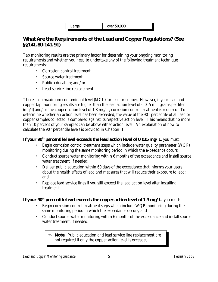Large over 50,000

#### *What Are the Requirements of the Lead and Copper Regulations? (See §§141.80-141.91)*

Tap monitoring results are the primary factor for determining your ongoing monitoring requirements and whether you need to undertake any of the following treatment technique requirements:

- Corrosion control treatment;
- Source water treatment;
- Public education; and/or
- Lead service line replacement.

There is no maximum contaminant level (MCL) for lead or copper. However, if your lead and copper tap monitoring results are higher than the lead action level of 0.015 milligrams per liter (mg/l) and/or the copper action level of 1.3 mg/L, corrosion control treatment is required. To determine whether an action level has been exceeded, the value at the 90<sup>th</sup> percentile of all lead or copper samples collected is compared against its respective action level. This means that no more than 10 percent of your samples can be above either action level. An explanation of how to calculate the 90<sup>th</sup> percentile levels is provided in Chapter II.

#### *If your 90<sup>th</sup> percentile level exceeds the lead action level of 0.015 mg/L, you must:*

- Begin corrosion control treatment steps which include water quality parameter (WQP) monitoring during the same monitoring period in which the exceedance occurs;
- Conduct source water monitoring within 6 months of the exceedance and install source water treatment, if needed;
- Deliver public education within 60 days of the exceedance that informs your users about the health effects of lead and measures that will reduce their exposure to lead; and
- Replace lead service lines if you still exceed the lead action level after installing treatment.

#### *If your 90<sup>th</sup> percentile level exceeds the copper action level of 1.3 mg/L, you must:*

- Begin corrosion control treatment steps which include WQP monitoring during the same monitoring period in which the exceedance occurs; and
- Conduct source water monitoring within 6 months of the exceedance and install source water treatment, if needed.

O **Note:** Public education and lead service line replacement are not required if only the copper action level is exceeded.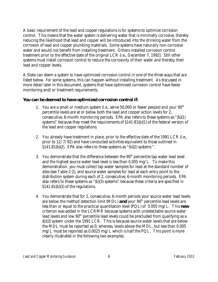A basic requirement of the lead and copper regulations is for systems to optimize corrosion control. This means that the water system is delivering water that is minimally corrosive, thereby reducing the likelihood that lead and copper will be introduced into the drinking water from the corrosion of lead and copper plumbing materials. Some systems have naturally non-corrosive water and would not benefit from installing treatment. Others installed corrosion control treatment prior to the effective date of the original LCR (i.e., December 7, 1992). Still other systems must install corrosion control to reduce the corrosivity of their water and thereby, their lead and copper levels.

A State can deem a system to have optimized corrosion control in one of the three ways that are listed below. For some systems, this can happen without installing treatment. As discussed in more detail later in this document, systems that have optimized corrosion control have fewer monitoring and/or treatment requirements.

#### *You can be deemed to have optimized corrosion control if:*

- 1. You are a small or medium system (i.e., serve  $50,000$  or fewer people) and your  $90<sup>th</sup>$ percentile levels are at or below both the lead and copper action levels for 2, consecutive, 6-month monitoring periods. EPA also refers to these systems as "(b)(1) systems" because they meet the requirements of §141.81(b)(1) of the federal version of the lead and copper regulations.
- 2. You already have treatment in place, prior to the effective date of the 1991 LCR (i.e., prior to 12/7/92) and have conducted activities equivalent to those outlined in  $$141.81(b)(2)$ . EPA also refers to these systems as "(b)(2) systems".
- 3. You demonstrate that the difference between the  $90<sup>th</sup>$  percentile tap water lead level and the highest source water lead level is less than 0.005 mg/L. To make this demonstration, you must collect tap water samples for lead at the standard number of sites (see Table 2-2), and source water samples for lead at each entry point to the distribution system during each of 2, consecutive, 6-month monitoring periods. EPA also refers to these systems as "(b)(3) systems" because these criteria are specified in §141.81(b)(3) of the regulations.
- 4. You demonstrate that for 2, consecutive, 6-month periods your source water lead levels are below the method detection limit (MDL) **and** your 90<sup>th</sup> percentile lead levels are less than or equal to the practical quantitation level (PQL) of 0.005 mg/L. This *new* criterion was added in the LCRMR because systems with undetectable source water lead levels and low 90<sup>th</sup> percentile lead levels could be precluded from qualifying as a (b)(3) system under the 1991 LCR. This is because source water levels that are below the MDL must be reported as 0; whereas, levels above the MDL, but less than 0.005  $mg/L$  must be reported as 0.0025 mg/L which is half the PQL. This point is more clearly illustrated in the following two examples.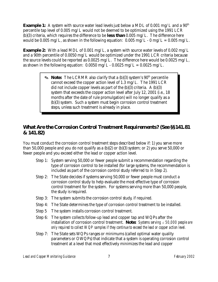**Example 1:** A system with source water lead levels just below a MDL of 0.001 mg/L and a 90<sup>th</sup> percentile tap level of 0.005 mg/L would not be deemed to be optimized using the 1991 LCR (b)(3) criteria, which requires the difference to be *less than* 0.005 mg/L. The difference here would be 0.005 mg/L, as shown in the following equation:  $0.005$  mg/L -  $0 \text{ mg/L} = 0.005$  mg/L.

**Example 2:** With a lead MDL of 0.001 mg/L, a system with source water levels of 0.002 mg/L and a 90th percentile of 0.0050 mg/L would be optimized under the 1991 LCR criteria because the source levels could be reported as 0.0025 mg/L. The difference here would be 0.0025 mg/L, as shown in the following equation:  $0.0050$  mg/L -  $0.0025$  mg/L =  $0.0025$  mg/L.

> **Note:** The LCRMR also clarify that a (b)(3) system's 90<sup>th</sup> percentile cannot exceed the copper action level of 1.3 mg/L. The 1991 LCR did not include copper levels as part of the  $(b)(3)$  criteria. A  $(b)(3)$ system that exceeds the copper action level after July 12, 2001 (i.e., 18 months after the date of rule promulgation) will no longer qualify as a (b)(3) system. Such a system must begin corrosion control treatment steps, unless such treatment is already in place.

#### *What Are the Corrosion Control Treatment Requirements? (See §§141.81 & 141.82)*

You must conduct the corrosion control treatment steps described below if: 1) you serve more than 50,000 people and you do not qualify as a (b)(2) or (b)(3) system; or 2) you serve 50,000 or fewer people and you exceed either the lead or copper action level.

- Step 1: System serving 50,000 or fewer people submit a recommendation regarding the type of corrosion control to be installed (for large systems, the recommendation is included as part of the corrosion control study referred to in Step 2).
- Step 2: The State decides if systems serving 50,000 or fewer people must conduct a corrosion control study to help evaluate the most effective type of corrosion control treatment for the system. For systems serving more than 50,000 people, the study is required.
- Step 3: The system submits the corrosion control study, if required.
- Step 4: The State determines the type of corrosion control treatment to be installed.
- Step 5 The system installs corrosion control treatment.
- Step 6: The system collects follow-up lead and copper tap and WQPs after the installation of corrosion control treatment. *Note: Systems serving*  $\leq 50,000$  people are *only required to collect WQP samples if they continue to exceed the lead or copper action level.*
- Step 7: The State sets WQPs ranges or minimums (called optimal water quality parameters or OWQPs) that indicate that a system is operating corrosion control treatment at a level that most effectively minimizes the lead and copper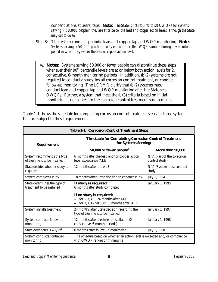concentrations at users' taps. *Note: The State is not required to set OWQPs for systems*  $serving  $50,000$  people if they are at or below the lead and copper action levels, although the State$ *may opt to do so.*

- Step 8: The system conducts periodic lead and copper tap and WQP monitoring. *Note: Systems serving*  $\leq 50,000$  *people are only required to collect WQP samples during any monitoring period in which they exceed the lead or copper action level.*
	- O **Notes:** Systems serving 50,000 or fewer people can discontinue these steps whenever their  $90<sup>th</sup>$  percentile levels are at or below both action levels for 2, consecutive, 6-month monitoring periods. In addition, (b)(2) systems are not required to conduct a study, install corrosion control treatment, or conduct follow-up monitoring. The LCRMR clarify that (b)(2) systems must conduct lead and copper tap and WQP monitoring after the State sets OWQPs. Further, a system that meet the (b)(3) criteria based on initial monitoring is not subject to the corrosion control treatment requirements.

| <b>Table 1-1: Corrosion Control Treatment Steps</b>        |                                                                                                             |                                                |  |
|------------------------------------------------------------|-------------------------------------------------------------------------------------------------------------|------------------------------------------------|--|
| <b>Requirement</b>                                         | <b>Timetable for Completing Corrosion Control Treatment</b><br>for Systems Serving:                         |                                                |  |
|                                                            | 50,000 or fewer people <sup>2</sup>                                                                         | More than 50,000                               |  |
| System recommends the type<br>of treatment to be installed | 6 months after the lead and/or copper action<br>level exceedance (ALE)                                      | $N/A$ (Part of the corrosion<br>control study) |  |
| State decides whether study is<br>required                 | 12 months after the ALE                                                                                     | N/A (System must conduct<br>study)             |  |
| System completes study                                     | 18 months after State decision to conduct study                                                             | July 1, 1994                                   |  |
| State determines the type of<br>treatment to be installed  | If study is required:<br>6 months after study completed<br>If no study is required:                         | <b>January 1, 1995</b>                         |  |
|                                                            | for $\leq$ 3,300: 24 months after ALE<br>for 3,301 - 50,000: 18 months after ALE                            |                                                |  |
| <b>System installs treatment</b>                           | 24 months after State decision regarding the<br>type of treatment to be installed                           | <b>January 1, 1997</b>                         |  |
| <b>System conducts follow-up</b><br>monitoring             | 12 months after treatment installation (2)<br>consecutive, 6-month periods)                                 | <b>January 1, 1998</b>                         |  |
| State designates OWQPs <sup>1</sup>                        | 6 months after follow-up monitoring                                                                         | July 1, 1998                                   |  |
| System conducts continued<br>monitoring                    | The schedule based on whether an action level is exceeded and/or compliance<br>with OWQP ranges or minimums |                                                |  |

Table 1-1 shows the schedule for completing corrosion control treatment steps for those systems that are subject to these requirements.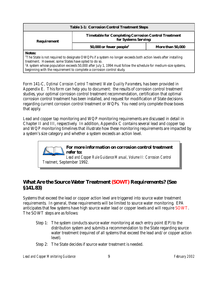| <b>Table 1-1: Corrosion Control Treatment Steps</b>                                                                                                                                                                                                                                                                                                                                                     |                                                         |  |  |
|---------------------------------------------------------------------------------------------------------------------------------------------------------------------------------------------------------------------------------------------------------------------------------------------------------------------------------------------------------------------------------------------------------|---------------------------------------------------------|--|--|
| <b>Timetable for Completing Corrosion Control Treatment</b><br>for Systems Serving:<br><b>Requirement</b>                                                                                                                                                                                                                                                                                               |                                                         |  |  |
|                                                                                                                                                                                                                                                                                                                                                                                                         | 50,000 or fewer people <sup>2</sup><br>More than 50,000 |  |  |
| <b>Notes:</b><br><sup>1</sup> The State is not required to designate OWQPs if a system no longer exceeds both action levels after installing<br>treatment. However, some States have opted to do so.<br>${}^{2}$ A system whose population exceeds 50,000 after July 1, 1994 must follow the schedule for medium-size systems,<br>beginning with the requirement to complete a corrosion control study. |                                                         |  |  |

Form 141-C, *Optimal Corrosion Control Treatment/Water Quality Parameter*s, has been provided in Appendix E. This form can help you to document: the results of corrosion control treatment studies, your optimal corrosion control treatment recommendation, certification that optimal corrosion control treatment has been installed, and request for modification of State decisions regarding current corrosion control treatment or WQPs. You need only complete those boxes that apply.

Lead and copper tap monitoring and WQP monitoring requirements are discussed in detail in Chapter II and III, respectively. In addition, Appendix C contains several lead and copper tap and WQP monitoring timelines that illustrate how these monitoring requirements are impacted by a system's size category and whether a system exceeds an action level.



*Lead and Copper Rule Guidance Manual, Volume II: Corrosion Control Treatment*, September 1992.

#### *What Are the Source Water Treatment (SOWT) Requirements? (See §141.83)*

Systems that exceed the lead or copper action level are triggered into source water treatment requirements. In general, these requirements will be limited to source water monitoring. EPA anticipates that few systems have high source water lead or copper levels and will require SOWT. The SOWT steps are as follows:

- Step 1: The system conducts source water monitoring at each entry point (EP) to the distribution system and submits a recommendation to the State regarding source water treatment (required of all systems that exceed the lead and/or copper action level).
- Step 2: The State decides if source water treatment is needed.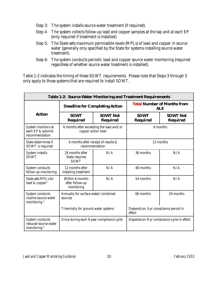- Step 3: The system installs source water treatment (if required).
- Step 4 The system collects follow-up lead and copper samples at the tap and at each EP (only required if treatment is installed).
- Step 5: The State sets maximum permissible levels (MPLs) of lead and copper in source water (generally only specified by the State for systems installing source water treatment).
- Step 6: The system conducts periodic lead and copper source water monitoring (required regardless of whether source water treatment is installed).

Table 1-2 indicates the timing of these SOWT requirements. Please note that Steps 3 through 5 only apply to those systems that are required to install SOWT.

| <b>Table 1-2: Source Water Monitoring and Treatment Requirements</b>      |                                                                             |                                    |                                                  |                                    |
|---------------------------------------------------------------------------|-----------------------------------------------------------------------------|------------------------------------|--------------------------------------------------|------------------------------------|
|                                                                           | <b>Deadline for Completing Action</b>                                       |                                    | <b>Total Number of Months from</b><br><b>ALE</b> |                                    |
| <b>Action</b>                                                             | <b>SOWT</b><br><b>Required</b>                                              | <b>SOWT Not</b><br><b>Required</b> | <b>SOWT</b><br><b>Required</b>                   | <b>SOWT Not</b><br><b>Required</b> |
| System monitors at<br>each EP & submits<br>recommendation                 | 6 months<br>6 months after exceeding the lead and/or<br>copper action level |                                    |                                                  |                                    |
| <b>State determines if</b><br><b>SOWT</b> is required                     | 6 months after receipt of results &<br>recommendation                       |                                    | 12 months                                        |                                    |
| <b>System installs</b><br><b>SOWT</b>                                     | 24 months after<br><b>State requires</b><br><b>SOWT</b>                     | N/A                                | 36 months                                        | N/A                                |
| <b>System conducts</b><br>follow-up monitoring                            | 12 months after<br>installing treatment                                     | N/A                                | 48 months                                        | N/A                                |
| <b>State sets MPLs for</b><br>lead & copper <sup>1</sup>                  | Within 6 months<br>after follow-up<br>monitoring                            | N/A                                | 54 months                                        | N/A                                |
| <b>System conducts</b><br>routine source water<br>monitoring <sup>2</sup> | Annually for surface water/combined<br>sources                              |                                    | 66 months                                        | 24 months                          |
|                                                                           | Triennially for ground water systems                                        |                                    | Depends on 3-yr compliance period in<br>effect   |                                    |
| <b>System conducts</b><br>reduced source water<br>monitoring <sup>3</sup> | Once during each 9-year compliance cycle                                    |                                    | Depends on 9-yr compliance cycle in effect       |                                    |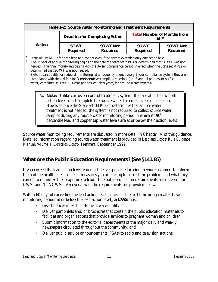| <b>Table 1-2: Source Water Monitoring and Treatment Requirements</b>                                                                                                                                                                                                                                                                                                                                                                                                                                                                                                                                                                                                                                    |                                                                                                                                              |  |                                                  |  |
|---------------------------------------------------------------------------------------------------------------------------------------------------------------------------------------------------------------------------------------------------------------------------------------------------------------------------------------------------------------------------------------------------------------------------------------------------------------------------------------------------------------------------------------------------------------------------------------------------------------------------------------------------------------------------------------------------------|----------------------------------------------------------------------------------------------------------------------------------------------|--|--------------------------------------------------|--|
|                                                                                                                                                                                                                                                                                                                                                                                                                                                                                                                                                                                                                                                                                                         | <b>Deadline for Completing Action</b>                                                                                                        |  | <b>Total Number of Months from</b><br><b>ALE</b> |  |
| <b>Action</b>                                                                                                                                                                                                                                                                                                                                                                                                                                                                                                                                                                                                                                                                                           | <b>SOWT</b><br><b>SOWT Not</b><br><b>SOWT Not</b><br><b>SOWT</b><br><b>Required</b><br><b>Required</b><br><b>Required</b><br><b>Required</b> |  |                                                  |  |
| State will set MPLs for both lead and copper even if the system exceeded only one action level.<br>The 1 <sup>st</sup> year of annual monitoring begins on the date the State set MPLs or determined that SOWT was not<br>needed. Triennial monitoring begins with the 3-year compliance period in effect when the State set MPLs or<br>determined that SOWT was not needed.<br>Systems can qualify for reduced monitoring, at a frequency of once every 9-year compliance cycle, if they are in<br>compliance with their MPLs for 3 <i>consecutive</i> compliance periods (i.e., 3 annual periods for surface<br>water/combined sources; 3, 3-year periods (equals 9 years) for ground water systems). |                                                                                                                                              |  |                                                  |  |
| <b> IF Note:</b> Unlike corrosion control treatment, systems that are at or below both<br>action levels must complete the source water treatment steps once begun.<br>However, once the State sets MPLs or determines that source water<br>treatment is not needed, the system is not required to collect source water<br>samples during any source water monitoring period in which its 90 <sup>th</sup>                                                                                                                                                                                                                                                                                               |                                                                                                                                              |  |                                                  |  |

percentile lead and copper tap water levels are at or below their action levels.

Source water monitoring requirements are discussed in more detail in Chapter IV of this guidance. Detailed information regarding source water treatment is provided in *Lead and Copper Rule Guidance Manual, Volume II: Corrosion Control Treatment*, September 1992.

#### *What Are the Public Education Requirements? (See §141.85)*

If you exceed the lead action level, you must deliver public education to your customers to inform them of the health effects of lead, measures you are taking to correct the problem, and what they can do to minimize their exposure to lead. The public education requirements are different for CWSs and NTNCWSs. An overview of the requirements are provided below.

Within 60 days of exceeding the lead action level (either for the first time or again after having monitoring periods at or below the lead action level), **a CWS** must:

- Insert notices in each customer's water utility bill;
- Deliver pamphlets and/or brochures that contain the public education materials to facilities and organizations that provide services to pregnant women and children;
- Submit information to the editorial departments of the major daily and weekly newspapers circulated throughout the community; and
- Deliver public service announcements (PSAs) to radio and television stations.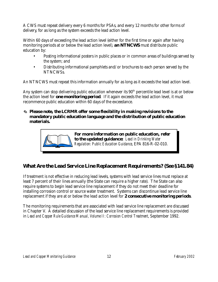A CWS must repeat delivery every 6 months for PSAs, and every 12 months for other forms of delivery, for as long as the system exceeds the lead action level.

Within 60 days of exceeding the lead action level (either for the first time or again after having monitoring periods at or below the lead action level), **an NTNCWS** must distribute public education by:

- Posting informational posters in public places or in common areas of buildings served by the system; and
- Distributing informational pamphlets and/or brochures to each person served by the NTNCWSs.

An NTNCWS must repeat this information annually for as long as it exceeds the lead action level.

Any system can stop delivering public education whenever its  $90<sup>th</sup>$  percentile lead level is at or below the action level for *one monitoring period*. If it again exceeds the lead action level, it must recommence public education within 60 days of the exceedance.

#### O *Please note, the LCRMR offer some flexibility in making revisions to the mandatory public education language and the distribution of public education materials.*



### *What Are the Lead Service Line Replacement Requirements? (See §141.84)*

If treatment is not effective in reducing lead levels, systems with lead service lines must replace at least 7 percent of their lines annually (the State can require a higher rate). The State can also require systems to begin lead service line replacement if they do not meet their deadline for installing corrosion control or source water treatment. Systems can discontinue lead service line replacement if they are at or below the lead action level for *2 consecutive monitoring periods*.

The monitoring requirements that are associated with lead service line replacement are discussed in Chapter V. A detailed discussion of the lead service line replacement requirements is provided in *Lead and Copper Rule Guidance Manual, Volume II: Corrosion Control Treatment*, September 1992.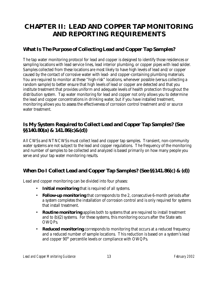### **CHAPTER II: LEAD AND COPPER TAP MONITORING AND REPORTING REQUIREMENTS**

#### *What Is The Purpose of Collecting Lead and Copper Tap Samples?*

The tap water monitoring protocol for lead and copper is designed to identify those residences or sampling locations with lead service lines, lead interior plumbing, or copper pipes with lead solder. Samples collected from these locations are most likely to have high levels of lead and/or copper caused by the contact of corrosive water with lead- and copper-containing plumbing materials. You are required to monitor at these "high-risk" locations, whenever possible (versus collecting a random sample) to better ensure that high levels of lead or copper are detected and that you institute treatment that provides uniform and adequate levels of health protection throughout the distribution system. Tap water monitoring for lead and copper not only allows you to determine the lead and copper concentrations in drinking water, but if you have installed treatment, monitoring allows you to assess the effectiveness of corrosion control treatment and/or source water treatment.

#### *Is My System Required to Collect Lead and Copper Tap Samples? (See §§140.80(a) & 141.86(c)&(d))*

All CWSs and NTNCWSs must collect lead and copper tap samples. Transient, non-community water systems are not subject to the lead and copper regulations. The frequency of the monitoring and number of samples to be collected and analyzed is based primarily on how many people you serve and your tap water monitoring results.

#### *When Do I Collect Lead and Copper Tap Samples? (See §§141.86(c) & (d))*

Lead and copper monitoring can be divided into four phases:

- **Initial monitoring** that is required of all systems.
- **Follow-up monitoring** that corresponds to the 2, consecutive 6-month periods after a system completes the installation of corrosion control and is only required for systems that install treatment.
- **Routine monitoring** applies both to systems that are required to install treatment and to (b)(2) systems. For these systems, this monitoring occurs after the State sets OWQPs.
- **Reduced monitoring** corresponds to monitoring that occurs at a reduced frequency and a reduced number of sample locations. This reduction is based on a system's lead and copper 90<sup>th</sup> percentile levels or compliance with OWQPs.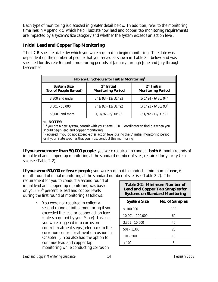Each type of monitoring is discussed in greater detail below. In addition, refer to the monitoring timelines in Appendix  $\overline{C}$  which help illustrate how lead and copper tap monitoring requirements are impacted by a system's size category and whether the system exceeds an action level.

#### **Initial Lead and Copper Tap Monitoring**

The LCR specifies dates by which you were required to begin monitoring. The date was dependent on the number of people that you served as shown in Table 2-1 below, and was specified for discrete 6-month monitoring periods of January through June and July through December.

| Table 2-1: Schedule for Initial Monitoring <sup>1</sup>                                                                                                                                                                                                                                                                                                      |                                                     |                                           |  |
|--------------------------------------------------------------------------------------------------------------------------------------------------------------------------------------------------------------------------------------------------------------------------------------------------------------------------------------------------------------|-----------------------------------------------------|-------------------------------------------|--|
| <b>System Size</b><br>(No. of People Served)                                                                                                                                                                                                                                                                                                                 | 1 <sup>st</sup> Initial<br><b>Monitoring Period</b> | $2nd$ Initial<br><b>Monitoring Period</b> |  |
| 3,300 and under                                                                                                                                                                                                                                                                                                                                              | $7/1/93 - 12/31/93$                                 | $1/1/94 - 6/30/94^2$                      |  |
| $3,301 - 50,000$                                                                                                                                                                                                                                                                                                                                             | $7/1/92 - 12/31/92$                                 | $1/1/93 - 6/30/93^2$                      |  |
| 50,001 and more                                                                                                                                                                                                                                                                                                                                              | $1/1/92 - 6/30/92$                                  | $7/1/92 - 12/31/92$                       |  |
| <b>NOTES:</b><br><sup>1</sup> If you are a new system, consult with your State LCR Coordinator to find out when you<br>should begin lead and copper monitoring.<br><sup>2</sup> Required if you do not exceed either action level during the 1 <sup>st</sup> initial monitoring period,<br>or if your State specifies that you must conduct this monitoring. |                                                     |                                           |  |

*If you serve more than 50,000 people*, you were required to conduct **both** 6-month rounds of initial lead and copper tap monitoring at the standard number of sites, required for your system size (see Table 2-2).

*If you serve 50,000 or fewer people*, you were required to conduct a minimum of **one**, 6 month round of initial monitoring at the standard number of sites (see Table 2-2). The

requirement for you to conduct a second round of initial lead and copper tap monitoring was based on your 90th percentile lead and copper levels during the first round of monitoring as follows:

> • You were not required to collect a second round of initial monitoring if you exceeded the lead or copper action level (unless required by your State). Instead, you were triggered into corrosion control treatment steps (refer back to the corrosion control treatment discussion in Chapter I). You also had the option to continue lead and copper tap monitoring while conducting corrosion

| Table 2-2: Minimum Number of<br><b>Lead and Copper Tap Samples for</b><br><b>Systems on Standard Monitoring</b> |     |  |
|-----------------------------------------------------------------------------------------------------------------|-----|--|
| <b>System Size</b><br><b>No. of Samples</b>                                                                     |     |  |
| >100.000                                                                                                        | 100 |  |
| $10,001 - 100,000$                                                                                              | 60  |  |
| $3,301 - 10,000$                                                                                                | 40  |  |
| $501 - 3,300$                                                                                                   | 20  |  |
| $101 - 500$                                                                                                     | 10  |  |
| < 100                                                                                                           | 5   |  |

*Lead and Copper Monitoring Guidance* 14 *February 2002*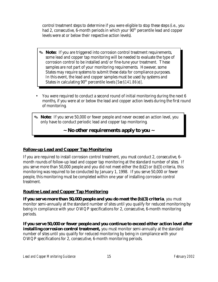control treatment steps to determine if you were eligible to stop these steps (i.e., you had 2, consecutive, 6-month periods in which your  $90<sup>th</sup>$  percentile lead and copper levels were at or below their respective action levels).

- O **Note:** If you are triggered into corrosion control treatment requirements, some lead and copper tap monitoring will be needed to evaluate the type of corrosion control to be installed and/or fine-tune your treatment. These samples are not part of your monitoring requirements. However, some States may require systems to submit these data for compliance purposes. In this event, the lead and copper samples must be used by systems and States in calculating 90<sup>th</sup> percentile levels *[See §141.86(e)]*.
- You were required to conduct a second round of initial monitoring during the next 6 months, if you were at or below the lead and copper action levels during the first round of monitoring.
- O **Note:** If you serve 50,000 or fewer people and never exceed an action level, you only have to conduct periodic lead and copper tap monitoring.

**~** *No other requirements apply to you* **~**

#### **Follow-up Lead and Copper Tap Monitoring**

If you are required to install corrosion control treatment, you must conduct 2, consecutive, 6 month rounds of follow-up lead and copper tap monitoring at the standard number of sites. If you serve more than 50,000 people and you did not meet either the (b)(2) or (b)(3) criteria, this monitoring was required to be conducted by January 1, 1998. If you serve 50,000 or fewer people, this monitoring must be completed within one year of installing corrosion control treatment.

#### **Routine Lead and Copper Tap Monitoring**

*If you serve more than 50,000 people and you do meet the (b)(3) criteria*, you must monitor semi-annually at the standard number of sites until you qualify for reduced monitoring by being in compliance with your OWQP specifications for 2, consecutive, 6-month monitoring periods.

*If you serve 50,000 or fewer people and you continue to exceed either action level after installing corrosion control treatment*, you must monitor semi-annually at the standard number of sites until you qualify for reduced monitoring by being in compliance with your OWQP specifications for 2, consecutive, 6-month monitoring periods.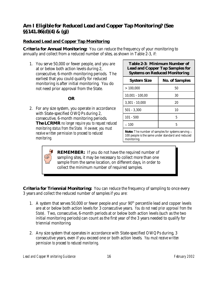#### *Am I Eligible for Reduced Lead and Copper Tap Monitoring? (See §§141.86(d)(4) & (g))*

#### **Reduced Lead and Copper Tap Monitoring**

**Criteria for Annual Monitoring:** You can reduce the frequency of your monitoring to annually and collect from a reduced number of sites, as shown in Table 2-3, if:

 1. You serve 50,000 or fewer people, and you are at or below both action levels during 2, consecutive, 6-month monitoring periods. The earliest that you could qualify for reduced monitoring is after initial monitoring. You do not need prior approval from the State.

#### *OR*

2. For any size system, you operate in accordance with State-specified OWQPs during 2, consecutive, 6-month monitoring periods. *The LCRMR no longer require you to request reduced monitoring status from the State. However, you must receive written permission to proceed to reduced monitoring.*

| <b>Table 2-3: Minimum Number of</b>    |
|----------------------------------------|
| <b>Lead and Copper Tap Samples for</b> |
| <b>Systems on Reduced Monitoring</b>   |

| <b>System Size</b> | <b>No. of Samples</b> |
|--------------------|-----------------------|
| >100,000           | 50                    |
| $10,001 - 100,00$  | 30                    |
| $3,301 - 10,000$   | 20                    |
| $501 - 3,300$      | 10                    |
| $101 - 500$        | 5                     |
| $\leq 100$         | 5                     |
|                    |                       |

**Note:** The number of samples for systems serving  $\leq$ 100 people is the same under standard and reduced monitoring.

**REMEMBER:** If you do not have the required number of sampling sites, it may be necessary to collect more than one sample from the same location, on different days, in order to collect the minimum number of required samples.

**Criteria for Triennial Monitoring:** You can reduce the frequency of sampling to once every 3 years and collect the reduced number of samples if you are:

- 1. A system that serves 50,000 or fewer people and your  $90<sup>th</sup>$  percentile lead and copper levels are at or below both action levels for 3 consecutive years. *You do not need prior approval from the State)*. Two, consecutive, 6-month periods at or below both action levels (such as the two initial monitoring periods) can count as the first year of the 3 years needed to qualify for triennial monitoring.
- 2. Any size system that operates in accordance with State-specified OWQPs during, 3 consecutive years, even if you exceed one or both action levels. *You must receive written permission to proceed to reduced monitoring*.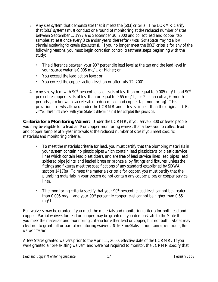- 3. Any size system that demonstrates that it meets the (b)(3) criteria. The LCRMR clarify that (b)(3) systems must conduct one round of monitoring at the reduced number of sites between September 1, 1997 and September 30, 2000 and collect lead and copper tap samples at least once every 3 calendar years, thereafter *(Note: Some States may not allow triennial monitoring for certain size systems)*. If you no longer meet the (b)(3) criteria for any of the following reasons, you must begin corrosion control treatment steps, beginning with the study:
	- The difference between your  $90<sup>th</sup>$  percentile lead level at the tap and the lead level in your source water is 0.005 mg/L or higher; or
	- You exceed the lead action level; or
	- You exceed the copper action level on or after July 12, 2001.
- 4. Any size system with  $90<sup>th</sup>$  percentile lead levels of less than or equal to 0.005 mg/L and  $90<sup>th</sup>$ percentile copper levels of less than or equal to 0.65 mg/L, for 2, consecutive, 6-month periods (also known as accelerated reduced lead and copper tap monitoring). This provision is newly allowed under the LCRMR and is less stringent than the original LCR. T *You must first check with your State to determine if it has adopted this provision.*

**Criteria for a Monitoring Waiver:** Under the LCRMR, if you serve 3,300 or fewer people, you may be eligible for a lead and/or copper monitoring waiver, that allows you to collect lead and copper samples at 9-year intervals at the reduced number of sites if you meet specific materials and monitoring criteria.

- To meet the materials criteria for lead, you must certify that the plumbing materials in your system contain no plastic pipes which contain lead plasticizers, or plastic service lines which contain lead plasticizers, and are free of lead service lines, lead pipes, lead soldered pipe joints, and leaded brass or bronze alloy fittings and fixtures, unless the fittings and fixtures meet the specifications of any standard established by SDWA section 1417(e). To meet the materials criteria for copper, you must certify that the plumbing materials in your system do not contain any copper pipes or copper service lines.
- The monitoring criteria specify that your  $90<sup>th</sup>$  percentile lead level cannot be greater than 0.005 mg/L and your  $90<sup>th</sup>$  percentile copper level cannot be higher than 0.65 mg/L.

Full waivers may be granted if you meet the materials and monitoring criteria for both lead and copper. Partial waivers for lead or copper may be granted if you demonstrate to the State that you meet the materials and monitoring criteria for either lead or copper, but not both. States may elect not to grant full or partial monitoring waivers. *Note: Some States are not planning on adopting this waiver provision.* 

A few States granted waivers prior to the April 11, 2000, effective date of the LCRMR. If you were granted a "pre-existing waiver" and were not required to monitor, the LCRMR specify that

*Lead and Copper Monitoring Guidance* 17 *February 2002*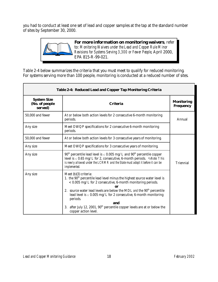you had to conduct at least one set of lead and copper samples at the tap at the standard number of sites by September 30, 2000.



Table 2-4 below summarizes the criteria that you must meet to qualify for reduced monitoring. For systems serving more than 100 people, monitoring is conducted at a reduced number of sites.

| Table 2-4: Reduced Lead and Copper Tap Monitoring Criteria |                                                                                                                                                                                                                                                                                                                                                                                                                                                                                   |                  |  |
|------------------------------------------------------------|-----------------------------------------------------------------------------------------------------------------------------------------------------------------------------------------------------------------------------------------------------------------------------------------------------------------------------------------------------------------------------------------------------------------------------------------------------------------------------------|------------------|--|
| <b>System Size</b><br>(No. of people<br>served)            | <b>Monitoring</b><br><b>Criteria</b><br><b>Frequency</b>                                                                                                                                                                                                                                                                                                                                                                                                                          |                  |  |
| 50,000 and fewer                                           | At or below both action levels for 2 consecutive 6-month monitoring<br>periods.                                                                                                                                                                                                                                                                                                                                                                                                   | Annual           |  |
| Any size                                                   | Meet OWQP specifications for 2 consecutive 6-month monitoring<br>periods.                                                                                                                                                                                                                                                                                                                                                                                                         |                  |  |
| 50,000 and fewer                                           | At or below both action levels for 3 consecutive years of monitoring.                                                                                                                                                                                                                                                                                                                                                                                                             |                  |  |
| Any size                                                   | Meet OWQP specifications for 3 consecutive years of monitoring.                                                                                                                                                                                                                                                                                                                                                                                                                   |                  |  |
| Any size                                                   | $90th$ percentile lead level is $\leq 0.005$ mg/L and $90th$ percentile copper<br>level is $\leq 0.65$ mg/L for 2, consecutive, 6-month periods. $\mathcal{D}$ Note: This<br>is newly allowed under the LCRMR and the State must adopt it before it can be<br>implemented.                                                                                                                                                                                                        | <b>Triennial</b> |  |
| Any size                                                   | Meet (b)(3) criteria:<br>1. the 90 <sup>th</sup> percentile lead level minus the highest source water level is<br>$<$ 0.005 mg/L for 2 consecutive, 6-month monitoring periods.<br>2. source water lead levels are below the MDL and the 90 <sup>th</sup> percentile<br>lead level is $\leq 0.005$ mg/L for 2 consecutive, 6-month monitoring<br>periods.<br><b>and</b><br>after July 12, 2001, $90th$ percentile copper levels are at or below the<br>3.<br>copper action level. |                  |  |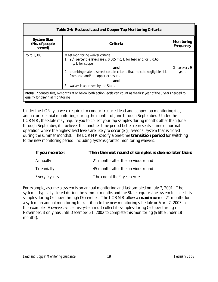| <b>Table 2-4: Reduced Lead and Copper Tap Monitoring Criteria</b>                                                                                      |                                                                                                                                                                                                                                                                                                                                              |                                       |  |
|--------------------------------------------------------------------------------------------------------------------------------------------------------|----------------------------------------------------------------------------------------------------------------------------------------------------------------------------------------------------------------------------------------------------------------------------------------------------------------------------------------------|---------------------------------------|--|
| <b>System Size</b><br>(No. of people<br>served)                                                                                                        | <b>Criteria</b>                                                                                                                                                                                                                                                                                                                              | <b>Monitoring</b><br><b>Frequency</b> |  |
| 25 to 3,300                                                                                                                                            | Meet monitoring waiver criteria:<br>1. 90 <sup>th</sup> percentile levels are $\leq$ 0.005 mg/L for lead and/or $\leq$ 0.65<br>$mg/L$ for copper.<br><b>and</b><br>plumbing materials meet certain criteria that indicate negligible risk<br>2.<br>from lead and/or copper exposure.<br><b>and</b><br>waiver is approved by the State.<br>3. | Once every 9<br>years                 |  |
| Note: 2 consecutive, 6-months at or below both action levels can count as the first year of the 3 years needed to<br>qualify for triennial monitoring. |                                                                                                                                                                                                                                                                                                                                              |                                       |  |

Under the LCR, you were required to conduct reduced lead and copper tap monitoring (i.e., annual or triennial monitoring) during the months of June through September. Under the LCRMR, the State may require you to collect your tap samples during months other than June through September, if it believes that another time period better represents a time of normal operation where the highest lead levels are likely to occur (e.g., seasonal system that is closed during the summer months). The LCRMR specify a one-time *transition period* for switching to the new monitoring period, including systems granted monitoring waivers.

| <b>If you monitor:</b> | Then the next round of samples is due no later than: |
|------------------------|------------------------------------------------------|
| <b>Annually</b>        | 21 months after the previous round                   |
| <b>Triennially</b>     | 45 months after the previous round                   |
| Every 9 years          | The end of the 9-year cycle                          |

For example, assume a system is on annual monitoring and last sampled on July 7, 2001. The system is typically closed during the summer months and the State requires the system to collect its samples during October through December. The LCRMR allow a *maximum* of 21 months for a system on annual monitoring to transition to the new monitoring schedule or April 7, 2003 in this example. However, since this system must collect its samples during October through November, it only has until December 31, 2002 to complete this monitoring (a little under 18 months).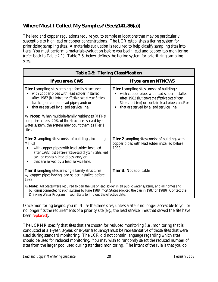#### *Where Must I Collect My Samples? (See §141.86(a))*

The lead and copper regulations require you to sample at locations that may be particularly susceptible to high lead or copper concentrations. The LCR establishes a tiering system for prioritizing sampling sites. A materials evaluation is required to help classify sampling sites into tiers. You must perform a materials evaluation before you begin lead and copper tap monitoring (refer back to Table 2-1). Table 2-5, below, defines the tiering system for prioritizing sampling sites.

| <b>Table 2-5: Tiering Classification</b>                                                                                                                                                                                                                                                           |                                                                                                                                                                                                                                                       |  |
|----------------------------------------------------------------------------------------------------------------------------------------------------------------------------------------------------------------------------------------------------------------------------------------------------|-------------------------------------------------------------------------------------------------------------------------------------------------------------------------------------------------------------------------------------------------------|--|
| <b>If you are a CWS</b>                                                                                                                                                                                                                                                                            | <b>If you are an NTNCWS</b>                                                                                                                                                                                                                           |  |
| <b>Tier I</b> sampling sites are single family structures:<br>with copper pipes with lead solder installed<br>after 1982 (but before the effective date of your State's<br>lead ban) or contain lead pipes; and/or<br>that are served by a lead service line.                                      | <b>Tier I</b> sampling sites consist of buildings:<br>with copper pipes with lead solder installed<br>after 1982 (but before the effective date of your<br>State's lead ban) or contain lead pipes; and/or<br>that are served by a lead service line. |  |
| Sote: When multiple-family residences (MFRs)<br>comprise at least 20% of the structures served by a<br>water system, the system may count them as Tier 1<br>sites.                                                                                                                                 |                                                                                                                                                                                                                                                       |  |
| <b>Tier 2</b> sampling sites consist of buildings, including<br><b>MFRs:</b><br>with copper pipes with lead solder installed<br>after 1982 (but before effective date of your State's lead<br>ban) or contain lead pipes; and/or<br>that are served by a lead service line.<br>п                   | <b>Tier 2</b> sampling sites consist of buildings with<br>copper pipes with lead solder installed before<br>1983.                                                                                                                                     |  |
| <b>Tier 3 sampling sites are single family structures</b><br>w/ copper pipes having lead solder installed before<br>1983.                                                                                                                                                                          | <b>Tier 3:</b> Not applicable.                                                                                                                                                                                                                        |  |
| Note: All States were required to ban the use of lead solder in all public water systems, and all homes and<br>buildings connected to such systems by June 1988 (most States adopted the ban in 1987 or 1988). Contact the<br>Drinking Water Program in your State to find out the effective date. |                                                                                                                                                                                                                                                       |  |

Once monitoring begins, you must use the same sites, unless a site is no longer accessible to you or no longer fits the requirements of a priority site (e.g., the lead service lines that served the site have been replaced).

The LCRMR specify that sites that are chosen for reduced monitoring (i.e., monitoring that is conducted at a 1-year, 3-year, or 9-year frequency) must be representative of those sites that were used during standard monitoring. The LCR did not contain language regarding which sites should be used for reduced monitoring. You may wish to randomly select the reduced number of sites from the larger pool used during standard monitoring. The intent of the rule is that you do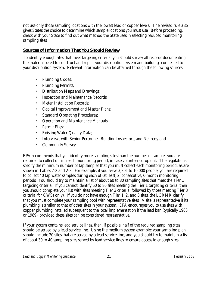not use only those sampling locations with the lowest lead or copper levels. The revised rule also gives States the choice to determine which sample locations you must use. Before proceeding, check with your State to find out what method the State uses in selecting reduced monitoring sampling sites.

#### **Sources of Information That You Should Review**

To identify enough sites that meet targeting criteria, you should survey all records documenting the materials used to construct and repair your distribution system and buildings connected to your distribution system. Relevant information can be attained through the following sources:

- Plumbing Codes;
- Plumbing Permits:
- Distribution Maps and Drawings;
- Inspection and Maintenance Records;
- Meter Installation Records;
- Capital Improvement and Master Plans;
- Standard Operating Procedures;
- Operation and Maintenance Manuals;
- Permit Files;
- Existing Water Quality Data;
- Interviews with Senior Personnel, Building Inspectors, and Retirees; and
- Community Survey.

EPA recommends that you identify more sampling sites than the number of samples you are required to collect during each monitoring period, in case volunteers drop out. The regulations specify the minimum number of tap samples that you must collect each monitoring period, as are shown in Tables 2-2 and 2-3. For example, if you serve 3,301 to 10,000 people, you are required to collect 40 tap water samples during each of (at least) 2, consecutive, 6-month monitoring periods. You should try to maintain a list of about 60 to 80 sampling sites that meet the Tier 1 targeting criteria. If you cannot identify 60 to 80 sites meeting the Tier 1 targeting criteria, then you should complete your list with sites meeting Tier 2 criteria, followed by those meeting Tier 3 criteria (for CWSs only). If you do not have enough Tier 1, 2, and 3 sites, the LCRMR clarify that you must complete your sampling pool with representative sites. A site is representative if its plumbing is similar to that of other sites in your system. EPA encourages you to use sites with copper plumbing installed subsequent to the local implementation if the lead ban (typically 1988 or 1989), provided these sites can be considered representative.

If your system contains lead service lines, then, if possible, half of the required sampling sites should be served by a lead service line. Using the medium system example: your sampling plan should include 20 sites that are served by a lead service line, and you should try to maintain a list of about 30 to 40 sampling sites served by lead service lines to ensure access to enough sites.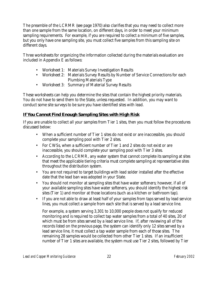The preamble of the LCRMR (see page 1970) also clarifies that you may need to collect more than one sample from the same location, on different days, in order to meet your minimum sampling requirements. For example, if you are required to collect a minimum of five samples, but you only have one sampling site, you must collect five samples from this sampling site on different days.

Three worksheets for organizing the information collected during the materials evaluation are included in Appendix E as follows:

- Worksheet 1: Materials Survey Investigation Results
- Worksheet 2: Materials Survey Results by Number of Service Connections for each Plumbing Materials Type
- Worksheet 3: Summary of Material Survey Results

These worksheets can help you determine the sites that contain the highest priority materials. You do not have to send them to the State, unless requested. In addition, you may want to conduct some site surveys to be sure you have identified sites with lead.

#### **If You Cannot Find Enough Sampling Sites with High Risk**

If you are unable to collect all your samples from Tier 1 sites, then you must follow the procedures discussed below:

- When a sufficient number of Tier 1 sites do not exist or are inaccessible, you should complete your sampling pool with Tier 2 sites.
- For CWSs, when a sufficient number of Tier 1 and 2 sites do not exist or are inaccessible, you should complete your sampling pool with Tier 3 sites.
- According to the LCRMR, any water system that cannot complete its sampling at sites that meet the applicable tiering criteria must complete sampling at representative sites throughout the distribution system.
- You are not required to target buildings with lead solder installed after the effective date that the lead ban was adopted in your State.
- You should not monitor at sampling sites that have water softeners; however, if all of your available sampling sites have water softeners, you should identify the highest risk sites (Tier 1) and monitor at those locations (such as a kitchen or bathroom tap).
- If you are not able to draw at least half of your samples from taps served by lead service lines, you must collect a sample from each site that is served by a lead service line.

For example, a system serving 3,301 to 10,000 people does not qualify for reduced monitoring and is required to collect tap water samples from a total of 40 sites, 20 of which must be from sites served by a lead service line. If, after reviewing all of the records listed on the previous page, the system can identify only 12 sites served by a lead service line, it must collect a tap water sample from each of those sites. The remaining 28 samples would be collected from other Tier 1 sites. If an insufficient number of Tier 1 sites are available, the system must use Tier 2 sites, followed by Tier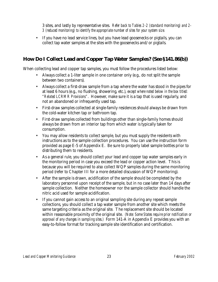3 sites, and lastly by representative sites. *Refer back to Tables 2-2 (standard monitoring) and 2- 3 (reduced monitoring) to identify the appropriate number of sites for your system size.*

• If you have no lead service lines, but you have lead goosenecks or pigtails, you can collect tap water samples at the sites with the goosenecks and/or pigtails.

#### *How Do I Collect Lead and Copper Tap Water Samples? (See §141.86(b))*

When collecting lead and copper tap samples, you must follow the procedures listed below:

- Always collect a 1-liter sample in one container only (e.g., do not split the sample between two containers).
- Always collect a first-draw sample from a tap where the water has stood in the pipes for at least 6 hours (e.g., no flushing, showering, etc.), *except where noted below in the box titled: "Related LCRMR Provisions"*. However, make sure it is a tap that is used regularly, and not an abandoned or infrequently used tap.
- First-draw samples collected at single-family residences should always be drawn from the cold-water kitchen tap or bathroom tap.
- First-draw samples collected from buildings other than single-family homes should always be drawn from an interior tap from which water is typically taken for consumption.
- You may allow residents to collect sample, but you must supply the residents with instructions as to the sample collection procedures. You can use the instruction form provided as page E-5 of Appendix E. Be sure to properly label sample bottles prior to distributing them to residents.
- As a general rule, you should collect your lead and copper tap water samples early in the monitoring period in case you exceed the lead or copper action level. This is because you will be required to also collect WQP samples during the same monitoring period (refer to Chapter III for a more detailed discussion of WQP monitoring).
- After the sample is drawn, acidification of the sample should be completed by the laboratory personnel upon receipt of the sample, but in no case later than 14 days after sample collection. Neither the homeowner nor the sample collector should handle the nitric acid used for sample acidification.
- If you cannot gain access to an original sampling site during any repeat sample collections, you should collect a tap water sample from another site which meets the same targeting criteria as the original site. The replacement site should be located within reasonable proximity of the original site. *(Note: Some States require prior notification or approval of any changes in sampling sites.)* Form 141-A in Appendix E provides you with an easy-to-follow format for tracking sample site identification and certification.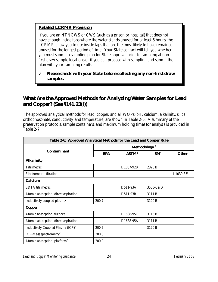#### **Related LCRMR Provision**

If you are an NTNCWS or CWS (such as a prison or hospital) that does not have enough inside taps where the water stands unused for at least 6 hours, the LCRMR allow you to use inside taps that are the most likely to have remained unused for the longest period of time. Your State contact will tell you whether you must submit a sampling plan for State approval prior to sampling at nonfirst-draw sample locations or if you can proceed with sampling and submit the plan with your sampling results.

#### T *Please check with your State before collecting any non-first draw samples.*

#### *What Are the Approved Methods for Analyzing Water Samples for Lead and Copper? (See §141.23(l))*

The approved analytical methods for lead, copper, and all WQPs (pH, calcium, alkalinity, silica, orthophosphate, conductivity, and temperature) are shown in Table 2-6. A summary of the preservation protocols, sample containers, and maximum holding times for analysis is provided in Table 2-7.

| Table 2-6: Approved Analytical Methods for the Lead and Copper Rule |            |                          |                 |              |  |
|---------------------------------------------------------------------|------------|--------------------------|-----------------|--------------|--|
|                                                                     |            | Methodology <sup>8</sup> |                 |              |  |
| <b>Contaminant</b>                                                  | <b>EPA</b> | <b>ASTM</b> <sup>3</sup> | SM <sup>4</sup> | <b>Other</b> |  |
| <b>Alkalinity</b>                                                   |            |                          |                 |              |  |
| <b>Titrimetric</b>                                                  |            | D1067-92B                | 2320 B          |              |  |
| <b>Electrometric titration</b>                                      |            |                          |                 | $I-1030-855$ |  |
| <b>Calcium</b>                                                      |            |                          |                 |              |  |
| <b>EDTA</b> titrimetric                                             |            | D511-93A                 | 3500-Ca D       |              |  |
| Atomic absorption; direct aspiration                                |            | D511-93B                 | 3111 B          |              |  |
| Inductively-coupled plasma <sup>2</sup>                             | 200.7      |                          | 3120 B          |              |  |
| <b>Copper</b>                                                       |            |                          |                 |              |  |
| Atomic absorption; furnace                                          |            | D1688-95C                | 3113 B          |              |  |
| Atomic absorption; direct aspiration                                |            | D1688-95A                | 3111 B          |              |  |
| <b>Inductively Coupled Plasma (ICP)<sup>2</sup></b>                 | 200.7      |                          | 3120 B          |              |  |
| ICP-Mass spectrometry <sup>2</sup>                                  | 200.8      |                          |                 |              |  |
| Atomic absorption; platform <sup>2</sup>                            | 200.9      |                          |                 |              |  |

*Lead and Copper Monitoring Guidance* 24 *February 2002*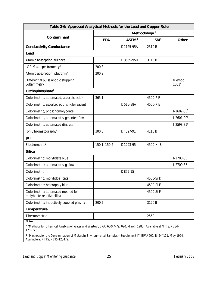| Table 2-6: Approved Analytical Methods for the Lead and Copper Rule                                                                                 |                          |                   |                 |                                    |
|-----------------------------------------------------------------------------------------------------------------------------------------------------|--------------------------|-------------------|-----------------|------------------------------------|
|                                                                                                                                                     | Methodology <sup>8</sup> |                   |                 |                                    |
| <b>Contaminant</b>                                                                                                                                  | <b>EPA</b>               | ASTM <sup>3</sup> | SM <sup>4</sup> | <b>Other</b>                       |
| <b>Conductivity Conductance</b>                                                                                                                     |                          | D1125-95A         | 2510 B          |                                    |
| <b>Lead</b>                                                                                                                                         |                          |                   |                 |                                    |
| Atomic absorption; furnace                                                                                                                          |                          | D3559-95D         | 3113 B          |                                    |
| ICP-Mass spectrometry <sup>2</sup>                                                                                                                  | 200.8                    |                   |                 |                                    |
| Atomic absorption; platform <sup>2</sup>                                                                                                            | 200.9                    |                   |                 |                                    |
| Differential pulse anodic stripping<br>voltammetry                                                                                                  |                          |                   |                 | <b>Method</b><br>1001 <sup>9</sup> |
| Orthophosphate <sup>7</sup>                                                                                                                         |                          |                   |                 |                                    |
| Colorimetric, automated, ascorbic acid <sup>6</sup>                                                                                                 | 365.1                    |                   | 4500-PF         |                                    |
| Colorimetric, ascorbic acid, single reagent                                                                                                         |                          | D515-88A          | 4500-PE         |                                    |
| Colorimetric, phosphomolybdate                                                                                                                      |                          |                   |                 | I-1602-85 $5$                      |
| Colorimetric, automated-segmented flow                                                                                                              |                          |                   |                 | $I-2601-905$                       |
| Colorimetric, automated discrete                                                                                                                    |                          |                   |                 | I-2598-85 $5$                      |
| Ion Chromatography <sup>6</sup>                                                                                                                     | 300.0                    | D4327-91          | 4110 B          |                                    |
| $\boldsymbol{p}$ H                                                                                                                                  |                          |                   |                 |                                    |
| Electrometric <sup>1</sup>                                                                                                                          | 150.1, 150.2             | D1293-95          | 4500-H+B        |                                    |
| <b>Silica</b>                                                                                                                                       |                          |                   |                 |                                    |
| Colorimetric: molybdate blue                                                                                                                        |                          |                   |                 | $I-1700-85$                        |
| Colorimetric: automated-seg. flow                                                                                                                   |                          |                   |                 | I-2700-85                          |
| Colorimetric                                                                                                                                        |                          | D859-95           |                 |                                    |
| Colorimetric: molybdosilicate                                                                                                                       |                          |                   | 4500-Si D       |                                    |
| <b>Colorimetric: heteropoly blue</b>                                                                                                                |                          |                   | 4500-Si E       |                                    |
| Colorimetric: automated method for<br>molybdate-reactive silica                                                                                     |                          |                   | 4500-Si F       |                                    |
| Colorimetric: inductively-coupled plasma                                                                                                            | 200.7                    |                   | 3120 B          |                                    |
| <b>Temperature</b>                                                                                                                                  |                          |                   |                 |                                    |
| <b>Thermometric</b>                                                                                                                                 |                          |                   | 2550            |                                    |
| <b>Notes</b><br><sup>1</sup> "Methods for Chemical Analysis of Water and Wastes", EPA/600/4-79/020, March 1983. Available at NTIS, PB84-<br>128677. |                          |                   |                 |                                    |

**2** ''Methods for the Determination of Metals in Environmental Samples—Supplement I'', EPA/600/R-94/111, May 1994. Available at NTIS, PB95-125472.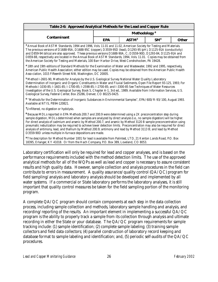| Table 2-6: Approved Analytical Methods for the Lead and Copper Rule                                                                                                                                                                                                                                                                                                                                                                                                                                                                                                                                                                                                                                                                                                                                                               |                          |                          |                 |              |
|-----------------------------------------------------------------------------------------------------------------------------------------------------------------------------------------------------------------------------------------------------------------------------------------------------------------------------------------------------------------------------------------------------------------------------------------------------------------------------------------------------------------------------------------------------------------------------------------------------------------------------------------------------------------------------------------------------------------------------------------------------------------------------------------------------------------------------------|--------------------------|--------------------------|-----------------|--------------|
|                                                                                                                                                                                                                                                                                                                                                                                                                                                                                                                                                                                                                                                                                                                                                                                                                                   | Methodology <sup>8</sup> |                          |                 |              |
| <b>Contaminant</b>                                                                                                                                                                                                                                                                                                                                                                                                                                                                                                                                                                                                                                                                                                                                                                                                                | <b>EPA</b>               | <b>ASTM</b> <sup>3</sup> | SM <sup>4</sup> | <b>Other</b> |
| <sup>3</sup> Annual Book of ASTM Standards, 1994 and 1996, Vols. 11.01 and 11.02, American Society for Testing and Materials.<br>The previous versions of D1688-95A, D1688-95C (copper), D3559-95D (lead), D1293-95 (pH), D1125-91A (conductivity)<br>and D859-94 (silica) are also approved. These previous versions D1688-90A, C; D3559-90D, D1293-84, D1125-91A and<br>D859-88, respectively are located in the Annual Book of ASTM Standards, 1994, Vols. 11.01. Copies may be obtained from<br>the American Society for Testing and Materials, 100 Barr Harbor Drive, West Conshohocken, PA 19428.                                                                                                                                                                                                                           |                          |                          |                 |              |
| <sup>4</sup> 18th and 19th editions of Standard Methods for the Examination of Water and Wastewater, 1992 and 1995, respectively,<br>American Public Health Association; either edition may be used. Copies may be obtained from the American Public Health<br>Asso-ciation, 1015 Fifteenth Street NW, Washington, DC 20005.                                                                                                                                                                                                                                                                                                                                                                                                                                                                                                      |                          |                          |                 |              |
| <sup>5</sup> Method I-2601-90, Methods for Analysis by the U.S. Geological Survey National Water Quality Laboratory<br>Determination of Inorganic and Organic Constituents in Water and Fluvial Sediments, Open File Report 93-125, 1993; For<br>Methods I-1030-85; I-1601-85; I-1700-85; I-2598-85; I-2700-85; and I-3300-85 See Techniques of Water Resources<br>Investigation of the U.S. Geological Survey, Book 5, Chapter A-1, 3rd ed., 1989; Available from Information Services, U.S.<br>Geological Survey, Federal Center, Box 25286, Denver, CO 80225-0425.                                                                                                                                                                                                                                                             |                          |                          |                 |              |
| <sup>6</sup> "Methods for the Determination of Inorganic Substances in Environmental Samples", EPA/600/R-93/100, August 1993.<br>Available at NTIS, PB94-120821.                                                                                                                                                                                                                                                                                                                                                                                                                                                                                                                                                                                                                                                                  |                          |                          |                 |              |
| <sup>7</sup> Unfiltered, no digestion or hydolysis.                                                                                                                                                                                                                                                                                                                                                                                                                                                                                                                                                                                                                                                                                                                                                                               |                          |                          |                 |              |
| <sup>8</sup> Because MDLs reported in EPA Methods 200.7 and 200.9 were determined using a 2X preconcentration step during<br>sample digestion, MDLs determined when samples are analyzed by direct analysis (i.e., no sample digestion) will be higher.<br>For direct analysis of cadmium and arsenic by Method 200.7, and arsenic by Method 3120 B sample preconcentration using<br>pneumatic nebulization may be required to achieve lower detection limits. Preconcentration may also be required for direct<br>analysis of antimony, lead, and thallium by Method 200.9; antimony and lead by Method 3113 B; and lead by Method<br>D3559-90D unless multiple in-furnace depositions are made.                                                                                                                                 |                          |                          |                 |              |
| <sup>9</sup> The description for Method Number 1001 for lead is available from Palintest, LTD, 21 Kenton Lands Road, P.O. Box<br>18395, Erlanger, KY 41018. Or from the Hach Company, P.O. Box 389, Loveland, CO 8053.                                                                                                                                                                                                                                                                                                                                                                                                                                                                                                                                                                                                            |                          |                          |                 |              |
| Laboratory certification will only be required for lead and copper analyses, and is based on the<br>performance requirements included with the method detection limits. The use of the approved<br>analytical methods for all of the WQPs as well as lead and copper is necessary to assure consistent<br>results and high quality data. However, sample collection and analysis procedures in the field can<br>contribute to errors in measurement. A quality assurance/quality control $(QA/QC)$ program for<br>field sampling/analysis and laboratory analysis should be developed and implemented by all<br>water systems. If a commercial or State laboratory performs the laboratory analyses, it is still<br>important that quality control measures be taken for the field sampling portion of the monitoring<br>program. |                          |                          |                 |              |

A complete QA/QC program should contain components at each step in the data collection process, including sample collection and methods, laboratory sample handling and analysis, and recording/reporting of the results. An important element in implementing a successful QA/QC program is the ability to properly track a sample from its collection through analysis and ultimate recording in either the State or your database. The QA/QC program requirements for sample tracking include: (1) sample identification; (2) complete sample labeling; (3) training sample collectors and field data collectors; (4) parallel construction of laboratory record keeping and database format to sample labeling and identification; and, (5) periodic self-audits of the QA/QC procedures.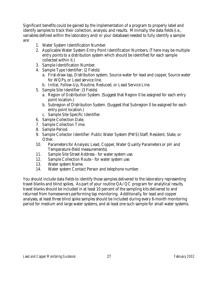Significant benefits could be gained by the implementation of a program to properly label and identify samples to track their collection, analysis, and results. Minimally, the data fields (i.e., variables defined within the laboratory and/or your database) needed to fully identify a sample are:

- 1. Water System Identification Number.
- 2. Applicable Water System Entry Point Identification Numbers. (There may be multiple entry points to a distribution system which should be identified for each sample collected within it.)
- 3. Sample Identification Number.
- 4. Sample Type Identifier: (2 Fields)
	- a. First-draw tap, Distribution system, Source water for lead and copper, Source water for WQPs, or Lead service line.
	- b. Initial, Follow-Up, Routine, Reduced, or Lead Service Line.
- 5. Sample Site Identifier: (3 Fields)
	- a. Region of Distribution System. (Suggest that Region 0 be assigned for each entry point location.)
	- b. Subregion of Distribution System. (Suggest that Subregion 0 be assigned for each entry point location.)
	- c. Sample Site Specific Identifier.
- 6. Sample Collection Date.
- 7. Sample Collection Time.
- 8. Sample Period.
- 9. Sample Collector Identifier: Public Water System (PWS) Staff, Resident, State, or Other.
- 10. Parameters for Analysis: Lead, Copper, Water Quality Parameters or pH and Temperature (field measurements).
- 11. Sample Site Street Address for water system use.
- 12. Sample Collection Route for water system use.
- 13. Water system Name.
- 14. Water system Contact Person and telephone number.

You should include data fields to identify those samples delivered to the laboratory representing travel blanks and blind spikes. As part of your routine QA/QC program for analytical results, travel blanks should be included in at least 10 percent of the sampling kits delivered to and returned from homeowners performing tap monitoring. Additionally, for lead and copper analyses, at least three blind spike samples should be included during every 6-month monitoring period for medium and large water systems, and at least one such sample for small water systems.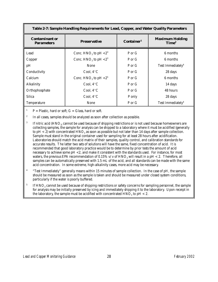| Table 2-7: Sample Handling Requirements for Lead, Copper, and Water Quality Parameters |                                               |        |                                             |
|----------------------------------------------------------------------------------------|-----------------------------------------------|--------|---------------------------------------------|
| <b>Contaminant or</b><br><b>Parameters</b>                                             | Container <sup>1</sup><br><b>Preservative</b> |        | <b>Maximum Holding</b><br>Time <sup>2</sup> |
| Lead                                                                                   | Conc. $HNO3$ to pH $< 23$                     | P or G | 6 months                                    |
| Copper                                                                                 | Conc. HNO <sub>3</sub> to pH $< 23$           | P or G | 6 months                                    |
| pH                                                                                     | <b>None</b>                                   | P or G | Test Immediately <sup>4</sup>               |
| Conductivity                                                                           | Cool, $4^{\circ}$ C                           | P or G | 28 days                                     |
| <b>Calcium</b>                                                                         | Conc. HNO <sub>3</sub> to pH $< 25$           | P or G | 6 months                                    |
| <b>Alkalinity</b>                                                                      | Cool, $4^{\circ}$ C                           | P or G | 14 days                                     |
| Orthophosphate                                                                         | Cool. $4^{\circ}$ C                           | P or G | 48 hours                                    |
| <b>Silica</b>                                                                          | Cool, $4^{\circ}$ C                           | P only | 28 days                                     |
| <b>Temperature</b>                                                                     | <b>None</b>                                   | P or G | Test Immediately <sup>4</sup>               |

 $P =$  Plastic, hard or soft;  $G =$  Glass, hard or soft.

<sup>2</sup> In all cases, samples should be analyzed as soon after collection as possible.

- <sup>3</sup> If nitric acid (HNO<sub>3)</sub> cannot be used because of shipping restrictions or is not used because homeowners are collecting samples, the sample for analysis can be shipped to a laboratory where it must be acidified (generally to pH  $<$  2) with concentrated HNO<sub>3</sub> as soon as possible but not later than 14 days after sample collection. Sample must stand in the original container used for sampling for at least 28 hours after acidification. Laboratories should match the acid matrix of their samples, quality control, and calibration standards for accurate results. The latter two sets of solutions will have the same, fixed concentration of acid. It is recommended that good laboratory practice would be to determine by prior tests the amount of acid necessary to achieve some pH <2, and make it consistent with the standards used. For instance, for most waters, the previous EPA recommendation of 0.15% v/v of  $HNO<sub>3</sub>$  will result in a pH < 2. Therefore, all samples can be automatically preserved with 1.5 mL of the acid, and all standards can be made with the same acid concentration. In some extreme, high-alkalinity cases, more acid may be necessary.
- <sup>4</sup> "Test Immediately" generally means within 15 minutes of sample collection. In the case of pH, the sample should be measured as soon as the sample is taken and should be measured under closed system conditions, particularly if the water is poorly buffered.
- $5$  If HNO<sub>3</sub> cannot be used because of shipping restrictions or safety concerns for sampling personnel, the sample for analysis may be initially preserved by icing and immediately shipping it to the laboratory. Upon receipt in the laboratory, the sample must be acidified with concentrated  $HNO<sub>3</sub>$  to pH < 2.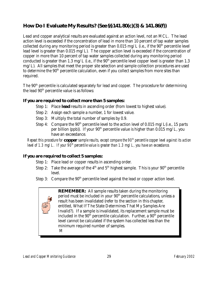#### *How Do I Evaluate My Results? (See §§141.80(c)(3) & 141.86(f))*

Lead and copper analytical results are evaluated against an action level, not an MCL. The lead action level is exceeded if the concentration of lead in more than 10 percent of tap water samples collected during any monitoring period is greater than 0.015 mg/L (i.e., if the  $90<sup>th</sup>$  percentile level lead level is greater than 0.015 mg/L). The copper action level is exceeded if the concentration of copper in more than 10 percent of tap water samples collected during any monitoring period conducted is greater than 1.3 mg/L (i.e., if the  $90<sup>th</sup>$  percentile level copper level is greater than 1.3 mg/L). All samples that meet the proper site selection and sample collection procedures are used to determine the  $90<sup>th</sup>$  percentile calculation, even if you collect samples from more sites than required.

The 90<sup>th</sup> percentile is calculated separately for lead and copper. The procedure for determining the lead  $90<sup>th</sup>$  percentile value is as follows:

#### **If you are required to collect more than 5 samples:**

- Step 1: Place *lead* results in ascending order (from lowest to highest value).
- Step 2: Assign each sample a number, 1 for lowest value.
- Step 3: Multiply the total number of samples by 0.9.
- Step 4: Compare the 90<sup>th</sup> percentile level to the action level of 0.015 mg/L(i.e., 15 parts per billion (ppb)). If your  $90<sup>th</sup>$  percentile value is higher than 0.015 mg/L, you have an exceedance.

*Repeat this procedure for <i>copper* sample results, except compare the 90<sup>th</sup> percentile copper level against its action *level of 1.3 mg/L. If your 90<sup>th</sup> percentile value is greater than 1.3 mg/L, you have an exceedance.* 

#### **If you are required to collect 5 samples:**

- Step 1: Place lead or copper results in ascending order.
- Step 2: Take the average of the  $4<sup>th</sup>$  and  $5<sup>th</sup>$  highest sample. This is your  $90<sup>th</sup>$  percentile level.
- Step 3: Compare the  $90<sup>th</sup>$  percentile level against the lead or copper action level.

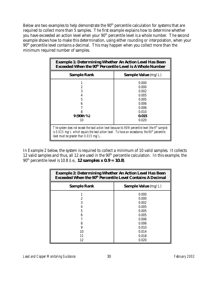Below are two examples to help demonstrate the 90<sup>th</sup> percentile calculation for systems that are required to collect more than 5 samples. The first example explains how to determine whether you have exceeded an action level when your 90<sup>th</sup> percentile level is a whole number. The second example shows how to make this determination, using either rounding or interpolation, when your 90<sup>th</sup> percentile level contains a decimal. This may happen when you collect more than the minimum required number of samples.

| <b>Example 1: Determining Whether An Action Level Has Been</b><br><b>Exceeded When the 90th Percentile Level is A Whole Number</b>                                                                                                                                 |                                                                               |  |  |
|--------------------------------------------------------------------------------------------------------------------------------------------------------------------------------------------------------------------------------------------------------------------|-------------------------------------------------------------------------------|--|--|
| <b>Sample Value</b> (mg/L)<br><b>Sample Rank</b>                                                                                                                                                                                                                   |                                                                               |  |  |
| 2<br>3<br>5<br>6<br>9 (90th %)                                                                                                                                                                                                                                     | 0.000<br>0.000<br>0.002<br>0.005<br>0.005<br>0.006<br>0.006<br>0.010<br>0.015 |  |  |
| 0.020<br>10<br>The system does not exceed the lead action level because its 90th percentile level (the $9th$ sample)<br>is 0.015 mg/L which equals the lead action level. To have an exceedance, the $90th$ percentile<br>level must be greater than $0.015$ mg/L. |                                                                               |  |  |

In Example 2 below, the system is required to collect a minimum of 10 valid samples. It collects 12 valid samples and thus, all 12 are used in the  $90<sup>th</sup>$  percentile calculation. In this example, the 90th percentile level is 10.8 (i.e., *12 samples x 0.9 = 10.8*).

| <b>Example 2: Determining Whether An Action Level Has Been</b><br><b>Exceeded When the 90th Percentile Level Contains A Decimal</b> |                                                                               |
|-------------------------------------------------------------------------------------------------------------------------------------|-------------------------------------------------------------------------------|
| <b>Sample Rank</b>                                                                                                                  | <b>Sample Value</b> $(mg/L)$                                                  |
| 2<br>3<br>5<br>6<br>8<br>9                                                                                                          | 0.000<br>0.000<br>0.002<br>0.005<br>0.005<br>0.005<br>0.006<br>0.006<br>0.010 |
| 10<br>11<br>12                                                                                                                      | 0.014<br>0.018<br>0.020                                                       |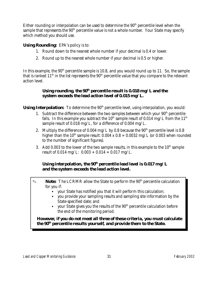Either rounding or interpolation can be used to determine the  $90<sup>th</sup>$  percentile level when the sample that represents the  $90<sup>th</sup>$  percentile value is not a whole number. Your State may specify which method you should use.

#### **Using Rounding:** EPA's policy is to:

- 1. Round down to the nearest whole number if your decimal is 0.4 or lower.
- 2. Round up to the nearest whole number if your decimal is 0.5 or higher.

In this example, the  $90<sup>th</sup>$  percentile sample is 10.8, and you would round up to 11. So, the sample that is ranked  $11<sup>th</sup>$  in the list represents the  $90<sup>th</sup>$  percentile value that you compare to the relevant action level.

#### Using rounding, the 90<sup>th</sup> percentile result is 0.018 mg/L and the *system exceeds the lead action level of 0.015 mg/L.*

**Using Interpolation:** To determine the 90<sup>th</sup> percentile level, using interpolation, you would:

- 1. Subtract the difference between the two samples between which your  $90<sup>th</sup>$  percentile falls. In this example you subtract the  $10^{th}$  sample result of 0.014 mg/L from the  $11^{th}$ sample result of 0.018 mg/L, for a difference of 0.004 mg/L.
- 2. Multiply the difference of 0.004 mg/L by 0.8 because the  $90<sup>th</sup>$  percentile level is 0.8 higher than the 10<sup>th</sup> sample result:  $0.004 \times 0.8 = 0.0032$  mg/L (or 0.003 when rounded to the number of significant figures).
- 3. Add 0.003 to the lower of the two sample results, in this example to the  $10<sup>th</sup>$  sample result of 0.014 mg/L:  $0.003 + 0.014 = 0.017$  mg/L.

#### *Using interpolation, the 90th percentile lead level is 0.017 mg/L and the system exceeds the lead action level.*

- **Note:** The LCRMR allow the State to perform the 90<sup>th</sup> percentile calculation for you if:
	- your State has notified you that it will perform this calculation;
	- you provide your sampling results and sampling site information by the State-specified date; and
	- vour State gives you the results of the  $90<sup>th</sup>$  percentile calculation before the end of the monitoring period.

*However, if you do not meet all three of these criteria, you must calculate the 90th percentile results yourself, and provide them to the State.*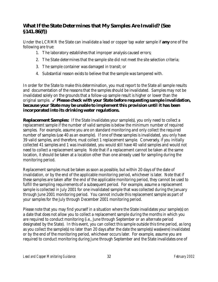### *What If the State Determines that My Samples Are Invalid? (See §141.86(f))*

Under the LCRMR the State can invalidate a lead or copper tap water sample if *any* one of the following are true:

- 1. The laboratory establishes that improper analysis caused errors;
- 2. The State determines that the sample site did not meet the site selection criteria;
- 3. The sample container was damaged in transit; or
- 4. Substantial reason exists to believe that the sample was tampered with.

In order for the State to make this determination, you must report to the State all sample results and documentation of the reasons that the samples should be invalidated. Samples may not be invalidated solely on the grounds that a follow-up sample result is higher or lower than the original sample. T *Please check with your State before requesting sample invalidation, because your State may be unable to implement this provision until it has been incorporated into its drinking water regulations.*

**Replacement Samples:** If the State invalidates your sample(s), you only need to collect a replacement sample if the number of valid samples is below the minimum number of required samples. For example, assume you are on standard monitoring and only collect the required number of samples (use 40 as an example). If one of these samples is invalidated, you only have 39 valid samples, and therefore, must collect 1 replacement sample. Conversely, if you initially collected 41 samples and 1 was invalidated, you would still have 40 valid samples and would not need to collect a replacement sample. Note that if a replacement cannot be taken at the same location, it should be taken at a location other than one already used for sampling during the monitoring period.

Replacement samples must be taken as soon as possible, but within 20 days of the date of invalidation, or by the end of the applicable monitoring period, whichever is later. Note that if these samples are taken after the end of the applicable monitoring period, they cannot be used to fulfill the sampling requirements of a subsequent period. For example, assume a replacement sample is collected in July 2001 for one invalidated sample that was collected during the January through June 2001 monitoring period. You cannot include this replacement sample as part of your samples for the July through December 2001 monitoring period.

Please note that you may find yourself in a situation where the State invalidates your sample(s) on a date that does not allow you to collect a replacement sample during the months in which you are required to conduct monitoring (i.e., June through September or an alternate period designated by the State). In this event, you can collect this sample outside this time period, as long as you collect the sample(s) no later than 20 days after the date the sample(s) was(were) invalidated or by the end of the monitoring period, whichever occurs later. For example, assume you are required to conduct monitoring during June through September and the State invalidates one of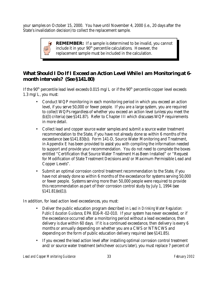your samples on October 15, 2000. You have until November 4, 2000 (i.e., 20 days after the State's invalidation decision) to collect the replacement sample.



### *What Should I Do If I Exceed an Action Level While I am Monitoring at 6 month intervals? (See §141.80)*

If the  $90<sup>th</sup>$  percentile lead level exceeds 0.015 mg/L or if the  $90<sup>th</sup>$  percentile copper level exceeds 1.3 mg/L, you must:

- Conduct WQP monitoring in each monitoring period in which you exceed an action level, if you serve 50,000 or fewer people. If you are a large system, you are required to collect WQPs regardless of whether you exceed an action level (unless you meet the (b)(3) criteria) (see §141.87). Refer to Chapter III which discusses WQP requirements in more detail.
- Collect lead and copper source water samples and submit a source water treatment recommendation to the State, if you have not already done so within 6 months of the exceedance (see §141.83(b)). Form 141-D, Source Water Monitoring and Treatment, in Appendix E has been provided to assist you with compiling the information needed to support and provide your recommendation. You do not need to complete the boxes entitled "Certification that Source Water Treatment Has Been Installed" or "Request for Modification of State Treatment Decisions and/or Maximum Permissible Lead and Copper Levels".
- Submit an optimal corrosion control treatment recommendation to the State, if you have not already done so within 6 months of the exceedance for systems serving 50,000 or fewer people. Systems serving more than 50,000 people were required to provide this recommendation as part of their corrosion control study by July 1, 1994 (see §141.81)(e)(1)).

In addition, for lead action level exceedances, you must:

- Deliver the public education program described in *Lead in Drinking Water Regulation: Public Education Guidance*, EPA 816-R-02-010. If your system has never exceeded, or if the exceedance occurred after a monitoring period without a lead exceedance, then delivery is due within 60 days. If it is a continued exceedance, then delivery is every 6 months or annually depending on whether you are a CWS or NTNCWS and depending on the form of public education delivery required (see §141.85).
- If you exceed the lead action level after installing optimal corrosion control treatment and/or source water treatment (whichever occurs later), you must replace 7 percent of

*Lead and Copper Monitoring Guidance* 33 *February 2002*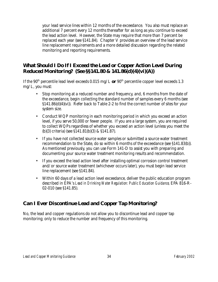your lead service lines within 12 months of the exceedance. You also must replace an additional 7 percent every 12 months thereafter for as long as you continue to exceed the lead action level. However, the State may require that more than 7 percent be replaced each year (see §141.84). Chapter V provides an overview of the lead service line replacement requirements and a more detailed discussion regarding the related monitoring and reporting requirements.

### *What Should I Do If I Exceed the Lead or Copper Action Level During Reduced Monitoring? (See §§141.80 & 141.86(d)(4)(vi)(A))*

If the 90<sup>th</sup> percentile lead level exceeds 0.015 mg/L  $or$  90<sup>th</sup> percentile copper level exceeds 1.3 mg/L, you must:

- Stop monitoring at a reduced number and frequency, and, 6 months from the date of the exceedance, begin collecting the standard number of samples every 6 months (see §141.86(d)(4)(vi)). Refer back to Table 2-2 to find the correct number of sites for your system size.
- Conduct WQP monitoring in each monitoring period in which you exceed an action level, if you serve 50,000 or fewer people. If you are a large system, you are required to collect WQPs regardless of whether you exceed an action level (unless you meet the (b)(3) criteria) (see §141.81(b)(3) & §141.87).
- If you have not collected source water samples or submitted a source water treatment recommendation to the State, do so within 6 months of the exceedance (see §141.83(b)). As mentioned previously, you can use Form 141-D to assist you with preparing and documenting your source water treatment monitoring results and recommendation.
- If you exceed the lead action level after installing optimal corrosion control treatment and/or source water treatment (whichever occurs later), you must begin lead service line replacement (see §141.84).
- Within 60 days of a lead action level exceedance, deliver the public education program described in EPA's *Lead in Drinking Water Regulation: Public Education Guidance,* EPA 816-R-02-010 (see §141.85).

# *Can I Ever Discontinue Lead and Copper Tap Monitoring?*

No, the lead and copper regulations do not allow you to discontinue lead and copper tap monitoring; only to reduce the number and frequency of this monitoring.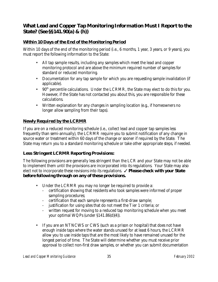## *What Lead and Copper Tap Monitoring Information Must I Report to the State? (See §§141.90(a) & (h))*

#### **Within 10 Days of the End of the Monitoring Period**

Within 10 days of the end of the monitoring period (i.e., 6 months, 1 year, 3 years, or 9 years), you must report the following information to the State:

- All tap sample results, including any samples which meet the lead and copper monitoring protocol and are above the minimum required number of samples for standard or reduced monitoring.
- Documentation for any tap sample for which you are requesting sample invalidation (if applicable).
- 90<sup>th</sup> percentile calculations. Under the LCRMR, the State may elect to do this for you. However, if the State has not contacted you about this, you are responsible for these calculations.
- Written explanation for any changes in sampling location (e.g., if homeowners no longer allow sampling from their taps).

#### **Newly Required by the LCRMR**

If you are on a reduced monitoring schedule (i.e., collect lead and copper tap samples less frequently than semi-annually), the LCRMR require you to submit notification of any change in source water or treatment within 60 days of the change or sooner if required by the State. The State may return you to a standard monitoring schedule or take other appropriate steps, if needed.

#### **Less Stringent LCRMR Reporting Provisions:**

The following provisions are generally less stringent than the LCR and your State may not be able to implement them until the provisions are incorporated into its regulations. Your State may also elect not to incorporate these revisions into its regulations.  $\checkmark$  **Please check with your State** *before following through on any of these provisions.*

- Under the LCRMR you may no longer be required to provide a:
	- certification showing that residents who took samples were informed of proper sampling procedures;
	- certification that each sample represents a first-draw sample;
	- justification for using sites that do not meet the Tier 1 criteria; or
	- written request for moving to a reduced tap monitoring schedule when you meet your optimal WQPs (under §141.86(d)(4)).
- If you are an NTNCWS or CWS (such as a prison or hospital) that does not have enough inside taps where the water stands unused for at least 6 hours, the LCRMR allow you to use inside taps that are the most likely to have remained unused for the longest period of time. The State will determine whether you must receive prior approval to collect non-first draw samples, or whether you can submit documentation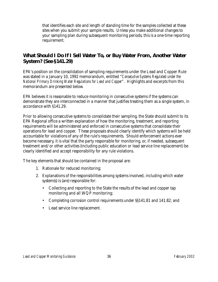that identifies each site and length of standing time for the samples collected at these sites when you submit your sample results. Unless you make additional changes to your sampling plan during subsequent monitoring periods, this is a one-time reporting requirement.

### *What Should I Do If I Sell Water To, or Buy Water From, Another Water System? (See §141.29)*

EPA's position on the consolidation of sampling requirements under the Lead and Copper Rule was stated in a January 10, 1992 memorandum, entitled "*Consecutive Systems Regulated under the National Primary Drinking Water Regulations for Lead and Copper*". Highlights and excerpts from this memorandum are presented below.

EPA believes it is reasonable to reduce monitoring in consecutive systems if the systems can demonstrate they are interconnected in a manner that justifies treating them as a single system, in accordance with §141.29.

Prior to allowing consecutive systems to consolidate their sampling, the State should submit to its EPA Regional office a written explanation of how the monitoring, treatment, and reporting requirements will be administered and enforced in consecutive systems that consolidate their operations for lead and copper. These proposals should clearly identify which systems will be held accountable for violations of any of the rule's requirements. Should enforcement actions ever become necessary, it is vital that the party responsible for monitoring, or, if needed, subsequent treatment and/or other activities (including public education or lead service line replacement) be clearly identified and accept responsibility for any rule violations.

The key elements that should be contained in the proposal are:

- 1. Rationale for reduced monitoring;
- 2. Explanations of the responsibilities among systems involved, including which water system(s) is (are) responsible for:
	- Collecting and reporting to the State the results of the lead and copper tap monitoring and all WQP monitoring;
	- Completing corrosion control requirements under  $\S$ \$141.81 and 141.82; and
	- Lead service line replacement.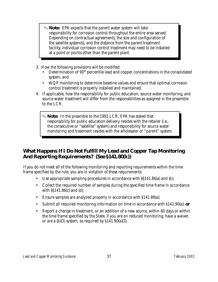- O **Note:** EPA expects that the parent water system will take responsibility for corrosion control throughout the entire area served. Depending on contractual agreements, the size and configuration of the satellite system(s), and the distance from the parent treatment facility, individual corrosion control treatment may need to be installed at a point or points other than the parent plant.
- 3. How the following provisions will be modified:
	- Determination of 90<sup>th</sup> percentile lead and copper concentrations in the consolidated system; and
	- WQP monitoring to determine baseline values and ensure that optimal corrosion control treatment is properly installed and maintained.
- 4. If applicable, how the responsibility for public education, source water monitoring, and source water treatment will differ from the responsibilities as assigned in the preamble to the LCR.
	- O **Note:** In the preamble to the 1991 LCR, EPA has stated that responsibility for public education delivery resides with the retailer (i.e., the consecutive or "satellite" system) and responsibility for source water monitoring and treatment resides with the wholesaler or "parent" system.

# *What Happens If I Do Not Fulfill My Lead and Copper Tap Monitoring And Reporting Requirements? (See §141.80(k))*

If you do not meet all of the following monitoring and reporting requirements within the time frame specified by the rule, you are in violation of these requirements:

- Use appropriate sampling procedures in accordance with §§141.86(a) and (b);
- Collect the required number of samples during the specified time frame in accordance with §§141.86(c) and (d);
- Ensure samples are analyzed properly in accordance with §141.89(a);
- Submit all required monitoring information on time in accordance with §141.90(a); *or*
- Report a change in treatment, or an addition of a new source, within 60 days or within the time frame specified by the State, if you are on reduced monitoring, have a waiver, or are a  $(b)(3)$  system, as required by  $$141.90(a)(3)$ .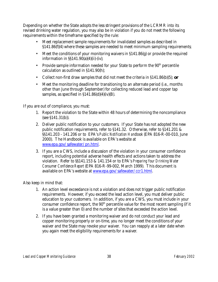Depending on whether the State adopts the less stringent provisions of the LCRMR into its revised drinking water regulation, you may also be in violation if you do not meet the following requirements within the timeframe specified by the rule:

- Meet replacement sample requirements for invalidated samples as described in §141.86(f)(4) where these samples are needed to meet minimum sampling requirements*;*
- Meet the conditions of your monitoring waivers in §141.86(g) or provide the required information in §§141.90(a)(4)(ii)-(iv);
- Provide sample information needed for your State to perform the  $90<sup>th</sup>$  percentile calculation as outlined in §141.90(h);
- Collect non-first draw samples that did not meet the criteria in §141.86(b)(5); *or*
- Meet the monitoring deadline for transitioning to an alternate period (i.e., months other than June through September) for collecting reduced lead and copper tap samples, as specified in  $$141.86(d)(4)(iv)(B)$ .

If you are out of compliance, you must:

- 1. Report the violation to the State within 48 hours of determining the noncompliance (see §141.31(b)).
- 2. Deliver public notification to your customers. If your State has not adopted the new public notification requirements, refer to §141.32. Otherwise, refer to §141.201 & §§141.203 - 141.206 or to EPA's *Public Notification Handbook* (EPA 816-R-00-010, June 2000). The Handbook is available on EPA's website at www.epa.gov/safewater/pn.html.
- 3. If you are a CWS, include a discussion of the violation in your consumer confidence report, including potential adverse health effects and actions taken to address the violation. Refer to §§141.153 & 141.154 or to EPA's *Preparing Your Drinking Water Consumer Confidence Report* (EPA 816-R-99-002, March 1999). This document is available on EPA's website at www.epa.gov/safewater/ccr1.html.

Also keep in mind that:

- 1. An action level exceedance is not a violation and does not trigger public notification requirements. However, if you exceed the lead action level, you must deliver public education to your customers. In addition, if you are a CWS, you must include in your consumer confidence report, the  $90<sup>th</sup>$  percentile value for the most recent sampling (if it is a value greater than 0) and the number of sites that exceeded the action level.
- 2. If you have been granted a monitoring waiver and do not conduct your lead and copper monitoring properly or on-time, you no longer meet the conditions of your waiver and the State may revoke your waiver. You can reapply at a later date when you again meet the eligibility requirements for a waiver.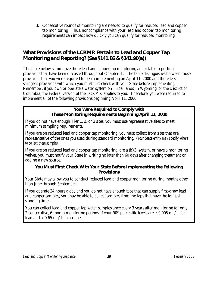3. Consecutive rounds of monitoring are needed to qualify for reduced lead and copper tap monitoring. Thus, noncompliance with your lead and copper tap monitoring requirements can impact how quickly you can qualify for reduced monitoring.

# *What Provisions of the LCRMR Pertain to Lead and Copper Tap Monitoring and Reporting? (See §141.86 & §141.90(a))*

The table below summarize those lead and copper tap monitoring and related reporting provisions that have been discussed throughout Chapter II. The table distinguishes between those provisions that you were required to begin implementing on April 11, 2000 and those less stringent provisions with which you must first check with your State before implementing. Remember, if you own or operate a water system on Tribal lands, in Wyoming, or the District of Columbia, the Federal version of the LCRMR applies to you. Therefore, you were required to implement all of the following provisions beginning April 11, 2000.

#### **You Were Required to Comply with These Monitoring Requirements Beginning April 11, 2000**

If you do not have enough Tier 1, 2, or 3 sites, you must use representative sites to meet minimum sampling requirements.

If you are on reduced lead and copper tap monitoring, you must collect from sites that are representative of the ones you used during standard monitoring. *(Your State entity may specify where to collect these samples.)*

If you are on reduced lead and copper tap monitoring, are a (b)(3) system, or have a monitoring waiver, you must notify your State in writing no later than 60 days after changing treatment or adding a new source.

#### **You Must First Check With Your State Before Implementing the Following Provisions**

Your State may allow you to conduct reduced lead and copper monitoring during months other than June through September.

If you operate 24 hours a day and you do not have enough taps that can supply first-draw lead and copper samples, you may be able to collect samples from the taps that have the longest standing times.

You can collect lead and copper tap water samples once every 3 years after monitoring for only 2 consecutive, 6-month monitoring periods, if your 90<sup>th</sup> percentile levels are  $\leq 0.005$  mg/L for lead and  $\leq 0.65$  mg/L for copper.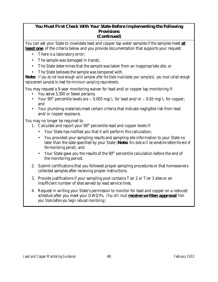#### **You Must First Check With Your State Before Implementing the Following Provisions (Continued)**

You can ask your State to invalidate lead and copper tap water samples if the samples meet *at least one* of the criteria below and you provide documentation that supports your request:

- There is a laboratory error;
- The sample was damaged in transit;
- The State determines that the sample was taken from an inappropriate site; or
- The State believes the sample was tampered with.

*Note: If you do not have enough valid samples after the State invalidates your sample(s), you must collect enough replacement samples to meet the minimum sampling requirements.*

You may request a 9-year monitoring waiver for lead and/or copper tap monitoring if:

- You serve 3,300 or fewer persons;
- Your 90<sup>th</sup> percentile levels are  $\leq 0.005$  mg/L for lead and/or  $\leq 0.65$  mg/L for copper; and
- Your plumbing materials meet certain criteria that indicate negligible risk from lead and/or copper exposure.

You may no longer be required to:

- 1. Calculate and report your 90<sup>th</sup> percentile lead and copper levels if:
	- Your State has notified you that it will perform this calculation;
	- You provided your sampling results and sampling site information to your State no later than the date specified by your State *(Note: this date will be sometime before the end of the monitoring period)*; and
	- Your State gave you the results of the  $90<sup>th</sup>$  percentile calculation before the end of the monitoring period.
- 2. Submit certifications that you followed proper sampling procedures or that homeowners collected samples after receiving proper instructions.
- 3. Provide justifications if your sampling pool contains Tier 2 or Tier 3 sites or an insufficient number of sites served by lead service lines.
- 4. Request in writing your State's permission to monitor for lead and copper on a reduced schedule after you meet your OWQPs. *(You still must receive written approval from your State before you begin reduced monitoring.)*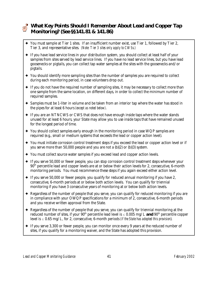

## *What Key Points Should I Remember About Lead and Copper Tap Monitoring? (See §§141.81 & 141.86)*

- $\blacklozenge$  You must sample at Tier 1 sites. If an insufficient number exist, use Tier 1, followed by Tier 2, Tier 3, and representative sites. *(Note: Tier 3 sites only apply to CWSs.)*
- g If you have lead service lines in your distribution system, you should collect at least half of your samples from sites served by lead service lines. If you have no lead service lines, but you have lead goosenecks or pigtails, you can collect tap water samples at the sites with the goosenecks and/or pigtails.
- $\triangleq$  You should identify more sampling sites than the number of samples you are required to collect during each monitoring period, in case volunteers drop out.
- $\triangleq$  If you do not have the required number of sampling sites, it may be necessary to collect more than one sample from the same location, on different days, in order to collect the minimum number of required samples.
- $\triangle$  Samples must be 1-liter in volume and be taken from an interior tap where the water has stood in the pipes for at least 6 hours *(except as noted below)*.
- ◆ If you are an NTNCWS or CWS that does not have enough inside taps where the water stands unused for at least 6 hours, your State may allow you to use inside taps that have remained unused for the longest period of time.
- $\rightarrow$  You should collect samples early enough in the monitoring period in case WQP samples are required (e.g., small or medium systems that exceeds the lead or copper action level).
- $\blacklozenge$  You must initiate corrosion control treatment steps if you exceed the lead or copper action level or if you serve more than 50,000 people and you are not a (b)(2) or (b)(3) system.
- $\blacklozenge$  You must collect source water samples if you exceed lead and copper action levels.
- g If you serve 50,000 or fewer people, you can stop corrosion control treatment steps whenever your 90<sup>th</sup> percentile lead and copper levels are at or below their action levels for 2, consecutive, 6-month monitoring periods. You must recommence these steps if you again exceed either action level.
- $\blacklozenge$  If you serve 50,000 or fewer people, you qualify for reduced annual monitoring if you have 2, consecutive, 6-month periods at or below both action levels. You can qualify for triennial monitoring if you have 3 consecutive years of monitoring at or below both action levels.
- ◆ Regardless of the number of people that you serve, you can qualify for reduced monitoring if you are in compliance with your OWQP specifications for a minimum of 2, consecutive, 6-month periods and you receive written approval from the State.
- $\triangle$  Regardless of the number of people that you serve, you can qualify for triennial monitoring at the reduced number of sites, if your  $90<sup>th</sup>$  percentile lead level is  $\leq 0.005$  mg/L **and**  $90<sup>th</sup>$  percentile copper level is  $\leq 0.65$  mg/L, for 2, consecutive, 6-month periods *(if the State has adopted this provision*).
- $\triangleq$  If you serve 3,300 or fewer people, you can monitor once every 9 years at the reduced number of sites, if you qualify for a monitoring waiver, and the State has adopted this provision.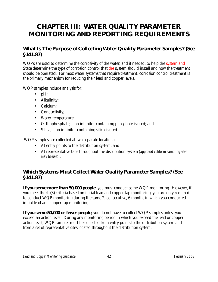# **CHAPTER III: WATER QUALITY PARAMETER MONITORING AND REPORTING REQUIREMENTS**

# *What Is The Purpose of Collecting Water Quality Parameter Samples? (See §141.87)*

WQPs are used to determine the corrosivity of the water, and if needed, to help the system and State determine the type of corrosion control that the system should install and how the treatment should be operated. For most water systems that require treatment, corrosion control treatment is the primary mechanism for reducing their lead and copper levels.

WQP samples include analysis for:

- $\bullet$  pH;
- Alkalinity;
- Calcium;
- Conductivity;
- Water temperature;
- Orthophosphate, if an inhibitor containing phosphate is used; and
- Silica, if an inhibitor containing silica is used.

WQP samples are collected at two separate locations:

- At entry points to the distribution system; and
- At representative taps throughout the distribution system *(approved coliform sampling sites may be used)*.

### *Which Systems Must Collect Water Quality Parameter Samples? (See §141.87)*

*If you serve more than 50,000 people*, you must conduct some WQP monitoring. However, if you meet the (b)(3) criteria based on initial lead and copper tap monitoring, you are only required to conduct WQP monitoring during the same 2, consecutive, 6 months in which you conducted initial lead and copper tap monitoring.

*If you serve 50,000 or fewer people*, you do not have to collect WQP samples unless you exceed an action level. During any monitoring period in which you exceed the lead or copper action level, WQP samples must be collected from entry points to the distribution system and from a set of representative sites located throughout the distribution system.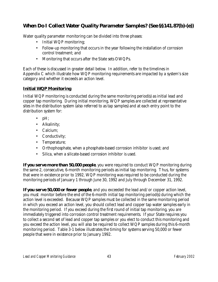# *When Do I Collect Water Quality Parameter Samples? (See §§141.87(b)-(e))*

Water quality parameter monitoring can be divided into three phases:

- Initial WQP monitoring;
- Follow-up monitoring that occurs in the year following the installation of corrosion control treatment; and
- Monitoring that occurs after the State sets OWQPs.

Each of these is discussed in greater detail below. In addition, refer to the timelines in Appendix C which illustrate how WQP monitoring requirements are impacted by a system's size category and whether it exceeds an action level.

#### **Initial WQP Monitoring**

Initial WQP monitoring is conducted during the same monitoring period(s) as initial lead and copper tap monitoring. During initial monitoring, WQP samples are collected at representative sites in the distribution system (also referred to as tap samples) and at each entry point to the distribution system for:

- $pH$ ;
- Alkalinity;
- Calcium;
- Conductivity;
- Temperature;
- Orthophosphate, when a phosphate-based corrosion inhibitor is used; and
- Silica, when a silicate-based corrosion inhibitor is used.

*If you serve more than 50,000 people*, you were required to conduct WQP monitoring during the same 2, consecutive, 6-month monitoring periods as initial tap monitoring. Thus, for systems that were in existence prior to 1992, WQP monitoring was required to be conducted during the monitoring periods of January 1 through June 30, 1992 and July through December 31, 1992.

*If you serve 50,000 or fewer people*, and you exceeded the lead and/or copper action level, you must monitor before the end of the 6-month initial tap monitoring period(s) during which the action level is exceeded. Because WQP samples must be collected in the same monitoring period in which you exceed an action level, you should collect lead and copper tap water samples early in the monitoring period. If you exceed during the first round of initial tap monitoring, you are immediately triggered into corrosion control treatment requirements. If your State requires you to collect a second set of lead and copper tap samples or you elect to conduct this monitoring and you exceed the action level, you will also be required to collect WQP samples during this 6-month monitoring period. Table 3-1 below illustrates the timing for systems serving 50,000 or fewer people that were in existence prior to January 1992.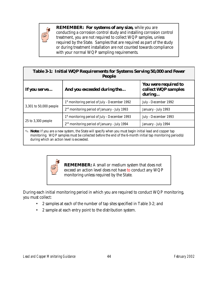

**REMEMBER: For systems of any size,** while you are conducting a corrosion control study and installing corrosion control treatment, you are not required to collect WQP samples, unless required by the State. Samples that are required as part of the study or during treatment installation are not counted towards compliance with your normal WQP sampling requirements.

| Table 3-1: Initial WQP Requirements for Systems Serving 50,000 and Fewer<br><b>People</b> |                                                           |                                                              |  |  |
|-------------------------------------------------------------------------------------------|-----------------------------------------------------------|--------------------------------------------------------------|--|--|
| If you serve                                                                              | And you exceeded during the                               | <b>You were required to</b><br>collect WQP samples<br>during |  |  |
| 3,301 to 50,000 people                                                                    | 1 <sup>st</sup> monitoring period of July - December 1992 | July - December 1992                                         |  |  |
|                                                                                           | 2 <sup>nd</sup> monitoring period of January - July 1993  | January - July 1993                                          |  |  |
| 25 to 3,300 people                                                                        | 1st monitoring period of July - December 1993             | July - December 1993                                         |  |  |
|                                                                                           | 2 <sup>nd</sup> monitoring period of January - July 1994  | January - July 1994                                          |  |  |

**Note:** If you are a new system, the State will specify when you must begin initial lead and copper tap monitoring. WQP samples must be collected before the end of the 6-month initial tap monitoring period(s) during which an action level is exceeded.



**REMEMBER:** A small or medium system that does not exceed an action level does not have to conduct any WQP monitoring unless required by the State.

During each initial monitoring period in which you are required to conduct WQP monitoring, you must collect:

- 2 samples at each of the number of tap sites specified in Table 3-2; and
- 2 sample at each entry point to the distribution system.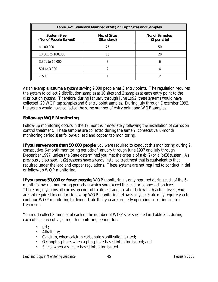| Table 3-2: Standard Number of WQP "Tap" Sites and Samples |                                   |                                       |  |  |  |
|-----------------------------------------------------------|-----------------------------------|---------------------------------------|--|--|--|
| <b>System Size</b><br>(No. of People Served)              | <b>No. of Sites</b><br>(Standard) | <b>No. of Samples</b><br>(2 per site) |  |  |  |
| >100,000                                                  | 25                                | 50                                    |  |  |  |
| 10,001 to 100,000                                         | 10                                | 20                                    |  |  |  |
| 3,301 to 10,000                                           |                                   | В                                     |  |  |  |
| 501 to 3,300                                              |                                   |                                       |  |  |  |
| $\leq 500$                                                |                                   |                                       |  |  |  |

As an example, assume a system serving 9,000 people has 3 entry points. The regulation requires the system to collect 2 distribution samples at 10 sites and 2 samples at each entry point to the distribution system. Therefore, during January through June 1992, these systems would have collected 20 WQP tap samples and 6 entry point samples. During July through December 1992, the system would have collected the same number of entry point and WQP samples.

#### **Follow-up WQP Monitoring**

Follow-up monitoring occurs in the 12 months immediately following the installation of corrosion control treatment. These samples are collected during the same 2, consecutive, 6-month monitoring period(s) as follow-up lead and copper tap monitoring.

*If you serve more than 50,000 people*, you were required to conduct this monitoring during 2, consecutive, 6-month monitoring periods of January through June 1997 and July through December 1997, unless the State determined you met the criteria of a (b)(2) or a (b)(3) system. As previously discussed, (b)(2) systems have already installed treatment that is equivalent to that required under the lead and copper regulations. These systems are not required to conduct initial or follow-up WQP monitoring.

*If you serve 50,000 or fewer people*, WQP monitoring is only required during each of the 6 month follow-up monitoring periods in which you exceed the lead or copper action level. Therefore, if you install corrosion control treatment and are at or below both action levels, you are not required to conduct follow-up WQP monitoring. However, your State may require you to continue WQP monitoring to demonstrate that you are properly operating corrosion control treatment.

You must collect 2 samples at each of the number of WQP sites specified in Table 3-2, during each of 2, consecutive, 6-month monitoring periods for:

- $\bullet$  pH;
- Alkalinity;
- Calcium, when calcium carbonate stabilization is used;
- Orthophosphate, when a phosphate-based inhibitor is used; and
	- Silica, when a silicate-based inhibitor is used.

*Lead and Copper Monitoring Guidance* 45 *February 2002*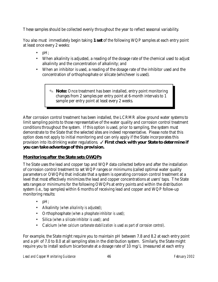These samples should be collected evenly throughout the year to reflect seasonal variability.

You also must immediately begin taking *1 set* of the following WQP samples at each entry point at least once every 2 weeks:

- $pH$ ;
- When alkalinity is adjusted, a reading of the dosage rate of the chemical used to adjust alkalinity and the concentration of alkalinity; and
- When an inhibitor is used, a reading of the dosage rate of the inhibitor used and the concentration of orthophosphate or silicate (whichever is used).

O **Note:** Once treatment has been installed, entry point monitoring changes from 2 samples per entry point at 6-month intervals to 1 sample per entry point at least every 2 weeks.

After corrosion control treatment has been installed, the LCRMR allow ground water systems to limit sampling points to those representative of the water quality and corrosion control treatment conditions throughout the system. If this option is used, prior to sampling, the system must demonstrate to the State that the selected sites are indeed representative. Please note that this option does not apply to initial monitoring and can only apply if the State incorporates this provision into its drinking water regulations.  $\checkmark$  First check with your State to determine if *you can take advantage of this provision.*

#### **Monitoring after the State sets OWQPs**

The State uses the lead and copper tap and WQP data collected before and after the installation of corrosion control treatment to set WQP ranges or minimums (called optimal water quality parameters or OWQPs) that indicate that a system is operating corrosion control treatment at a level that most effectively minimizes the lead and copper concentrations at users' taps. The State sets ranges or minimums for the following OWQPs at entry points and within the distribution system (i.e., tap samples) within 6 months of receiving lead and copper and WQP follow-up monitoring results:

- $pH$ ;
- Alkalinity *(when alkalinity is adjusted)*;
- Orthophosphate *(when a phosphate inhibitor is used);*
- Silica *(when a silicate inhibitor is used);* and
- Calcium *(when calcium carbonate stabilization is used as part of corrosion control)*.

For example, the State might require you to maintain pH between 7.8 and 8.2 at each entry point and a pH of 7.0 to 8.0 at all sampling sites in the distribution system. Similarly, the State might require you to install sodium bicarbonate at a dosage rate of 10 mg/L (measured at each entry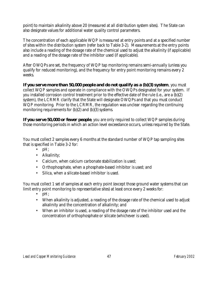point) to maintain alkalinity above 20 (measured at all distribution system sites). The State can also designate values for additional water quality control parameters.

The concentration of each applicable WQP is measured at entry points and at a specified number of sites within the distribution system (refer back to Table 3-2). Measurements at the entry points also include a reading of the dosage rate of the chemical used to adjust the alkalinity (if applicable) and a reading of the dosage rate of the inhibitor used (if applicable).

After OWQPs are set, the frequency of WQP tap monitoring remains semi-annually (unless you qualify for reduced monitoring), and the frequency for entry point monitoring remains every 2 weeks.

*If you serve more than 50,000 people and do not qualify as a (b)(3) system*, you must collect WQP samples and operate in compliance with the OWQPs designated for your system. If you installed corrosion control treatment prior to the effective date of the rule (i.e., are a (b)(2) system), the LCRMR clarify that the State will designate OWQPs and that you must conduct WQP monitoring. Prior to the LCRMR, the regulation was unclear regarding the continuing monitoring requirements for (b)(2) and (b)(3) systems.

*If you serve 50,000 or fewer people*, you are only required to collect WQP samples during those monitoring periods in which an action level exceedance occurs, unless required by the State.

You must collect 2 samples every 6 months at the standard number of WQP tap sampling sites that is specified in Table 3-2 for:

- pH;
- Alkalinity;
- Calcium, when calcium carbonate stabilization is used;
- Orthophosphate, when a phosphate-based inhibitor is used; and
- Silica, when a silicate-based inhibitor is used.

You must collect 1 set of samples at each entry point (except those ground water systems that can limit entry point monitoring to representative sites) at least once every 2 weeks for:

- $\bullet$  pH;
- When alkalinity is adjusted, a reading of the dosage rate of the chemical used to adjust alkalinity and the concentration of alkalinity; and
- When an inhibitor is used, a reading of the dosage rate of the inhibitor used and the concentration of orthophosphate or silicate (whichever is used).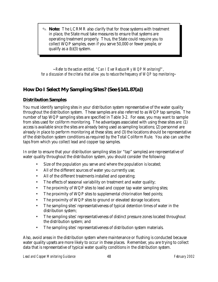O **Note:** The LCRMR also clarify that for those systems with treatment in place, the State must take measures to ensure that systems are operating treatment properly. Thus, the State could require you to collect WQP samples, even if you serve 50,000 or fewer people, or qualify as a (b)(3) system.

~*Refer to the section entitled, "Can I Ever Reduce My WQP Monitoring?", for a discussion of the criteria that allow you to reduce the frequency of WQP tap monitoring~*

# *How Do I Select My Sampling Sites? (See §141.87(a))*

### **Distribution Samples**

You must identify sampling sites in your distribution system representative of the water quality throughout the distribution system. These samples are also referred to as WQP tap samples. The number of tap WQP sampling sites are specified in Table 3-2. For ease, you may want to sample from sites used for coliform monitoring. The advantages associated with using these sites are: (1) access is available since the sites are already being used as sampling locations; (2) personnel are already in place to perform monitoring at these sites; and (3) the locations should be representative of the distribution system conditions as required by the Total Coliform Rule. You also can use the taps from which you collect lead and copper tap samples.

In order to ensure that your distribution sampling sites (or "tap" samples) are representative of water quality throughout the distribution system, you should consider the following:

- Size of the population you serve and where the population is located;
- All of the different sources of water you currently use;
- All of the different treatments installed and operating;
- The effects of seasonal variability on treatment and water quality;
- The proximity of WQP sites to lead and copper tap water sampling sites;
- The proximity of WQP sites to supplemental chlorination feed points;
- The proximity of WQP sites to ground or elevated storage locations;
- The sampling sites' representativeness of typical detention times of water in the distribution system;
- The sampling sites' representativeness of distinct pressure zones located throughout the distribution system; and
- The sampling sites' representativeness of distribution system materials.

Also, avoid areas in the distribution system where maintenance or flushing is conducted because water quality upsets are more likely to occur in these places. Remember, you are trying to collect data that is representative of typical water quality conditions in the distribution system.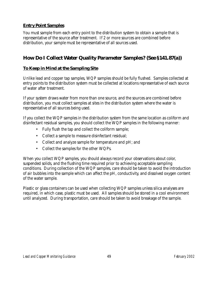#### **Entry Point Samples**

You must sample from each entry point to the distribution system to obtain a sample that is representative of the source after treatment. If 2 or more sources are combined before distribution, your sample must be representative of all sources used.

# *How Do I Collect Water Quality Parameter Samples? (See §141.87(a))*

#### **To Keep in Mind at the Sampling Site**

Unlike lead and copper tap samples, WQP samples should be fully flushed. Samples collected at entry points to the distribution system must be collected at locations representative of each source of water after treatment.

If your system draws water from more than one source, and the sources are combined before distribution, you must collect samples at sites in the distribution system where the water is representative of all sources being used.

If you collect the WQP samples in the distribution system from the same location as coliform and disinfectant residual samples, you should collect the WQP samples in the following manner:

- Fully flush the tap and collect the coliform sample;
- Collect a sample to measure disinfectant residual;
- Collect and analyze sample for temperature and pH; and
- Collect the samples for the other WQPs.

When you collect WQP samples, you should always record your observations about color, suspended solids, and the flushing time required prior to achieving acceptable sampling conditions. During collection of the WQP samples, care should be taken to avoid the introduction of air bubbles into the sample which can affect the pH, conductivity, and dissolved oxygen content of the water sample.

Plastic or glass containers can be used when collecting WQP samples unless silica analyses are required, in which case, plastic must be used. All samples should be stored in a cool environment until analyzed. During transportation, care should be taken to avoid breakage of the sample.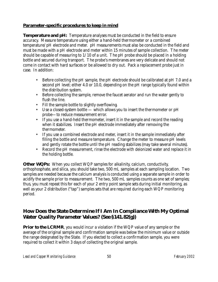#### **Parameter-specific procedures to keep in mind**

**Temperature and pH:** Temperature analyses must be conducted in the field to ensure accuracy. Measure temperature using either a hand-held thermometer or a combined temperature/pH electrode and meter. pH measurements must also be conducted in the field and must be made with a pH electrode and meter within 15 minutes of sample collection. The meter should be capable of measuring to  $1/10$  of a unit. The pH probe should be placed in a holding bottle and secured during transport. The probe's membranes are very delicate and should not come in contact with hard surfaces or be allowed to dry out. Pack a replacement probe just in case. In addition:

- Before collecting the pH sample, the pH electrode should be calibrated at pH 7.0 and a second pH level; either 4.0 or 10.0, depending on the pH range typically found within the distribution system.
- Before collecting the sample, remove the faucet aerator and run the water gently to flush the line.
- Fill the sample bottle to slightly overflowing.
- Use a closed-system bottle which allows you to insert the thermometer or pH probe—to reduce measurement error.
- If you use a hand-held thermometer, insert it in the sample and record the reading when it stabilizes. Insert the pH electrode immediately after removing the thermometer.
- If you use a combined electrode and meter, insert it in the sample immediately after filling the bottle and measure temperature. Change the meter to measure pH levels and gently rotate the bottle until the pH reading stabilizes (may take several minutes).
- Record the pH measurement, rinse the electrode with deionized water and replace it in the holding bottle.

**Other WQPs:** When you collect WQP samples for alkalinity, calcium, conductivity, orthophosphate, and silica, you should take two, 500 mL samples at each sampling location. Two samples are needed because the calcium analysis is conducted using a separate sample in order to acidify the sample prior to measurement. The two, 500 mL samples counts as one set of samples; thus, you must repeat this for each of your 2 entry point sample sets during initial monitoring, as well as your 2 distribution ("tap") samples sets that are required during each WQP monitoring period.

# *How Does the State Determine If I Am In Compliance With My Optimal Water Quality Parameter Values? (See §141.82(g))*

**Prior to the LCRMR**, you would incur a violation if the WQP value of any sample or the average of the original sample and confirmation sample was below the minimum value or outside the range designated by the State. If you elected to collect a confirmation sample, you were required to collect it within 3 days of collecting the original sample.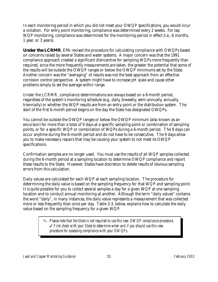In each monitoring period in which you did not meet your OWQP specifications, you would incur a violation. For entry point monitoring, compliance was determined every 2 weeks. For tap WQP monitoring, compliance was determined for the monitoring period in effect (i.e., 6 months, 1 year, or 3 years).

**Under the LCRMR**, EPA revised the procedure for calculating compliance with OWQPs based on concerns raised by several States and water systems. A major concern was that the 1991 compliance approach created a significant disincentive for sampling WQPs more frequently than required, since the more frequently measurements are taken, the greater the potential that some of the results will be outside the OWQP ranges or below the OWQP minimums set by the State. Another concern was the "averaging" of results was not the best approach from an effective corrosion control perspective. A system might have to increase pH scale and cause other problems simply to set the average within range.

Under the LCRMR, compliance determinations are always based on a 6-month period, regardless of the system's monitoring schedule (e.g., daily, biweekly, semi-annually, annually, triennially) or whether the WQP results are from an entry point or the distribution system. The start of the first 6-month period begins on the day the State has designated OWQPs.

You cannot be outside the OWQP ranges or below the OWQP minimum (also known as an excursion) for more than a total of 9 days at a specific sampling point or combination of sampling points, or for a specific WQP or combination of WQPs during a 6-month period. The 9 days can occur anytime during the 6-month period and do not have to be consecutive. The 9 days allow you to make necessary repairs that may be causing your system to not meet its OWQP specifications.

Confirmation samples are no longer used. You must use the results of all WQP samples collected during the 6-month period at a sampling location to determine OWQP compliance and report these results to the State. However, States have discretion to delete results of obvious sampling errors from this calculation.

Daily values are calculated for each WQP at each sampling location. The procedure for determining the daily value is based on the sampling frequency for that WQP and sampling point. It is quite possible for you to collect several samples a day for a given WQP at one sampling location and to conduct annual monitoring at another. Although the term "daily values" contains the word "daily", in many instances, the daily value represents a measurement that was collected more or less frequently than once per day. Table 3-3, below, explains how to calculate the daily value based on the sampling frequency for a given WQP.

> O *Please note that the State is not required to use this new OWQP compliance procedure.*  T *First check with your State to determine when and if you should use this new procedure for assessing compliance with your OWQPs.*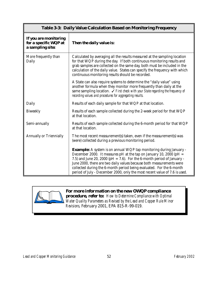| <b>Table 3-3: Daily Value Calculation Based on Monitoring Frequency</b> |                                                                                                                                                                                                                                                                                                                                                                                                                                                           |  |
|-------------------------------------------------------------------------|-----------------------------------------------------------------------------------------------------------------------------------------------------------------------------------------------------------------------------------------------------------------------------------------------------------------------------------------------------------------------------------------------------------------------------------------------------------|--|
| If you are monitoring<br>for a specific WQP at<br>a sampling site:      | Then the daily value is:                                                                                                                                                                                                                                                                                                                                                                                                                                  |  |
| More frequently than<br>Daily                                           | Calculated by averaging all the results measured at the sampling location<br>for that WQP during the day. If both continuous monitoring results and<br>grab samples are collected on the same day, both must be included in the<br>calculation of the daily value. States can specify the frequency with which<br>continuous monitoring results should be recorded.                                                                                       |  |
|                                                                         | A State can also require systems to determine the "daily value" using<br>another formula when they monitor more frequently than daily at the<br>same sampling location. $\checkmark$ First check with your State regarding the frequency of<br>recording values and procedures for aggregating results.                                                                                                                                                   |  |
| Daily                                                                   | Results of each daily sample for that WQP at that location.                                                                                                                                                                                                                                                                                                                                                                                               |  |
| <b>Biweekly</b>                                                         | Results of each sample collected during the 2-week period for that WQP<br>at that location.                                                                                                                                                                                                                                                                                                                                                               |  |
| Semi-annually                                                           | Results of each sample collected during the 6-month period for that WQP<br>at that location.                                                                                                                                                                                                                                                                                                                                                              |  |
| <b>Annually or Triennially</b>                                          | The most recent measurement(s) taken, even if the measurement(s) was<br>(were) collected during a previous monitoring period.                                                                                                                                                                                                                                                                                                                             |  |
|                                                                         | <b>Example:</b> A system is on annual WQP tap monitoring during January -<br>December 2000. It measures pH at the tap on January 10, 2000 (pH $=$<br>7.5) and June 20, 2000 (pH = 7.6). For the 6-month period of January -<br>June 2000, there are two daily values because both measurements were<br>collected during the 6-month period being evaluated. For the 6-month<br>period of July - December 2000, only the most recent value of 7.6 is used. |  |



*For more information on the new OWQP compliance*

*procedure, refer to: How to Determine Compliance with Optimal Water Quality Parameters as Revised by the Lead and Copper Rule Minor Revisions,* February 2001, EPA 815-R-99-019.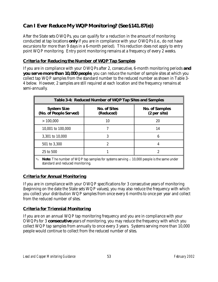# *Can I Ever Reduce My WQP Monitoring? (See §141.87(e))*

After the State sets OWQPs, you can qualify for a reduction in the amount of monitoring conducted at tap locations *only* if you are in compliance with your OWQPs (i.e., do not have excursions for more than 9 days in a 6-month period). This reduction does not apply to entry point WQP monitoring. Entry point monitoring remains at a frequency of every 2 weeks.

#### **Criteria for Reducing the Number of WQP Tap Samples**

If you are in compliance with your OWQPs after 2, consecutive, 6-month monitoring periods *and you serve more than 10,000 people*, you can reduce the number of sample sites at which you collect tap WQP samples from the standard number to the reduced number as shown in Table 3- 4 below. However, 2 samples are still required at each location and the frequency remains at semi-annually.

| <b>Table 3-4: Reduced Number of WQP Tap Sites and Samples</b>                                                                                  |                                  |                                       |  |  |
|------------------------------------------------------------------------------------------------------------------------------------------------|----------------------------------|---------------------------------------|--|--|
| <b>System Size</b><br>(No. of People Served)                                                                                                   | <b>No. of Sites</b><br>(Reduced) | <b>No. of Samples</b><br>(2 per site) |  |  |
| >100,000                                                                                                                                       | 10                               | 20                                    |  |  |
| 10,001 to 100,000                                                                                                                              |                                  | 14                                    |  |  |
| 3,301 to 10,000                                                                                                                                | 3                                | 6                                     |  |  |
| 501 to 3,300                                                                                                                                   | 2                                | 4                                     |  |  |
| 25 to 500                                                                                                                                      |                                  | 2                                     |  |  |
| <b>Note:</b> The number of WQP tap samples for systems serving $\leq 10,000$ people is the same under<br>☜<br>standard and reduced monitoring. |                                  |                                       |  |  |

#### **Criteria for Annual Monitoring**

L

If you are in compliance with your OWQP specifications for 3 consecutive years of monitoring (beginning on the date the State sets WQP values), you may also reduce the frequency with which you collect your distribution WQP samples from once every 6 months to once per year and collect from the reduced number of sites.

#### **Criteria for Triennial Monitoring**

If you are on an annual WQP tap monitoring frequency and you are in compliance with your OWQPs for 3 *consecutive* years of monitoring, you may reduce the frequency with which you collect WQP tap samples from annually to once every 3 years. Systems serving more than 10,000 people would continue to collect from the reduced number of sites.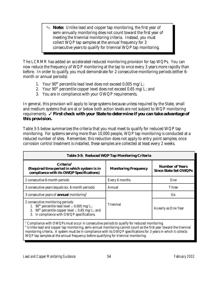O **Note:** Unlike lead and copper tap monitoring, the first year of semi-annually monitoring does not count toward the first year of meeting the triennial monitoring criteria. Instead, you must collect WQP tap samples at the annual frequency for 3 consecutive years to qualify for triennial WQP tap monitoring.

The LCRMR has added an accelerated reduced monitoring provision for tap WQPs. You can now reduce the frequency of WQP monitoring at the tap to once every 3 years more rapidly than before. In order to qualify, you must demonstrate for 2 consecutive monitoring periods (either 6 month or annual periods):

- 1. Your  $90<sup>th</sup>$  percentile lead level does not exceed 0.005 mg/L;
- 2. Your  $90<sup>th</sup>$  percentile copper level does not exceed 0.65 mg/L; and
- 3. You are in compliance with your OWQP requirements.

In general, this provision will apply to large systems because unless required by the State, small and medium systems that are at or below both action levels are not subject to WQP monitoring requirements. *I First check with your State to determine if you can take advantage of this provision.*

Table 3-5 below summarizes the criteria that you must meet to qualify for reduced WQP tap monitoring. For systems serving more than 10,000 people, WQP tap monitoring is conducted at a reduced number of sites. Remember, this reduction does not apply to entry point samples; once corrosion control treatment is installed, these samples are collected at least every 2 weeks.

| <b>Table 3-5: Reduced WQP Tap Monitoring Criteria</b>                                                                                                                                                                |                             |                                                        |  |  |
|----------------------------------------------------------------------------------------------------------------------------------------------------------------------------------------------------------------------|-----------------------------|--------------------------------------------------------|--|--|
| Criteria <sup>1</sup><br>(Required time period in which system is in<br>compliance with its OWQP Specifications)                                                                                                     | <b>Monitoring Frequency</b> | <b>Number of Years</b><br><b>Since State Set OWQPs</b> |  |  |
| 2 consecutive 6-month periods                                                                                                                                                                                        | Every 6 months              | One                                                    |  |  |
| 3 consecutive years (equals six, 6-month periods)                                                                                                                                                                    | Annual                      | <b>Three</b>                                           |  |  |
| 3 consecutive years of <b>annual</b> monitoring <sup>2</sup>                                                                                                                                                         |                             | Six                                                    |  |  |
| 2 consecutive monitoring periods:<br>1. 90 <sup>th</sup> percentile lead level $\leq$ 0.005 mg/L;<br>2. 90 <sup>th</sup> percentile copper level $\leq$ 0.65 mg/L; and<br>3. in compliance with OWQP specifications. | <b>Triennial</b>            | As early as One Year                                   |  |  |
| $^{1}$ Compliance with OWODs must occur in consecutive periods to qualify for reduced monitoring                                                                                                                     |                             |                                                        |  |  |

 Compliance with OWQPs must occur in consecutive periods to qualify for reduced monitoring. 2  $2$  Unlike lead and copper tap monitoring, semi-annual monitoring cannot count as the first year toward the triennial monitoring criteria. A system must be in compliance with its OWQP specifications for 3 years in which it collects WQP tap samples at the annual frequency before qualifying for triennial monitoring.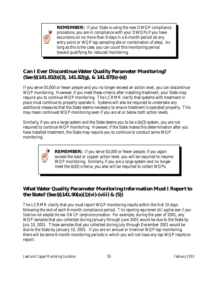

**REMEMBER:** If your State is using the new OWQP compliance procedure, you are in compliance with your OWQPs if you have excursions on no more than 9 days in a 6-month period (at any entry point or WQP tap sampling site or combination of sites). As long as this is the case, you can count this monitoring period toward qualifying for reduced monitoring.

# *Can I Ever Discontinue Water Quality Parameter Monitoring? (See §§141.81(b)(3), 141.82(g), & 141.87(b)-(e))*

If you serve 50,000 or fewer people and you no longer exceed an action level, you can discontinue WQP monitoring. However, if you meet these criteria after installing treatment, your State may require you to continue WQP monitoring. The LCRMR clarify that systems with treatment in place must continue to properly operate it. Systems will also be required to undertake any additional measures that the State deems necessary to ensure treatment is operated properly. This may mean continued WQP monitoring even if you are at or below both action levels.

Similarly, if you are a large system and the State deems you to be a (b)(3) system, you are not required to continue WQP monitoring. However, if the State makes this determination after you have installed treatment, the State may require you to continue to conduct some WQP monitoring.

> **REMEMBER:** If you serve 50,000 or fewer people, if you again exceed the lead or copper action level, you will be required to resume WQP monitoring. Similarly, if you are a large system and no longer meet the (b)(3) criteria, you also will be required to collect WQPs.

# *What Water Quality Parameter Monitoring Information Must I Report to the State? (See §§141.90(a)(1)(vi)-(viii) & (5))*

The LCRMR clarify that you must report WQP monitoring results within the first 10 days following the end of each 6-month compliance period. *This reporting requirement still applies even if your State has not adopted the new OWQP compliance procedure.* For example, during the year of 2001, any WQP samples that you collected during January through June 2001 would be due to the State by July 10, 2001. Those samples that you collected during July through December 2001 would be due to the State by January 10, 2001. If you are on annual or triennial WQP tap monitoring, there will be some 6-month monitoring periods in which you will not have any tap WQP results to report.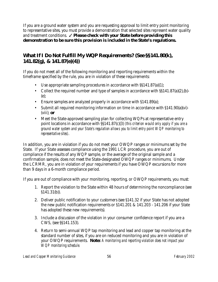If you are a ground water system and you are requesting approval to limit entry point monitoring to representative sites, you must provide a demonstration that selected sites represent water quality and treatment conditions. **Thease check with your State before providing this** *demonstration to be sure this provision is included in the State's regulations.*

### *What If I Do Not Fulfill My WQP Requirements? (See §§141.80(k), 141.82(g), & 141.87(e)(4))*

If you do not meet all of the following monitoring and reporting requirements within the timeframe specified by the rule, you are in violation of these requirements:

- Use appropriate sampling procedures in accordance with  $\S$ §141.87(a)(1);
- Collect the required number and type of samples in accordance with  $\S(141.87(a)(2), (b)$ -(e);
- Ensure samples are analyzed properly in accordance with §141.89(a);
- Submit all required monitoring information on time in accordance with §141.90(a)(vi)- (viii); *or*
- Meet the State-approved sampling plan for collecting WQPs at representative entry point locations in accordance with §§141.87(c)(3) *(this criterion would only apply if you are a ground water system and your State's regulation allows you to limit entry point WQP monitoring to representative sites)*.

In addition, you are in violation if you do not meet your OWQP ranges or minimums set by the State. If your State assesses compliance using the 1991 LCR procedure, you are out of compliance if the results of any WQP sample, or the average of the original sample and a confirmation sample, does not meet the State-designated OWQP ranges or minimums. Under the LCRMR, you are in violation of your requirements if you have OWQP excursions for more than 9 days in a 6-month compliance period.

If you are out of compliance with your monitoring, reporting, or OWQP requirements, you must:

- 1. Report the violation to the State within 48 hours of determining the noncompliance (see §141.31(b)).
- 2. Deliver public notification to your customers (see §141.32 if your State has not adopted the new public notification requirements or §141.201 & 141.203 - 141.206 if your State has adopted these new requirements).
- 3. Include a discussion of the violation in your consumer confidence report if you are a CWS, (see §§141.153).
- 4. Return to semi-annual WQP tap monitoring and lead and copper tap monitoring at the standard number of sites, if you are on reduced monitoring and you are in violation of your OWQP requirements. *Note: A monitoring and reporting violation does not impact your WQP monitoring schedule.*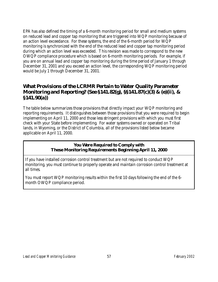EPA has also defined the timing of a 6-month monitoring period for small and medium systems on reduced lead and copper tap monitoring that are triggered into WQP monitoring because of an action level exceedance. For these systems, the end of the 6-month period for WQP monitoring is synchronized with the end of the reduced lead and copper tap monitoring period during which an action level was exceeded. This revision was made to correspond to the new OWQP compliance procedure which is based on 6-month monitoring periods. For example, if you are on annual lead and copper tap monitoring during the time period of January 1 through December 31, 2001 and you exceed an action level, the corresponding WQP monitoring period would be July 1 through December 31, 2001.

### *What Provisions of the LCRMR Pertain to Water Quality Parameter Monitoring and Reporting? (See §141.82(g), §§141.87(c)(3) & (e)(ii), & §141.90(a))*

The table below summarizes those provisions that directly impact your WQP monitoring and reporting requirements. It distinguishes between those provisions that you were required to begin implementing on April 11, 2000 and those less stringent provisions with which you must first check with your State before implementing. For water systems owned or operated on Tribal lands, in Wyoming, or the District of Columbia, all of the provisions listed below became applicable on April 11, 2000.

#### **You Were Required to Comply with These Monitoring Requirements Beginning April 11, 2000**

If you have installed corrosion control treatment but are not required to conduct WQP monitoring, you must continue to properly operate and maintain corrosion control treatment at all times.

You must report WQP monitoring results within the first 10 days following the end of the 6 month OWQP compliance period.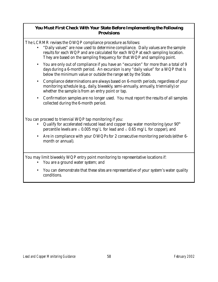#### **You Must First Check With Your State Before Implementing the Following Provisions**

The LCRMR revises the OWQP compliance procedure as follows:

- "Daily values" are now used to determine compliance. Daily values are the sample results for each WQP and are calculated for each WQP at each sampling location. They are based on the sampling frequency for that WQP and sampling point.
- You are only out of compliance if you have an "excursion" for more than a total of 9 days during a 6-month period. An excursion is any "daily value" for a WQP that is below the minimum value or outside the range set by the State.
- Compliance determinations are always based on 6-month periods, regardless of your monitoring schedule (e.g., daily, biweekly, semi-annually, annually, triennially) or whether the sample is from an entry point or tap.
- Confirmation samples are no longer used. You must report the results of all samples collected during the 6-month period.

You can proceed to triennial WQP tap monitoring if you:

- Qualify for accelerated reduced lead and copper tap water monitoring (your  $90<sup>th</sup>$ percentile levels are  $\leq 0.005$  mg/L for lead and  $\leq 0.65$  mg/L for copper), and
- Are in compliance with your OWQPs for 2 consecutive monitoring periods (either 6 month or annual).

You may limit biweekly WQP entry point monitoring to representative locations if:

- You are a ground water system; and
- You can demonstrate that these sites are representative of your system's water quality conditions.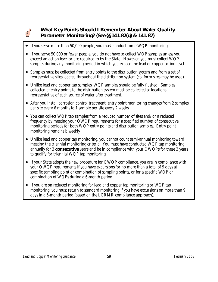

# *What Key Points Should I Remember About Water Quality Parameter Monitoring? (See §§141.82(g) & 141.87)*

- $\triangle$  If you serve more than 50,000 people, you must conduct some WQP monitoring.
- $\triangle$  If you serve 50,000 or fewer people, you do not have to collect WQP samples unless you exceed an action level or are required to by the State. However, you must collect WQP samples during any monitoring period in which you exceed the lead or copper action level.
- $\triangle$  Samples must be collected from entry points to the distribution system and from a set of representative sites located throughout the distribution system (coliform sites may be used).
- $\triangle$  Unlike lead and copper tap samples, WQP samples should be fully flushed. Samples collected at entry points to the distribution system must be collected at locations representative of each source of water after treatment.
- $\triangle$  After you install corrosion control treatment, entry point monitoring changes from 2 samples per site every 6 months to 1 sample per site every 2 weeks.
- $\rightarrow$  You can collect WQP tap samples from a reduced number of sites and/or a reduced frequency by meeting your OWQP requirements for a specified number of consecutive monitoring periods for both WQP entry points and distribution samples. Entry point monitoring remains biweekly.
- g Unlike lead and copper tap monitoring, you cannot count semi-annual monitoring toward meeting the triennial monitoring criteria. You must have conducted WQP tap monitoring annually for 3 *consecutive* years and be in compliance with your OWQPs for these 3 years to qualify for triennial WQP tap monitoring.
- $\triangle$  If your State adopts the new procedure for OWQP compliance, you are in compliance with your OWQP requirements if you have excursions for no more than a total of 9 days at specific sampling point or combination of sampling points, or for a specific WQP or combination of WQPs during a 6-month period.
- $\triangle$  If you are on reduced monitoring for lead and copper tap monitoring or WQP tap monitoring, you must return to standard monitoring if you have excursions on more than 9 days in a 6-month period (based on the LCRMR compliance approach).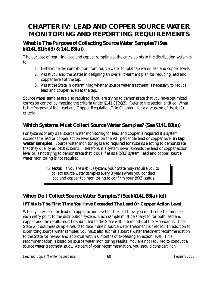# **CHAPTER IV: LEAD AND COPPER SOURCE WATER MONITORING AND REPORTING REQUIREMENTS**

### *What Is The Purpose of Collecting Source Water Samples? (See §§141.81(b)(3) & 141.88(a))*

The purpose of requiring lead and copper sampling at the entry points to the distribution system is to:

- 1. Determine the contribution from source water to total tap water lead and copper levels.
- 2. Assist you and the States in designing an overall treatment plan for reducing lead and copper levels at the tap.
- 3. Assist the State in determining whether source water treatment is necessary to reduce lead and copper levels at the tap.

Source water samples are also required if you are trying to demonstrate that you have optimized corrosion control by meeting the criteria under §141.81(b)(3). Refer to the section entitled, What Is the Purpose of the Lead and Copper Regulations?, in Chapter I for a discussion of the (b)(3) criteria.

# *Which Systems Must Collect Source Water Samples? (See §141.88(a))*

For systems of any size, source water monitoring for lead and copper is required if a system exceeds the lead or copper action level based on the 90<sup>th</sup> percentile lead or copper level *in tap water samples*. Source water monitoring is also required for systems electing to demonstrate that they qualify as (b)(3) systems. Therefore, if a system never exceeds the lead or copper action level or is not trying to demonstrate that it qualifies as a (b)(3) system, lead and copper source water monitoring is not required.

> O **Note:** If you are a (b)(3) system, your State may require you to collect source water samples every 3 years when you conduct lead and copper tap monitoring to confirm your (b)(3) status.

# *When Do I Collect Source Water Samples? (See §§141.88(a)-(e))*

### **If This Is The First Time You Have Exceeded The Lead Or Copper Action Level**

When you exceed the lead or copper action level for the first time, you must collect a sample at each entry point to the distribution system. Each sample must be analyzed for both lead and copper and the results must be submitted to the State within 6 months of the exceedance. The State will use these sample results to determine if source water treatment is needed. In addition to submitting source water samples, you must also submit a source water treatment recommendation to the State for review and approval within 6 months of exceeding an action level. This recommendation is based on source water monitoring results. You are not required to conduct a source water treatment study. As part of your recommendation, you should consider: ion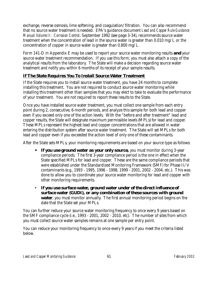exchange, reverse osmosis, lime softening, and coagulation/filtration. You can also recommend that no source water treatment is needed. EPA's guidance document *Lead and Copper Rule Guidance Manual Volume II: Corrosion Control*, September 1992 (see page 3-34), recommends source water treatment when the concentration of lead in the source water is greater than 0.010 mg/L or the concentration of copper in source water is greater than 0.800 mg/L.

Form 141-D in Appendix E may be used to report your source water monitoring results *and* your source water treatment recommendation. If you use this form, you must also attach a copy of the analytical results from the laboratory. The State will make a decision regarding source water treatment and notify you within 6 months of its receipt of your sample results.

### **If The State Requires You To Install Source Water Treatment**

If the State requires you to install source water treatment, you have 24 months to complete installing this treatment. You are not required to conduct source water monitoring while installing this treatment other than samples that you may elect to take to evaluate the performance of your treatment. You are not required to report these results to the State.

Once you have installed source water treatment, you must collect one sample from each entry point during 2, consecutive, 6-month periods, and analyze this sample for both lead and copper even if you exceed only one of the action levels. With the "before and after treatment" lead and copper results, the State will designate maximum permissible levels (MPLs) for lead and copper. These MPLs represent the highest lead and copper concentrations that are allowed in water entering the distribution system after source water treatment. The State will set MPLs for both lead and copper even if you exceeded the action level of only one of these contaminants.

After the State sets MPLs, your monitoring requirements are based on your source type as follows:

- *If you use ground water as your only source, you must monitor during 3-year* compliance periods. The first 3-year compliance period is the one in effect when the State specified MPLs for lead and copper.These are the same compliance periods that were established under the Standardized Monitoring Framework (SMF) for Phase II/V contaminants (e.g., 1993 - 1995, 1996 - 1998, 1999 - 2001, 2002 - 2004, etc.). This was done to allow you to coordinate your source water monitoring for lead and copper with other monitoring requirements.
- *If you use surface water, ground water under of the direct influence of surface water (GUDI), or any combination of these sources with ground water*, you must monitor annually. The first annual monitoring period begins on the date that the State set your MPLs.

You can further reduce your source water monitoring frequency to once every 9 years based on the SMF compliance cycle (i.e., 1993 - 2001, 2002 - 2010, etc). The number of sites from which you must collect source water samples remains at one sample per entry point.

You can reduce your monitoring frequency to once every 9 years if you meet the criteria listed below.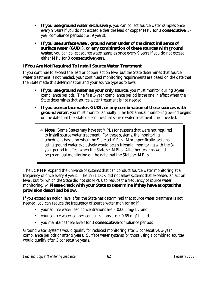- *If you use ground water exclusively,* you can collect source water samples once every 9 years if you do not exceed either the lead or copper MPL for 3 *consecutive*, 3 year compliance periods (i.e., 9 years).
- *If you use surface water, ground water under of the direct influence of surface water (GUDI), or any combination of these sources with ground water*, you can collect source water samples once every 9 years if you do not exceed either MPL for 3 *consecutive* years.

#### **If You Are Not Required To Install Source Water Treatment**

If you continue to exceed the lead or copper action level but the State determines that source water treatment is not needed, your continued monitoring requirements are based on the date that the State made this determination and your source type as follows:

- *If you use ground water as your only source,* you must monitor during 3-year compliance periods. The first 3-year compliance period is the one in effect when the State determines that source water treatment is not needed.
- *If you use surface water, GUDI, or any combination of these sources with ground water*, you must monitor annually. The first annual monitoring period begins on the date that the State determines that source water treatment is not needed.
	- O **Note:** Some States may have set MPLs for systems that were not required to install source water treatment. For these systems, the monitoring schedule is based on when the State set MPLs. More specifically, systems using ground water exclusively would begin triennial monitoring with the 3 year period in effect when the State set MPLs. All other systems would begin annual monitoring on the date that the State set MPLs.

The LCRMR expand the universe of systems that can conduct source water monitoring at a frequency of once every 9 years. The 1991 LCR did not allow systems that exceeded an action level, but for which the State did not set MPLs, to reduce the frequency of source water monitoring. √ *Please check with your State to determine if they have adopted the provision described below***.** 

If you exceed an action level after the State has determined that source water treatment is not needed, you can reduce the frequency of source water monitoring if:

- your source water lead concentrations are  $\leq 0.005$  mg/L; and
- vour source water copper concentrations are  $\leq 0.65$  mg/L; and
- you maintains these levels for 3 *consecutive* compliance periods.

Ground water systems would qualify for reduced monitoring after 3 consecutive, 3-year compliance periods or after 9 years. Surface water systems (or those using a combined source) would qualify after 3 consecutive years.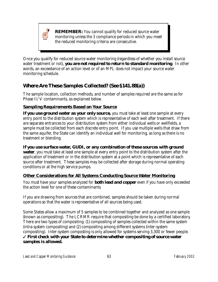

**REMEMBER:** You cannot qualify for reduced source water monitoring unless the 3 compliance periods in which you meet the reduced monitoring criteria are consecutive.

Once you qualify for reduced source water monitoring (regardless of whether you install source water treatment or not), *you are not required to return to standard monitoring*. In other words, an exceedance of an action level or of an MPL does not impact your source water monitoring schedule.

# *Where Are These Samples Collected? (See §141.88(a))*

The sample location, collection methods, and number of samples required are the same as for Phase II/V contaminants, as explained below.

### **Sampling Requirements Based on Your Source**

*If you use ground water as your only source,* you must take at least one sample at every entry point to the distribution system which is representative of each well after treatment. If there are separate entrances to your distribution system from either individual wells or wellfields, a sample must be collected from each discrete entry point. If you use multiple wells that draw from the same aquifer, the State can identify an individual well for monitoring, as long as there is no treatment or blending.

### *If you use surface water, GUDI, or any combination of these sources with ground*

*water*, you must take at least one sample at every entry point to the distribution system after the application of treatment or in the distribution system at a point which is representative of each source after treatment. These samples may be collected after storage during normal operating conditions or at the high service pumps.

### **Other Considerations for All Systems Conducting Source Water Monitoring**

You must have your samples analyzed for *both lead and copper* even if you have only exceeded the action level for one of these contaminants.

If you are drawing from sources that are combined, samples should be taken during normal operations so that the water is representative of all sources being used.

Some States allow a maximum of 5 samples to be combined together and analyzed as one sample (known as compositing). The LCRMR require that compositing be done by a certified laboratory. There are two types of compositing: (1) compositing of samples collected within the same system (intra-system compositing) and (2) compositing among different systems (inter-system compositing). Inter-system composting is only allowed for systems serving 3,300 or fewer people. T *First check with your State to determine whether compositing of source water samples is allowed.*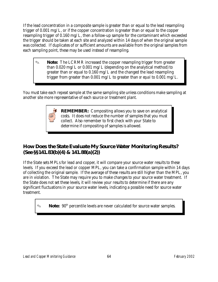If the lead concentration in a composite sample is greater than or equal to the lead resampling trigger of 0.001 mg/L, or if the copper concentration is greater than or equal to the copper resampling trigger of 0.160 mg/L, then a follow-up sample for the contaminant which exceeded the trigger should be taken at each site and analyzed within 14 days of when the original sample was collected. If duplicates of or sufficient amounts are available from the original samples from each sampling point, these may be used instead of resampling.

**Note:** The LCRMR increased the copper resampling trigger from greater than 0.020 mg/L or 0.001 mg/L (depending on the analytical method) to greater than or equal to 0.160 mg/L and the changed the lead resampling trigger from greater than 0.001 mg/L to greater than *or equal* to 0.001 mg/L.

You must take each repeat sample at the same sampling site unless conditions make sampling at another site more representative of each source or treatment plant.

> **REMEMBER:** Compositing allows you to save on analytical costs. It does not reduce the number of samples that you must collect. Also remember to first check with your State to determine if compositing of samples is allowed.

# *How Does the State Evaluate My Source Water Monitoring Results? (See §§141.83(b)(4) & 141.88(a)(2))*

If the State sets MPLs for lead and copper, it will compare your source water results to these levels. If you exceed the lead or copper MPL, you can take a confirmation sample within 14 days of collecting the original sample. If the average of these results are still higher than the MPL, you are in violation. The State may require you to make changes to your source water treatment. If the State does not set these levels, it will review your results to determine if there are any significant fluctuations in your source water levels, indicating a possible need for source water treatment.

**Note:** 90<sup>th</sup> percentile levels are never calculated for source water samples.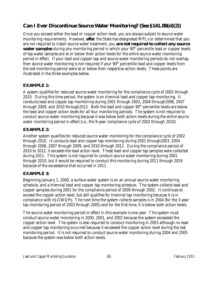# *Can I Ever Discontinue Source Water Monitoring? (See §141.88(d)(2))*

Once you exceed either the lead or copper action level, you are always subject to source water monitoring requirements. However, *afte*r the State has designated MPLs or determined that you are not required to install source water treatment, you *are not required to collect any source water samples* during any monitoring period in which your 90<sup>th</sup> percentile lead or copper levels of tap water samples are at or below their action levels for the entire source water monitoring period in effect. If your lead and copper tap and source water monitoring periods do not overlap, then source water monitoring is not required if your  $90<sup>th</sup>$  percentile lead and copper levels from the last monitoring period were at or below their respective action levels. These points are illustrated in the three examples below.

#### **EXAMPLE 1:**

A system qualifies for reduced source water monitoring for the compliance cycle of 2002 through 2010. During this time period, the system is on triennial lead and copper tap monitoring. It conducts lead and copper tap monitoring during 2001 through 2003, 2004 through2006, 2007 through 2009, and  $2010$  through 2012. Both the lead and copper  $90<sup>th</sup>$  percentile levels are below the lead and copper action levels for all four monitoring periods. The system is not required to conduct source water monitoring because it was below both action levels during the entire source water monitoring period in effect (i.e., the 9-year compliance cycle of 2002 through 2010).

#### **EXAMPLE 2:**

Another system qualifies for reduced source water monitoring for the compliance cycle of 2002 through 2010. It conducts lead and copper tap monitoring during 2001 through2003, 2004 through 2006, 2007 through 2009, and 2010 through 2012. During the compliance period of 2010 to 2012, it exceeds the lead action level. These lead and copper tap samples were collected during 2011. This system is not required to conduct source water monitoring during 2001 through 2010, but it would be required to conduct this monitoring during 2011 through 2019 because of the exceedance that occurred in 2011.

### **EXAMPLE 3:**

Beginning January 1, 2000, a surface water system is on an annual source water monitoring schedule, and a triennial lead and copper tap monitoring schedule. The system collects lead and copper samples during 2001 for the compliance period of 2000 through 2002. It continues to exceed the copper action level, but still qualifies for triennial tap monitoring because it is in compliance with its OWQPs. The next time the system collects samples is in 2004 (for the 3-year tap monitoring period of 2003 through 2005) and for the first time, it is below both action levels.

The source water monitoring period in effect in this example is one year. This system must conduct source water monitoring in 2000, 2001, and 2002 because the system exceeded the copper action level. The system is also required to conduct monitoring in 2003 although no lead and copper tap monitoring occurred because it exceeded the copper action level during the last monitoring period. It is not required to conduct source water monitoring during 2004 and 2005 because the system was below both action levels.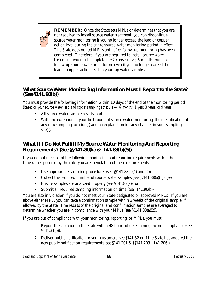

**REMEMBER:** Once the State sets MPLs or determines that you are not required to install source water treatment, you can discontinue source water monitoring if you no longer exceed the lead or copper action level during the entire source water monitoring period in effect. The State does not set MPLs until after follow-up monitoring has been completed. Therefore, if you are required to install source water treatment, you must complete the 2 consecutive, 6-month rounds of follow-up source water monitoring even if you no longer exceed the lead or copper action level in your tap water samples.

### *What Source Water Monitoring Information Must I Report to the State? (See §141.90(b))*

You must provide the following information within 10 days of the end of the monitoring period *(based on your source water lead and copper sampling schedule — 6 months, 1 year, 3 years, or 9 years)*:

- All source water sample results; and
- With the exception of your first round of source water monitoring, the identification of any new sampling location(s) and an explanation for any changes in your sampling site(s).

# *What If I Do Not Fulfill My Source Water Monitoring And Reporting Requirements? (See §§141.80(k) & 141.83(b)(5))*

If you do not meet all of the following monitoring and reporting requirements within the timeframe specified by the rule, you are in violation of these requirements:

- Use appropriate sampling procedures (see §§141.88(a)(1) and (2));
- Collect the required number of source water samples (see  $\S$ §141.88(a)(1) (e));
- Ensure samples are analyzed properly (see §141.89(a)); *or*
- Submit all required sampling information on time (see §141.90(b)).

You are also in violation if you do not meet your State-designated or approved MPLs. If you are above either MPL, you can take a confirmation sample within 2 weeks of the original sample, if allowed by the State. The results of the original and confirmation samples are averaged to determine whether you are in compliance with your MPLs (see §§141.88(a)(2)).

If you are out of compliance with your monitoring, reporting, or MPLs, you must:

- 1. Report the violation to the State within 48 hours of determining the noncompliance (see §141.31(b)).
- 2. Deliver public notification to your customers (see §141.32 or if the State has adopted the new public notification requirements, see §141.201 & §§141.203 - 141.206.)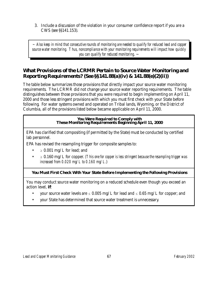3. Include a discussion of the violation in your consumer confidence report if you are a CWS (see §§141.153).

 *~ Also keep in mind that consecutive rounds of monitoring are needed to qualify for reduced lead and copper source water monitoring. Thus, noncompliance with your monitoring requirements will impact how quickly you can qualify for reduced monitoring*. ~

# *What Provisions of the LCRMR Pertain to Source Water Monitoring and Reporting Requirements? (See §§141.88(a)(iv) & 141.88(e)(2)(ii))*

The table below summarizes those provisions that directly impact your source water monitoring requirements. The LCRMR did not change your source water reporting requirements. The table distinguishes between those provisions that you were required to begin implementing on April 11, 2000 and those less stringent provisions with which you must first check with your State before following. For water systems owned and operated on Tribal lands, Wyoming, or the District of Columbia, all of the provisions listed below became applicable on April 11, 2000.

# **You Were Required to Comply with These Monitoring Requirements Beginning April 11, 2000**

EPA has clarified that compositing (if permitted by the State) must be conducted by certified lab personnel.

EPA has revised the resampling trigger for composite samples to:

- $\geq 0.001$  mg/L for lead; and
- $\bullet$   $\geq$  0.160 mg/L for copper. *(This one for copper is less stringent because the resampling trigger was increased from 0.020 mg/L to 0.160 mg/L.*)

# **You Must First Check With Your State Before Implementing the Following Provisions**

You may conduct source water monitoring on a reduced schedule even though you exceed an action level, *if*:

- your source water levels are  $\leq 0.005$  mg/L for lead and  $\leq 0.65$  mg/L for copper; and
- your State has determined that source water treatment is unnecessary.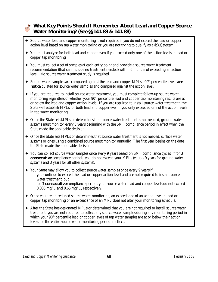# *What Key Points Should I Remember About Lead and Copper Source Water Monitoring? (See §§141.83 & 141.88)*

- $\triangle$  Source water lead and copper monitoring is not required if you do not exceed the lead or copper action level based on tap water monitoring or you are not trying to qualify as a (b)(3) system.
- g You must analyze for both lead and copper even if you exceed only one of the action levels in lead or copper tap monitoring.
- $\rightarrow$  You must collect a set of samples at each entry point and provide a source water treatment recommendation (that can include no treatment needed) within 6 months of exceeding an action level. No source water treatment study is required.
- ◆ Source water samples are compared against the lead and copper MPLs. 90<sup>th</sup> percentile levels *are not* calculated for source water samples and compared against the action level.
- $\triangleq$  If you are required to install source water treatment, you must complete follow-up source water monitoring regardless of whether your  $90<sup>th</sup>$  percentile lead and copper tap monitoring results are at or below the lead and copper action levels. If you are required to install source water treatment, the State will establish MPLs for both lead and copper even if you only exceeded one of the action levels in tap water monitoring.
- $\triangle$  Once the State sets MPLs or determines that source water treatment is not needed, ground water systems must monitor every 3 years beginning with the SMF compliance period in effect when the State made the applicable decision.
- $\triangle$  Once the State sets MPLs or determines that source water treatment is not needed, surface water systems or ones using a combined source must monitor annually. The first year begins on the date the State made the applicable decision.
- g You can collect source water samples once every 9 years based on SMF compliance cycles, if for 3 *consecutive* compliance periods you do not exceed your MPLs (equals 9 years for ground water systems and 3 years for all other systems).
- Your State may allow you to collect source water samples once every 9 years if:
	- S you continue to exceed the lead or copper action level and are not required to install source water treatment, but
	- for 3 *consecutive* compliance periods your source water lead and copper levels do not exceed 0.005 mg/L and 0.65 mg/L, respectively.
- ◆ Once you are on reduced source water monitoring, an exceedance of an action level in lead or copper tap monitoring or an exceedance of an MPL does not alter your monitoring schedule.
- $\triangle$  After the State has designated MPLs or determined that you are not required to install source water treatment, you are not required to collect any source water samples during any monitoring period in which your 90<sup>th</sup> percentile lead or copper levels of tap water samples are at or below their action levels for the entire source water monitoring period in effect.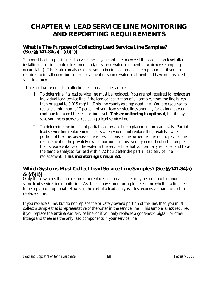# **CHAPTER V: LEAD SERVICE LINE MONITORING AND REPORTING REQUIREMENTS**

# *What Is The Purpose of Collecting Lead Service Line Samples? (See §§141.84(a) - (d)(1))*

You must begin replacing lead service lines if you continue to exceed the lead action level after installing corrosion control treatment and/or source water treatment (in whichever sampling occurs later). The State can also require you to begin lead service line replacement if you are required to install corrosion control treatment or source water treatment and have not installed such treatment.

There are two reasons for collecting lead service line samples.

- 1. To determine if a lead service line must be replaced. You are not required to replace an individual lead service line if the lead concentration of all samples from the line is less than or equal to 0.015 mg/L. This line counts as a replaced line. You are required to replace a minimum of 7 percent of your lead service lines annually for as long as you continue to exceed the lead action level. *This monitoring is optional*, but it may save you the expense of replacing a lead service line.
- 2. To determine the impact of partial lead service line replacement on lead levels. Partial lead service line replacement occurs when you do not replace the privately-owned portion of the line, because of legal restrictions or the owner decides not to pay for the replacement of the privately-owned portion. In this event, you must collect a sample that is representative of the water in the service line that you partially replaced and have the sample analyzed for lead within 72 hours after the partial lead service line replacement. *This monitoring is required.*

# *Which Systems Must Collect Lead Service Line Samples? (See §§141.84(a) & (d)(1))*<br>Only those systems that are required to replace lead service lines may be required to conduct

some lead service line monitoring. As stated above, monitoring to determine whether a line needs to be replaced is optional. However, the cost of a lead analysis is less expensive than the cost to replace a line.

If you replace a line, but do not replace the privately-owned portion of the line, then you must collect a sample that is representative of the water in the service line. This sample is *not* required if you replace the *entire* lead service line, or if you only replaces a gooseneck, pigtail, or other fittings and these are the only lead components in your service line.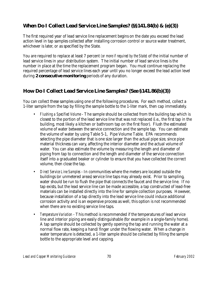# *When Do I Collect Lead Service Line Samples? (§§141.84(b) & (e)(3))*

The first required year of lead service line replacement begins on the date you exceed the lead action level in tap samples collected after installing corrosion control or source water treatment, whichever is later, or as specified by the State.

You are required to replace at least 7 percent *(or more if required by the State)* of the initial number of lead service lines in your distribution system. The initial number of lead service lines is the number in place at the time the replacement program began. You must continue replacing the required percentage of lead service lines each year until you no longer exceed the lead action level during *2 consecutive monitoring* periods of any duration.

# *How Do I Collect Lead Service Line Samples? (See §141.86(b)(3))*

You can collect these samples using one of the following procedures. For each method, collect a 1-liter sample from the tap by filling the sample bottle to the 1-liter mark, then cap immediately.

- *Flushing a Specified Volume* The sample should be collected from the building tap which is closest to the portion of the lead service line that was not replaced (i.e., the first tap in the building, most likely a kitchen or bathroom tap on the first floor). Flush the estimated volume of water between the service connection and the sample tap. You can estimate the volume of water by using Table 5-1, Pipe Volume Table. EPA recommends selecting the pipe diameter that is one size larger than the actual pipe size, since pipe material thickness can vary, affecting the interior diameter and the actual volume of water. You can also estimate the volume by measuring the length and diameter of piping from tap to connection and the length and diameter of the service connection itself into a graduated beaker or cylinder to ensure that you have collected the correct volume, then close the tap.
- *Direct Service Line Samples* In communities where the meters are located outside the buildings (or unmetered areas) service line taps may already exist. Prior to sampling, water should be run to flush the pipe that connects the faucet and the service line. If no tap exists, but the lead service line can be made accessible, a tap constructed of lead-free materials can be installed directly into the line for sample collection purposes. However, because installation of a tap directly into the lead service line could induce additional corrosion activity and is an expensive process as well, this option is not recommended when there are no existing service line taps.
- *Temperature Variation* This method is recommended if the temperatures of lead service line and interior piping are easily distinguishable (for example in a single-family home). A tap sample should be collected by gently opening the tap and running the water at a normal flow rate, keeping a hand/finger under the flowing water. When a change in water temperature is detected, a 1-liter sample should be collected by filling the sample bottle to the appropriate level and capping.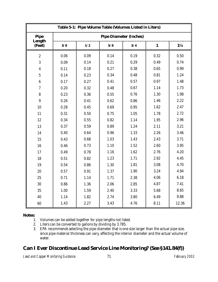|                  |      |      | Table 5-1: Pipe Volume Table (Volumes Listed in Liters) |      |              |                |
|------------------|------|------|---------------------------------------------------------|------|--------------|----------------|
| <b>Pipe</b>      |      |      | <b>Pipe Diameter (Inches)</b>                           |      |              |                |
| Length<br>(Feet) | 3/8  | 1/2  | 5/8                                                     | 3/4  | $\mathbf{1}$ | $1\frac{1}{4}$ |
| $\boldsymbol{2}$ | 0.06 | 0.09 | 0.14                                                    | 0.19 | 0.32         | 0.50           |
| 3                | 0.09 | 0.14 | 0.21                                                    | 0.29 | 0.49         | 0.74           |
| $\boldsymbol{4}$ | 0.11 | 0.18 | 0.27                                                    | 0.38 | 0.65         | 0.99           |
| $\mathbf 5$      | 0.14 | 0.23 | 0.34                                                    | 0.48 | 0.81         | 1.24           |
| $\bf{6}$         | 0.17 | 0.27 | 0.41                                                    | 0.57 | 0.97         | 1.48           |
| $\overline{7}$   | 0.20 | 0.32 | 0.48                                                    | 0.67 | 1.14         | 1.73           |
| 8                | 0.23 | 0.36 | 0.55                                                    | 0.76 | 1.30         | 1.98           |
| $\boldsymbol{9}$ | 0.26 | 0.41 | 0.62                                                    | 0.86 | 1.46         | 2.22           |
| 10               | 0.28 | 0.45 | 0.69                                                    | 0.95 | 1.62         | 2.47           |
| 11               | 0.31 | 0.50 | 0.75                                                    | 1.05 | 1.78         | 2.72           |
| 12               | 0.34 | 0.55 | 0.82                                                    | 1.14 | 1.95         | 2.96           |
| 13               | 0.37 | 0.59 | 0.89                                                    | 1.24 | 2.11         | 3.21           |
| 14               | 0.40 | 0.64 | 0.96                                                    | 1.33 | 2.26         | 3.46           |
| 15               | 0.43 | 0.68 | 1.03                                                    | 1.43 | 2.43         | 3.71           |
| 16               | 0.46 | 0.73 | 1.10                                                    | 1.52 | 2.60         | 3.95           |
| 17               | 0.49 | 0.78 | 1.16                                                    | 1.62 | 2.76         | 4.20           |
| 18               | 0.51 | 0.82 | 1.23                                                    | 1.71 | 2.92         | 4.45           |
| 19               | 0.54 | 0.86 | 1.30                                                    | 1.81 | 3.08         | 4.70           |
| 20               | 0.57 | 0.91 | 1.37                                                    | 1.90 | 3.24         | 4.94           |
| 25               | 0.71 | 1.14 | 1.71                                                    | 2.38 | 4.06         | 6.18           |
| 30               | 0.86 | 1.36 | 2.06                                                    | 2.85 | 4.87         | 7.41           |
| 35               | 1.00 | 1.59 | 2.40                                                    | 3.33 | 5.68         | 8.65           |
| 40               | 1.14 | 1.82 | 2.74                                                    | 3.80 | 6.49         | 9.88           |
| 60               | 1.43 | 2.27 | 3.43                                                    | 4.76 | 8.11         | 12.36          |

# **Notes:**

1. Volumes can be added together for pipe lengths not listed.

- 2. Liters can be converted to gallons by dividing by 3.785.
- 3. EPA recommends selecting the pipe diameter that is one size larger than the actual pipe size, since pipe material thickness can vary, affecting the interior diameter and the actual volume of water.

# *Can I Ever Discontinue Lead Service Line Monitoring? (See §141.84(f))*

*Lead and Copper Monitoring Guidance* 71 *February 2002*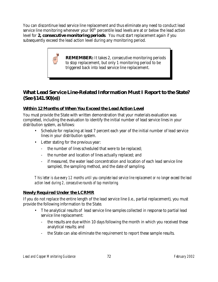You can discontinue lead service line replacement and thus eliminate any need to conduct lead service line monitoring whenever your  $90<sup>th</sup>$  percentile lead levels are at or below the lead action level for *2, consecutive monitoring periods*. You must start replacement again if you subsequently exceed the lead action level during any monitoring period.

> **REMEMBER:** It takes 2, consecutive monitoring periods to stop replacement, but only 1 monitoring period to be triggered back into lead service line replacement.

# *What Lead Service Line-Related Information Must I Report to the State? (See §141.90)(e))*

# **Within 12 Months of When You Exceed the Lead Action Level**

You must provide the State with written demonstration that your materials evaluation was completed, including the evaluation to identify the initial number of lead service lines in your distribution system, as follows:

- Schedule for replacing at least 7 percent each year of the initial number of lead service lines in your distribution system.
- Letter stating for the previous year:
	- the number of lines scheduled that were to be replaced;
	- the number and location of lines actually replaced; and
	- if measured, the water lead concentration and location of each lead service line sampled, the sampling method, and the date of sampling.

*This letter is due every 12 months until you complete lead service line replacement or no longer exceed the lead action level during 2, consecutive rounds of tap monitoring.*

# **Newly Required Under the LCRMR**

If you do not replace the entire length of the lead service line (i.e., partial replacement), you must provide the following information to the State.

- The analytical results of lead service line samples collected in response to partial lead service line replacement:
	- the results are due within 10 days following the month in which you received these analytical results; and
	- the State can also eliminate the requirement to report these sample results.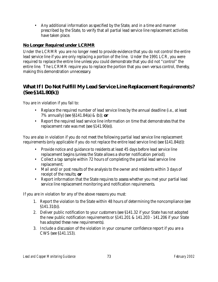• Any additional information as specified by the State, and in a time and manner prescribed by the State, to verify that all partial lead service line replacement activities have taken place.

# **No Longer Required under LCRMR**

Under the LCRMR you are no longer need to provide evidence that you do not control the entire lead service line if you are only replacing a portion of the line. Under the 1991 LCR, you were required to replace the entire line unless you could demonstrate that you did not "control" the entire line. The LCRMR require you to replace the portion that you own versus control, thereby, making this demonstration unnecessary.

# *What If I Do Not Fulfill My Lead Service Line Replacement Requirements? (See §141.80(k))*

You are in violation if you fail to:

- Replace the required number of lead service lines by the annual deadline (i.e., at least 7% annually) (see §§141.84(a) & (b)); *or*
- Report the required lead service line information on time that demonstrates that the replacement rate was met (see §141.90(e)).

You are also in violation if you do not meet the following partial lead service line replacement requirements (only applicable if you do not replace the entire lead service line) (see §141.84(d)):

- Provide notice and guidance to residents at least 45 days before lead service line replacement begins (unless the State allows a shorter notification period);
- Collect a tap sample within 72 hours of completing the partial lead service line replacement;
- Mail and/or post results of the analysis to the owner and residents within 3 days of receipt of the results; *or*
- Report information that the State requires to assess whether you met your partial lead service line replacement monitoring and notification requirements.

If you are in violation for any of the above reasons you must:

- 1. Report the violation to the State within 48 hours of determining the noncompliance (see §141.31(b)).
- 2. Deliver public notification to your customers (see §141.32 if your State has not adopted the new public notification requirements or §141.201 & 141.203 - 141.206 if your State has adopted these new requirements).
- 3. Include a discussion of the violation in your consumer confidence report if you are a CWS (see §141.153).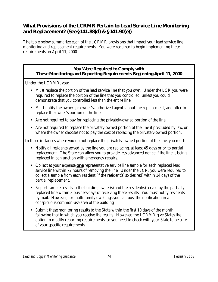# *What Provisions of the LCRMR Pertain to Lead Service Line Monitoring and Replacement? (See §141.88(d) & §141.90(e))*

The table below summarize each of the LCRMR provisions that impact your lead service line monitoring and replacement requirements. You were required to begin implementing these requirements on April 11, 2000.

# **You Were Required to Comply with These Monitoring and Reporting Requirements Beginning April 11, 2000**

Under the LCRMR, you:

- Must replace the portion of the lead service line that you own. Under the LCR you were required to replace the portion of the line that you controlled, unless you could demonstrate that you controlled less than the entire line.
- Must notify the owner (or owner's authorized agent) about the replacement, and offer to replace the owner's portion of the line.
- Are not required to pay for replacing the privately-owned portion of the line.
- Are not required to replace the privately-owned portion of the line if precluded by law, or where the owner chooses not to pay the cost of replacing the privately-owned portion.

In those instances where you do not replace the privately-owned portion of the line, you must:

- Notify all residents served by the line you are replacing, at least 45 days prior to partial replacement. The State can allow you to provide less advanced notice if the line is being replaced in conjunction with emergency repairs.
- Collect at your expense *one* representative service line sample for each replaced lead service line within 72 hours of removing the line. Under the LCR, you were required to collect a sample from each resident (if the resident(s) so desired) within 14 days of the partial replacement.
- Report sample results to the building owner(s) and the resident(s) served by the partially replaced line within 3 business days of receiving these results. You must notify residents by mail. However, for multi-family dwellings you can post the notification in a conspicuous common-use area of the building.
- Submit these monitoring results to the State within the first 10 days of the month following that in which you receive the results. However, the LCRMR give States the option to modify reporting requirements, so you need to check with your State to be sure of your specific requirements.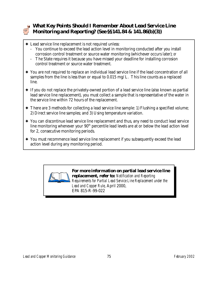

# *What Key Points Should I Remember About Lead Service Line Monitoring and Reporting? (See §§141.84 & 141.86(b)(3))*

- $\triangle$  Lead service line replacement is not required unless:
	- You continue to exceed the lead action level in monitoring conducted after you install corrosion control treatment or source water monitoring (whichever occurs later); *or*
	- The State requires it because you have missed your deadline for installing corrosion control treatment or source water treatment.
- $\rightarrow$  You are not required to replace an individual lead service line if the lead concentration of all samples from the line is less than or equal to 0.015 mg/L. This line counts as a replaced line.
- $\triangle$  If you do not replace the privately-owned portion of a lead service line (also known as partial lead service line replacement), you must collect a sample that is representative of the water in the service line within 72 hours of the replacement.
- $\triangle$  There are 3 methods for collecting a lead service line sample: 1) Flushing a specified volume; 2) Direct service line samples; and 3) Using temperature variation.
- $\rightarrow$  You can discontinue lead service line replacement and thus, any need to conduct lead service line monitoring whenever your  $90<sup>th</sup>$  percentile lead levels are at or below the lead action level for 2, consecutive monitoring periods.
- $\rightarrow$  You must recommence lead service line replacement if you subsequently exceed the lead action level during any monitoring period.



*Requirements for Partial Lead Service Line Replacement under the Lead and Copper Rule*, April 2000, EPA 815-R-99-022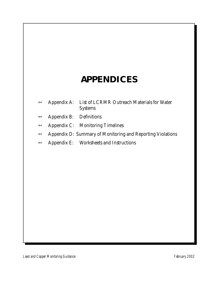# **APPENDICES**

- Appendix A: List of LCRMR Outreach Materials for Water Systems
- Appendix B: Definitions
- Appendix C: Monitoring Timelines
- Appendix D: Summary of Monitoring and Reporting Violations
- Appendix E: Worksheets and Instructions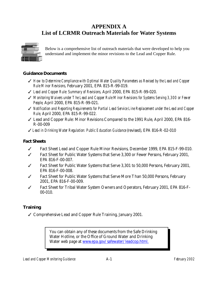# **APPENDIX A List of LCRMR Outreach Materials for Water Systems**



Below is a comprehensive list of outreach materials that were developed to help you understand and implement the minor revisions to the Lead and Copper Rule.

# **Guidance Documents**

- T *How to Determine Compliance with Optimal Water Quality Parameters as Revised by the Lead and Copper Rule Minor Revisions,* February 2001, EPA 815-R-99-019.
- T *Lead and Copper Rule: Summary of Revisions,* April 2000, EPA 815-R-99-020.
- T *Monitoring Waivers under The Lead and Copper Rule Minor Revisions for Systems Serving 3,300 or Fewer People,* April 2000, EPA 815-R-99-021.
- T *Notification and Reporting Requirements for Partial Lead Service Line Replacement under the Lead and Copper Rule,* April 2000, EPA 815-R-99-022.
- $\checkmark$  Lead and Copper Rule: Minor Revisions Compared to the 1991 Rule, April 2000, EPA 816-R-00-009
- T *Lead in Drinking Water Regulation: Public Education Guidance* (revised), EPA 816-R-02-010

# **Fact Sheets**

- $\checkmark$  Fact Sheet Lead and Copper Rule Minor Revisions, December 1999, EPA 815-F-99-010.
- $\checkmark$  Fact Sheet for Public Water Systems that Serve 3,300 or Fewer Persons, February 2001, EPA 816-F-00-007.
- $\checkmark$  Fact Sheet for Public Water Systems that Serve 3,301 to 50,000 Persons, February 2001, EPA 816-F-00-008.
- $\checkmark$  Fact Sheet for Public Water Systems that Serve More Than 50,000 Persons, February 2001, EPA 816-F-00-009.
- $\checkmark$  Fact Sheet for Tribal Water System Owners and Operators, February 2001, EPA 816-F-00-010.

# **Training**

 $\checkmark$  Comprehensive Lead and Copper Rule Training, January 2001.

You can obtain any of these documents from the Safe Drinking Water Hotline, or the Office of Ground Water and Drinking Water web page at www.epa.gov/safewater/leadcop.html.

*Lead and Copper Monitoring Guidance* A-1 *February 2002*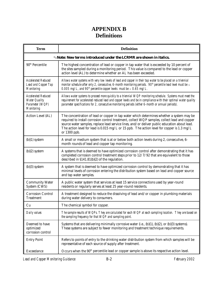# **APPENDIX B Definitions**

| <b>Term</b>                                                                                | <b>Definition</b>                                                                                                                                                                                                                                                                                                                                                                                         |
|--------------------------------------------------------------------------------------------|-----------------------------------------------------------------------------------------------------------------------------------------------------------------------------------------------------------------------------------------------------------------------------------------------------------------------------------------------------------------------------------------------------------|
|                                                                                            | <b>Note: New terms introduced under the LCRMR are shown in italics.</b>                                                                                                                                                                                                                                                                                                                                   |
| 90 <sup>th</sup> Percentile                                                                | The highest concentration of lead or copper in tap water that is exceeded by 10 percent of<br>the sites sampled during a monitoring period. This value is compared to the lead or copper<br>action level (AL) to determine whether an AL has been exceeded.                                                                                                                                               |
| <b>Accelerated Reduced</b><br><b>Lead and Copper Tap</b><br><b>Monitoring</b>              | Allows water systems with very low levels of lead and copper in their tap water to be placed on a triennial<br>monitor schedule after only 2, consecutive, 6-month monitoring periods. $90^h$ percentile lead level must be $\leq$<br>0.005 mg/L, and $90^h$ percentile copper levels must be $\leq 0.65$ mg/L.                                                                                           |
| <b>Accelerated Reduced</b><br><b>Water Quality</b><br>Parameter (WQP)<br><b>Monitoring</b> | Allows water systems to proceed more quickly to a triennial WQP monitoring schedule. Systems must meet the<br>requirement for accelerated reduced lead and copper levels and be in compliance with their optimal water quality<br>parameter specifications for 2, consecutive monitoring periods (either 6-month or annual periods).                                                                      |
| <b>Action Level (AL)</b>                                                                   | The concentration of lead or copper in tap water which determines whether a system may be<br>required to install corrosion control treatment, collect WQP samples, collect lead and copper<br>source water samples, replace lead service lines, and/or deliver public education about lead.<br>The action level for lead is 0.015 mg/L or 15 ppb. The action level for copper is 1.3 mg/L<br>or 1300 ppb. |
| $(b)(1)$ system                                                                            | A small or medium system that is at or below both action levels during 2, consecutive, 6-<br>month rounds of lead and copper tap monitoring.                                                                                                                                                                                                                                                              |
| $(b)(2)$ system                                                                            | A systems that is deemed to have optimized corrosion control after demonstrating that it has<br>completed corrosion control treatment steps prior to 12/7/92 that are equivalent to those<br>described in §141.81(b)(2) of the regulation.                                                                                                                                                                |
| $(b)(3)$ system                                                                            | A system that is deemed to have optimized corrosion control by demonstrating that it has<br>minimal levels of corrosion entering the distribution system based on lead and copper source<br>and tap water samples.                                                                                                                                                                                        |
| <b>Community Water</b><br>System (CWS)                                                     | A public water system that services at least 15 service connections used by year-round<br>residents or regularly serves at least 25 year-round residents.                                                                                                                                                                                                                                                 |
| <b>Corrosion Control</b><br><b>Treatment</b>                                               | A treatment designed to reduce the dissolving of lead and/or copper in plumbing materials<br>during water delivery to consumers.                                                                                                                                                                                                                                                                          |
| Cu                                                                                         | The chemical symbol for copper.                                                                                                                                                                                                                                                                                                                                                                           |
| Daily values                                                                               | The sample results of WQPs. They are calculated for each WQP at each sampling location. They are based on<br>the sampling frequency for that WQP and sampling point.                                                                                                                                                                                                                                      |
| Deemed to have<br>optimized<br>corrosion control                                           | Systems that are delivering minimally corrosive water (i.e., (b)(1), (b)(2), or (b)(3) systems).<br>These systems are subject to fewer monitoring and treatment technique requirements.                                                                                                                                                                                                                   |
| <b>Entry Point</b>                                                                         | Refers to points of entry to the drinking water distribution system from which samples will be<br>representative of each source of supply after treatment.                                                                                                                                                                                                                                                |
| <b>Exceedance</b>                                                                          | Occurs when the $90th$ percentile lead or copper sample is above its respective action level.                                                                                                                                                                                                                                                                                                             |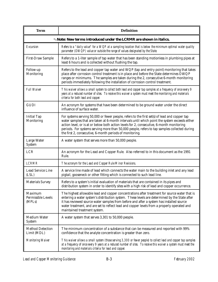| <b>Term</b>                                           | <b>Definition</b>                                                                                                                                                                                                                                                                                                                                                                                                                                       |
|-------------------------------------------------------|---------------------------------------------------------------------------------------------------------------------------------------------------------------------------------------------------------------------------------------------------------------------------------------------------------------------------------------------------------------------------------------------------------------------------------------------------------|
|                                                       | <i><b>Note: New terms introduced under the LCRMR are shown in italics.</b></i>                                                                                                                                                                                                                                                                                                                                                                          |
| <b>Excursion</b>                                      | Refers to a "daily value" for a WQP at a sampling location that is below the minimum optimal water quality<br>parameter (OWQP) value or outside the range of values designated by the State.                                                                                                                                                                                                                                                            |
| <b>First-Draw Sample</b>                              | Refers to a 1-liter sample of tap water that has been standing motionless in plumbing pipes at<br>least 6 hours and is collected without flushing the tap.                                                                                                                                                                                                                                                                                              |
| Follow-up<br><b>Monitoring</b>                        | Refers to the lead and copper tap water and WQP (tap and entry point) monitoring that takes<br>place after corrosion control treatment is in place and before the State determines OWQP<br>ranges or minimums. The samples are taken during the 2, consecutive 6-month monitoring<br>periods immediately following the installation of corrosion control treatment.                                                                                     |
| <b>Full Waiver</b>                                    | This waiver allows a small system to collect both lead and copper tap samples at a frequency of once every 9<br>years at a reduced number of sites. To receive this waiver a system must meet the monitoring and materials<br>criteria for both lead and copper.                                                                                                                                                                                        |
| <b>GUDI</b>                                           | An acronym for systems that have been determined to be ground water under the direct<br>influence of surface water.                                                                                                                                                                                                                                                                                                                                     |
| <b>Initial Tap</b><br><b>Monitoring</b>               | For systems serving 50,000 or fewer people, refers to the first set(s) of lead and copper tap<br>water samples that are taken at 6-month intervals until which point the system exceeds either<br>action level, or is at or below both action levels for 2, consecutive, 6-month monitoring<br>periods. For systems serving more than 50,000 people, refers to tap samples collected during<br>the first 2, consecutive, 6-month periods of monitoring. |
| <b>Large Water</b><br><b>System</b>                   | A water system that serves more than 50,000 people.                                                                                                                                                                                                                                                                                                                                                                                                     |
| <b>LCR</b>                                            | An acronym for the Lead and Copper Rule. Also referred to in this document as the 1991<br>Rule.                                                                                                                                                                                                                                                                                                                                                         |
| <b>LCRMR</b>                                          | The acronym for the Lead and Copper Rule Minor Revisions.                                                                                                                                                                                                                                                                                                                                                                                               |
| <b>Lead Service Line</b><br>(LSL)                     | A service line made of lead which connects the water main to the building inlet and any lead<br>pigtail, gooseneck or other fitting which is connected to such lead line.                                                                                                                                                                                                                                                                               |
| <b>Materials Survey</b>                               | Refers to a system's initial evaluation of materials that are contained in its pipes and<br>distribution system in order to identify sites with a high risk of lead and copper occurrence.                                                                                                                                                                                                                                                              |
| <b>Maximum</b><br><b>Permissible Levels</b><br>(MPLs) | The highest allowable lead and copper concentrations after treatment for source water that is<br>entering a water system's distribution system. These levels are determined by the State after<br>it has reviewed source water samples from before and after a system has installed source<br>water treatment, and are set to reflect lead and copper levels from a properly operated and<br>maintained treatment system.                               |
| <b>Medium Water</b><br><b>System</b>                  | A water system that serves 3,301 to 50,000 people.                                                                                                                                                                                                                                                                                                                                                                                                      |
| <b>Method Detection</b><br>Limit (MDL)                | The minimum concentration of a substance that can be measured and reported with 99%<br>confidence that the analyte concentration is greater than zero.                                                                                                                                                                                                                                                                                                  |
| <b>Monitoring Waiver</b>                              | This waiver allows a small system (those serving 3,300 or fewer people) to collect lead and copper tap samples<br>at a frequency of once every 9 years at a reduced number of sites. To receive this waiver a system must meet the<br>monitoring and materials criteria for lead and copper.                                                                                                                                                            |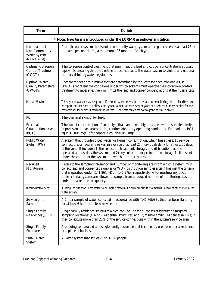| <b>Term</b>                                                                | <b>Definition</b>                                                                                                                                                                                                                                                                                                                                                                                                                                             |
|----------------------------------------------------------------------------|---------------------------------------------------------------------------------------------------------------------------------------------------------------------------------------------------------------------------------------------------------------------------------------------------------------------------------------------------------------------------------------------------------------------------------------------------------------|
|                                                                            | <b>Note: New terms introduced under the LCRMR are shown in italics.</b>                                                                                                                                                                                                                                                                                                                                                                                       |
| Non-transient.<br><b>Non-Community</b><br><b>Water System</b><br>(NTNCWSs) | A public water system that is not a community water system and regularly serves at least 25 of<br>the same persons during a minimum of 6 months of each year.                                                                                                                                                                                                                                                                                                 |
| <b>Optimal Corrosion</b><br><b>Control Treatment</b><br>(OCCT)             | The corrosion control treatment that minimizes the lead and copper concentrations at users'<br>taps while ensuring that the treatment does not cause the water system to violate any national<br>primary drinking water regulations.                                                                                                                                                                                                                          |
| <b>Optimal Water</b><br><b>Quality Parameters</b><br>(OWQPs)               | Specific ranges or minimums that are determined by the State for each relevant WQP.<br>OWQPs represent the conditions under which systems must operate their corrosion control<br>treatment to most effectively minimize the lead and copper concentrations at their users' taps.                                                                                                                                                                             |
| <b>Partial Wavier</b>                                                      | This type of waiver may be granted if a small system meets the materials and monitoring criteria for either lead<br>or copper, but not both. It allows the system to monitor once every 9 years at a reduced number of sites for the<br>contaminant for which it receives the waiver. The State may elect not to grant partial waivers.                                                                                                                       |
| Pb                                                                         | The chemical symbol for lead.                                                                                                                                                                                                                                                                                                                                                                                                                                 |
| <b>Practical</b><br><b>Quantitation Level</b><br>(PQL)                     | The lowest concentration of an analyte that can be reliably measured within specified limits<br>of precision and accuracy during routine laboratory operating conditions. For lead, the PQL<br>equals 0.005 mg/L; for copper it equals 0.050 mg/L.                                                                                                                                                                                                            |
| <b>Public Water</b><br><b>System (PWS)</b>                                 | A system that provides piped water for human consumption, which has at least 15 service<br>connections or regularly serves an average of at least 25 individuals daily for at least 60 days<br>of the year. It includes: 1) the collection, treatment, storage, and distribution facilities<br>operated and used by the system, and 2) any collection or pretreatment storage facilities not<br>under the control of the system, but which it primarily uses. |
| <b>Reduced</b><br><b>Monitoring</b>                                        | Refers to the sampling frequency and number of monitoring sites from which a system must<br>collect lead and copper tap samples or WQP distribution samples after it has met the criteria<br>that is specified under §141.86(d)(4) or §141.97(e), respectively. After meeting any one of<br>these criteria, systems are allowed to sample from a reduced number of monitoring sites<br>and/or at a reduced frequency.                                         |
| <b>Representative Site</b>                                                 | A sampling site that is connected to plumbing materials which are similar to materials used at other sites in the<br>water system.                                                                                                                                                                                                                                                                                                                            |
| <b>Service Line</b><br><b>Sample</b>                                       | A 1-liter sample of water, collected in accordance with §141.86(b)(3), that has been standing<br>for at least 6 hours in a lead service line.                                                                                                                                                                                                                                                                                                                 |
| <b>Single Family</b><br><b>Residences (SFRs)</b>                           | Single family residence structures which can include for purposes of identifying targeted<br>sampling locations: (1) Non-Residential structures; and (2) Multi-Family Residences (MFRs) if<br>they constitute more than 20% of the service connections within the system's service area.                                                                                                                                                                      |
| <b>Single Family</b><br><b>Structure</b>                                   | A building constructed as a single-family residence that is currently used as either a residence<br>or a place of business.                                                                                                                                                                                                                                                                                                                                   |
| <b>Small Water</b><br><b>System</b>                                        | A water system that serves 25 to 3,300 people.                                                                                                                                                                                                                                                                                                                                                                                                                |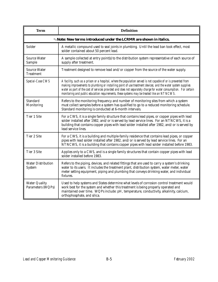| <b>Term</b>                                | <b>Definition</b>                                                                                                                                                                                                                                                                                                                                                                                                                               |
|--------------------------------------------|-------------------------------------------------------------------------------------------------------------------------------------------------------------------------------------------------------------------------------------------------------------------------------------------------------------------------------------------------------------------------------------------------------------------------------------------------|
|                                            | <b>Note: New terms introduced under the LCRMR are shown in italics.</b>                                                                                                                                                                                                                                                                                                                                                                         |
| <b>Solder</b>                              | A metallic compound used to seal joints in plumbing. Until the lead ban took effect, most<br>solder contained about 50 percent lead.                                                                                                                                                                                                                                                                                                            |
| <b>Source Water</b><br><b>Sample</b>       | A sample collected at entry point(s) to the distribution system representative of each source of<br>supply after treatment.                                                                                                                                                                                                                                                                                                                     |
| <b>Source Water</b><br><b>Treatment</b>    | Treatment designed to remove lead and/or copper from the source of the water supply.                                                                                                                                                                                                                                                                                                                                                            |
| Special-Case CWS                           | A facility, such as a prison or a hospital, where the population served is not capable of or is prevented from<br>making improvements to plumbing or installing point of use treatment devices; and the water system supplies<br>water as part of the cost of services provided and does not separately charge for water consumption. For certain<br>monitoring and public education requirements, these systems may be treated like an NTNCWS. |
| <b>Standard</b><br><b>Monitoring</b>       | Refers to the monitoring frequency and number of monitoring sites from which a system<br>must collect samples before a system has qualified to go to a reduced monitoring schedule.<br>Standard monitoring is conducted at 6-month intervals.                                                                                                                                                                                                   |
| <b>Tier 1 Site</b>                         | For a CWS, it is a single family structure that contains lead pipes, or copper pipes with lead<br>solder installed after 1982, and/or is served by lead service lines. For an NTNCWS, it is a<br>building that contains copper pipes with lead solder installed after 1982, and/or is served by<br>lead service lines.                                                                                                                          |
| <b>Tier 2 Site</b>                         | For a CWS, it is a building and multiple-family residence that contains lead pipes, or copper<br>pipes with lead solder installed after 1982, and/or is served by lead service lines. For an<br>NTNCWS, it is a building that contains copper pipes with lead solder installed before 1983.                                                                                                                                                     |
| <b>Tier 3 Site</b>                         | Applies only to a CWS, and is a single family structures that contain copper pipes with lead<br>solder installed before 1983.                                                                                                                                                                                                                                                                                                                   |
| <b>Water Distribution</b><br><b>System</b> | Refers to the piping, devices, and related fittings that are used to carry a system's drinking<br>water to its users. It includes the treatment plant, distribution system, water meter, water<br>meter setting equipment, piping and plumbing that conveys drinking water, and individual<br>fixtures.                                                                                                                                         |
| <b>Water Quality</b><br>Parameters (WQPs)  | Used to help systems and States determine what levels of corrosion control treatment would<br>work best for the system and whether this treatment is being properly operated and<br>maintained over time. WQPs include: pH, temperature, conductivity, alkalinity, calcium,<br>orthophosphate, and silica.                                                                                                                                      |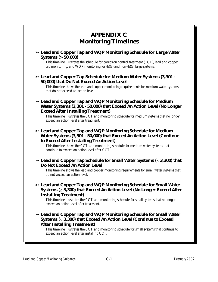# **APPENDIX C Monitoring Timelines** 8 **Lead and Copper Tap and WQP Monitoring Schedule for Large Water Systems (> 50,000)** This timeline illustrates the schedule for corrosion control treatment (CCT), lead and copper tap monitoring, and WQP monitoring for (b)(3) and non-(b)(3) large systems. 8 **Lead and Copper Tap Schedule for Medium Water Systems (3,301 - 50,000) that Do Not Exceed An Action Level** This timeline shows the lead and copper monitoring requirements for medium water systems that do not exceed an action level. 8 **Lead and Copper Tap and WQP Monitoring Schedule for Medium Water Systems (3,301 - 50,000) that Exceed An Action Level (No Longer Exceed After Installing Treatment)** This timeline illustrates the CCT and monitoring schedule for medium systems that no longer exceed an action level after treatment. 8 **Lead and Copper Tap and WQP Monitoring Schedule for Medium Water Systems (3,301 - 50,000) that Exceed An Action Level (Continue to Exceed After Installing Treatment)** This timeline shows the CCT and monitoring schedule for medium water systems that continue to exceed an action level after CCT. **→ Lead and Copper Tap Schedule for Small Water Systems (** $\leq$  **3,300) that Do Not Exceed An Action Level** This timeline shows the lead and copper monitoring requirements for small water systems that do not exceed an action level. 8 **Lead and Copper Tap and WQP Monitoring Schedule for Small Water Systems (**# **3,300) that Exceed An Action Level (No Longer Exceed After Installing Treatment)** This timeline illustrates the CCT and monitoring schedule for small systems that no longer exceed an action level after treatment. 8 **Lead and Copper Tap and WQP Monitoring Schedule for Small Water Systems (**# **3,300) that Exceed An Action Level (Continue to Exceed After Installing Treatment)** This timeline illustrates the CCT and monitoring schedule for small systems that continue to exceed an action level after installing CCT.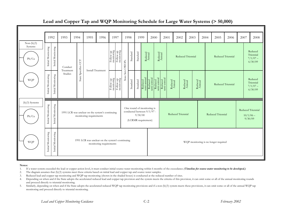# **Lead and Copper Tap and WQP Monitoring Schedule for Large Water Systems (> 50,000)**

|                                  | 1992               |                    | 1993                 | 1994 |                     | 1995                                                                       | 1996                    |                         | 1997                    | 1998                         |                                                                                   | 1999     |                                   | 2000                   |                                   | 2001                   |                                   | 2002              | 2003                              |                                   | 2004 | 2005                                 | 2006 | 2007 |                        | 2008                                          |
|----------------------------------|--------------------|--------------------|----------------------|------|---------------------|----------------------------------------------------------------------------|-------------------------|-------------------------|-------------------------|------------------------------|-----------------------------------------------------------------------------------|----------|-----------------------------------|------------------------|-----------------------------------|------------------------|-----------------------------------|-------------------|-----------------------------------|-----------------------------------|------|--------------------------------------|------|------|------------------------|-----------------------------------------------|
| $Non-(b)(3)$<br>Systems<br>Pb/Cu | Initial Monitoring | Initial Monitoring | Conduct<br>Treatment |      | State Specifies CCT | <b>Install Treatment</b>                                                   |                         | Follow-up<br>monitoring | Follow-up<br>monitoring | State Sets OWOP <sub>s</sub> | $\operatorname{Standard}$                                                         | Standard | ${\bf Reduced} \atop {\bf Anual}$ |                        | ${\bf Reduced} \atop {\bf Anual}$ |                        |                                   |                   | <b>Reduced Triennial</b>          |                                   |      | <b>Reduced Triennial</b>             |      |      |                        | Reduced<br>Triennial<br>$7/1/07 -$<br>6/30/09 |
| <b>WQP</b>                       | Initial Monitoring | Initial Monitoring | Studies              |      |                     |                                                                            |                         | Follow-up<br>monitoring | Follow-up<br>monitoring |                              | Standard                                                                          | Standard | Reduced<br>semi-annual            | Reduced<br>semi-annual | Reduced<br>semi-annual            | Reduced<br>semi-annual | ${\bf Reduced} \atop {\bf Anual}$ |                   | ${\bf Reduced} \atop {\bf Anual}$ | ${\bf Reduced} \atop {\bf Anual}$ |      | Reduced Triennial                    |      |      |                        | Reduced<br>Triennial<br>$7/1/07 -$<br>6/30/09 |
| $(b)(3)$ Systems<br>Pb/Cu        | Initial Monitoring | Initial Monitoring |                      |      |                     | 1991 LCR was unclear on the system's continuing<br>monitoring requirements |                         |                         |                         |                              | One round of monitoring is<br>conducted between $9/1/97$ -<br>(LCRMR requirement) | 9/30/00  |                                   |                        |                                   |                        |                                   | Reduced Triennial |                                   |                                   |      | Reduced Triennial                    |      |      | $10/1/06$ –<br>9/30/09 | Reduced Triennial                             |
| WQP                              | Initial Monitoring | Initial Monitoring |                      |      |                     | 1991 LCR was unclear on the system's continuing                            | monitoring requirements |                         |                         |                              |                                                                                   |          |                                   |                        |                                   |                        |                                   |                   |                                   |                                   |      | WQP monitoring is no longer required |      |      |                        |                                               |

### **Notes:**

- 1. If a water system exceeded the lead or copper action level, it must conduct initial source water monitoring within 6 months of the exceedance *(Timeline for source water monitoring to be developed.)*
- 2. The diagram assumes that (b)(3) systems meet these criteria based on initial lead and copper tap and source water samples.
- 3. Reduced lead and copper tap monitoring and WQP tap monitoring (shown in the shaded boxes) is conducted at the reduced number of sites.
- 4. Depending on when and if the State adopts the accelerated reduced lead and copper tap provision and the system meets the criteria of this provision, it can omit some or all of the annual monitoring rounds and proceed directly to triennial monitoring.
- 5. Similarly, depending on when and if the State adopts the accelerated reduced WQP tap monitoring provisions and if a non-(b)(3) system meets these provisions, it can omit some or all of the annual WQP tap monitoring and proceed directly to triennial monitoring.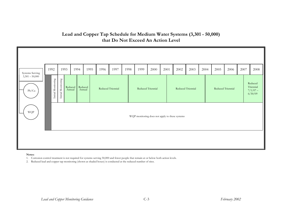# **Lead and Copper Tap Schedule for Medium Water Systems (3,301 - 50,000) that Do Not Exceed An Action Level**



### **Notes:**

1. Corrosion control treatment is not required for systems serving 50,000 and fewer people that remain at or below both action levels.

2. Reduced lead and copper tap monitoring (shown as shaded boxes) is conducted at the reduced number of sites.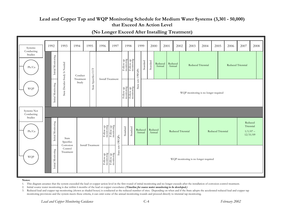# **Lead and Copper Tap and WQP Monitoring Schedule for Medium Water Systems (3,301 - 50,000) that Exceed An Action Level**

19922 | 1993 | 1994 | 1995 | 1996 | 1997 | 1998 | 1999 | 2000 | 2001 | 2002 | 2003 | 2004 | 2005 | 2006 | 2007 | 2008 Systems Conducting StudiesInitial Monitoring Initial Monitoring Initial Monitoring Follow-up monitoring Follow-up monitoring Example 12 Reduced<br>
Standard Annual Standard State Decides Study Is Needed Treatment<br>Study Study Reduced Reduced Triennial Reduced Triennial AnnualPb/Cu State Second<br>State Specifies Contract Install Treatment<br>Specifies Contract Install Treatment State sets OWQPs State sets OWQPs Initial Monitoring Follow-up monitoring Follow-up monitoring WQP WQP monitoring is no longer required Systems Not Conducting Studies Initial Monitoring Initial Monitoring State<br>
Specifies Corrosion Control<br>
Treatment<br>
Treatment<br>
Treatment Reduced Follow-up monitoring Follow-up monitoring TriennialStandard Standard Reduced Reduced Reduced Triennial Reduced Triennial  $1/1/07 Pb/Cu$  |  $g$  |  $g$  |  $g$  |  $g$  |  $g$  |  $g$  |  $g$  |  $g$  |  $g$  |  $g$  |  $g$  |  $g$  |  $g$  |  $g$  |  $g$  |  $g$  |  $g$  |  $g$  |  $g$  |  $g$  |  $g$  |  $g$  |  $g$  |  $g$  |  $g$  |  $g$  |  $g$  |  $g$  |  $g$  |  $g$  |  $g$  |  $g$  |  $g$  |  $g$  |  $g$  |  $g$ AnnualAnnual12/31/09  $\rm O WQPs$ State sets OWQPs Install Treatmentsets State Follow-up monitoring Follow-up monitoring WQP WQP monitoring is no longer required

# **(No Longer Exceed After Installing Treatment)**

### **Notes:**

- 1. This diagram assumes that the system exceeded the lead or copper action level in the first round of initial monitoring and no longer exceeds after the installation of corrosion control treatment.
- 2. Initial source water monitoring is due within 6 months of the lead or copper exceedance *(Timeline for source water monitoring to be developed.)*
- 3. Reduced lead and copper tap monitoring (shown as shaded boxes) is conducted at the reduced number of sites. Depending on when and if the State adopts the accelerated reduced lead and copper tap monitoring provisions and the system meets these criteria, it can omit some of the annual monitoring rounds and proceed directly to triennial tap monitoring.

*Lead and Copper Monitoring Guidance* C-4 *February 2002*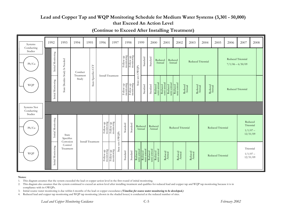# Lead and Copper Tap and WQP Monitoring Schedule for Medium Water Systems (3,301 - 50,000) **that Exceed An Action Level**

| Systems                              | 1992               | 1993                              | 1994               | 1995                     |                     | 1996                                                                                                                                                                                                                                                                                                                                                                                                                                                                                                                                                     | 1997                                                                                                                                                                                                                                                                                                                                                                                                                                                                                                        |                         | 1998                                                                                                                                                                                                                                | 1999                                             |          | 2000                   |                                                                     | 2001                              |                        | 2002                                                                | 2003                              |                                   | 2004                              | 2005              | 2006              | 2007                                           | 2008 |
|--------------------------------------|--------------------|-----------------------------------|--------------------|--------------------------|---------------------|----------------------------------------------------------------------------------------------------------------------------------------------------------------------------------------------------------------------------------------------------------------------------------------------------------------------------------------------------------------------------------------------------------------------------------------------------------------------------------------------------------------------------------------------------------|-------------------------------------------------------------------------------------------------------------------------------------------------------------------------------------------------------------------------------------------------------------------------------------------------------------------------------------------------------------------------------------------------------------------------------------------------------------------------------------------------------------|-------------------------|-------------------------------------------------------------------------------------------------------------------------------------------------------------------------------------------------------------------------------------|--------------------------------------------------|----------|------------------------|---------------------------------------------------------------------|-----------------------------------|------------------------|---------------------------------------------------------------------|-----------------------------------|-----------------------------------|-----------------------------------|-------------------|-------------------|------------------------------------------------|------|
| Conducting<br>Studies<br>Pb/Cu       | Initial Monitoring | State Decides Study Is Needed     | Conduct            |                          |                     |                                                                                                                                                                                                                                                                                                                                                                                                                                                                                                                                                          |                                                                                                                                                                                                                                                                                                                                                                                                                                                                                                             |                         | $\begin{tabular}{c} \multicolumn{1}{c}{\text{Following}}\\ \multicolumn{1}{c}{\text{Follow-up}}\\ \multicolumn{1}{c}{\text{Follow-up}}\\ \multicolumn{1}{c}{\text{Follow-up}}\\ \multicolumn{1}{c}{\text{montoring}} \end{tabular}$ |                                                  | Standard | Standard               | Reduced<br>Annual                                                   |                                   | Reduced<br>Annual      |                                                                     |                                   | Reduced Triennial                 |                                   |                   | Reduced Triennial | $7/1/06 - 6/30/09$                             |      |
| <b>WQP</b>                           | Initial Monitoring |                                   | Treatment<br>Study |                          | State Specifies CCT |                                                                                                                                                                                                                                                                                                                                                                                                                                                                                                                                                          | Install Treatment                                                                                                                                                                                                                                                                                                                                                                                                                                                                                           | Follow-up<br>monitoring | Follow-up<br>monitoring                                                                                                                                                                                                             | State sets OWQPs                                 | Standard | Standard               | Reduced<br>semi-amual                                               | Reduced<br>semi-annual            | Reduced<br>semi-annual | $\begin{array}{c} \text{Reduced} \\ \text{semi-annual} \end{array}$ | ${\bf Reduced} \atop {\bf Anual}$ | ${\bf Reduced} \atop {\bf Anual}$ | ${\bf Reduced} \atop {\bf Anuud}$ |                   | Reduced Triennial |                                                |      |
| Systems Not<br>Conducting<br>Studies |                    |                                   |                    |                          |                     |                                                                                                                                                                                                                                                                                                                                                                                                                                                                                                                                                          |                                                                                                                                                                                                                                                                                                                                                                                                                                                                                                             |                         |                                                                                                                                                                                                                                     |                                                  |          |                        |                                                                     |                                   |                        |                                                                     |                                   |                                   |                                   |                   |                   |                                                |      |
| Pb/Cu                                | Initial Monitoring | State<br>Specifies                |                    |                          |                     | Follow-up<br>monitoring                                                                                                                                                                                                                                                                                                                                                                                                                                                                                                                                  | $\begin{array}{c}\n\text{Following}\\ \text{montoring}\end{array}$                                                                                                                                                                                                                                                                                                                                                                                                                                          | Standard                | Standard                                                                                                                                                                                                                            | Reduced<br>Annual                                |          | Reduced<br>Annual      |                                                                     |                                   |                        | Reduced Triennial                                                   |                                   |                                   |                                   | Reduced Triennial |                   | Reduced<br>Triennial<br>$1/1/07 -$<br>12/31/09 |      |
| <b>WQP</b>                           | Initial Monitoring | Corrosion<br>Control<br>Treatment |                    | <b>Install Treatment</b> |                     | $\begin{array}{c}\n\text{Following} \\ \text{Equation:}\quad\quad \  \  \, \text{The image}\quad\quad \  \  \, \text{The image}\quad\quad \  \  \, \text{The image}\quad\quad \  \  \, \text{The image}\quad\quad \  \  \, \text{The image}\quad\quad \  \  \, \text{The image}\quad\quad \  \  \, \text{The image}\quad\quad \  \  \, \text{The image}\quad\quad \  \  \, \text{The image}\quad\quad \  \  \, \text{The image}\quad\quad \  \  \, \text{The image}\quad\quad \  \  \, \text{The image}\quad\quad \  \  \, \text{The image}\quad\quad \$ | State sets OWQPs<br>$\begin{array}{c}\n\text{Following}\n\\ \text{Equation 1:}\n\\ \text{Equation 2:}\n\\ \text{Equation 3:}\n\\ \text{Equation 4:}\n\\ \text{Equation 5:}\n\\ \text{Equation 6:}\n\\ \text{Equation 7:}\n\\ \text{Equation 7:}\n\\ \text{Equation 7:}\n\\ \text{Equation 7:}\n\\ \text{Equation 8:}\n\\ \text{Equation 9:}\n\\ \text{Equation 9:}\n\\ \text{Equation 1:}\n\\ \text{Equation 1:}\n\\ \text{Equation 1:}\n\\ \text{Equation 1:}\n\\ \text{Equation 1:}\n\\ \text{Equation 1$ | Standard                | Standard                                                                                                                                                                                                                            | Reduced<br>semi-annual<br>Reduced<br>semi-annual |          | Reduced<br>semi-annual | $\begin{array}{c} \text{Reduced} \\ \text{semi-annual} \end{array}$ | ${\bf Reduced} \atop {\bf Anual}$ |                        | ${\bf Reduced} \atop {\bf Anual}$                                   | ${\bf Reduced} \atop {\bf Anual}$ |                                   |                                   | Reduced Triennial |                   | Triennial<br>$1/1/07 -$<br>12/31/09            |      |

**(Continue to Exceed After Installing Treatment)**

### **Notes:**

- 1. This diagram assumes that the system exceeded the lead or copper action level in the first round of initial monitoring.
- 2. This diagram also assumes that the system continued to exceed an action level after installing treatment and qualifies for reduced lead and copper tap and WQP tap monitoring because it is in compliance with its OWQPs.
- 3. Initial source water monitoring is due within 6 months of the lead or copper exceedance *(Timeline for source water monitoring to be developed.)*
- 4. Reduced lead and copper tap monitoring and WQP tap monitoring (shown in the shaded boxes) is conducted at the reduced number of sites.

*Lead and Copper Monitoring Guidance* C-5 *February 2002*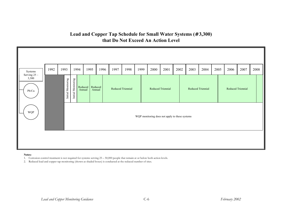# 19922 | 1993 | 1994 | 1995 | 1996 | 1997 | 1998 | 1999 | 2000 | 2001 | 2002 | 2003 | 2004 | 2005 | 2006 | 2007 | 2008 Systems Serving 25 – 3,300 Initial Monitoring Initial Monitoring Francisco Reduced Reduced Reduced Triennial Reduced Triennial Reduced Triennial Reduced Triennial Reduced Triennial Reduced Triennial Reduced Triennial Reduced Triennial Reduced Triennial Reduced Triennial Reduced Triennia Reduced I Reduced Reduced Triennial Reduced Triennial AnnualAnnualPb/Cu WQP WQP monitoring does not apply to these systems

# **Lead and Copper Tap Schedule for Small Water Systems (**# **3,300) that Do Not Exceed An Action Level**

### **Notes:**

1. Corrosion control treatment is not required for systems serving 25 – 50,000 people that remain at or below both action levels.

2. Reduced lead and copper tap monitoring (shown as shaded boxes) is conducted at the reduced number of sites.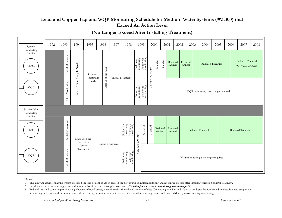# Lead and Copper Tap and WQP Monitoring Schedule for Medium Water Systems (# 3,300) that **Exceed An Action Level**

| Systems                        | 1992 | 1993               | 1994                          | 1995                                | 1996                | 1997                     |                                                                                                       | 1998                                                                                    |                         | 1999                                                                                                                                                                                                                                 |                  | 2000              | 2001     |                   | 2002 |                   | 2003 | 2004                                 | 2005 | 2006 | 2007                                    | 2008 |
|--------------------------------|------|--------------------|-------------------------------|-------------------------------------|---------------------|--------------------------|-------------------------------------------------------------------------------------------------------|-----------------------------------------------------------------------------------------|-------------------------|--------------------------------------------------------------------------------------------------------------------------------------------------------------------------------------------------------------------------------------|------------------|-------------------|----------|-------------------|------|-------------------|------|--------------------------------------|------|------|-----------------------------------------|------|
| Conducting<br>Studies<br>Pb/Cu |      | Initial Monitoring | State Decides Study Is Needed | Conduct<br>Treatment                | State Specifies CCT | <b>Install Treatment</b> |                                                                                                       |                                                                                         | Follow-up<br>monitoring | Follow-up<br>monitoring                                                                                                                                                                                                              | State sets OWQPs | Standard          | Standard | Reduced<br>Annual |      | Reduced<br>Annual |      | Reduced Triennial                    |      |      | Reduced Triennial<br>$7/1/06 - 6/30/09$ |      |
| <b>WQP</b>                     |      | Initial Monitoring |                               | Study                               |                     |                          |                                                                                                       |                                                                                         |                         | $\begin{tabular}{c} \multicolumn{1}{c}{\text{Following}}\\ \multicolumn{1}{c}{\text{nonicoring}}\\ \multicolumn{1}{c}{\text{Function}}\\ \multicolumn{1}{c}{\text{Following}}\\ \multicolumn{1}{c}{\text{nonicoring}} \end{tabular}$ |                  |                   |          |                   |      |                   |      | WQP monitoring is no longer required |      |      |                                         |      |
| Systems Not<br>Conducting      |      |                    |                               |                                     |                     |                          |                                                                                                       |                                                                                         |                         |                                                                                                                                                                                                                                      |                  |                   |          |                   |      |                   |      |                                      |      |      |                                         |      |
| Studies<br>Pb/Cu               |      | Initial Monitoring |                               | <b>State Specifies</b><br>Corrosion |                     | <b>Install Treatment</b> | $\begin{array}{c} \rm{Follow}\ \rm{up} \\ \rm{q} \ \rm{u} \text{-} \rm{wollo}\ \rm{u} \\ \end{array}$ | Follow-up<br>monitoring                                                                 | State sets OWQPs        | Standard                                                                                                                                                                                                                             | Standard         | Reduced<br>Annual |          | Reduced<br>Annual |      |                   |      | Reduced Triennial                    |      |      | Reduced Triennial                       |      |
| WQP                            |      | Initial Monitoring |                               | Control<br>Treatment                |                     |                          | Follow-up<br>monitoring                                                                               | $\begin{tabular}{ c c } \hline \textbf{Follow-up} \\ \textbf{mointoring} \end{tabular}$ |                         |                                                                                                                                                                                                                                      |                  |                   |          |                   |      |                   |      | WQP monitoring is no longer required |      |      |                                         |      |

# **(No Longer Exceed After Installing Treatment)**

### **Notes:**

- 1. This diagram assumes that the system exceeded the lead or copper action level in the first round of initial monitoring and no longer exceeds after installing corrosion control treatment.
- 2. Initial source water monitoring is due within 6 months of the lead or copper exceedance *(Timeline for source water monitoring to be developed.)*
- 3. Reduced lead and copper tap monitoring (shown as shaded boxes) is conducted at the reduced number of sites. Depending on when and if the State adopts the accelerated reduced lead and copper tap monitoring provisions and the system meets these criteria, the system can omit some of the annual monitoring rounds and proceed directly to triennial tap monitoring.

*Lead and Copper Monitoring Guidance* C-7 *February 2002*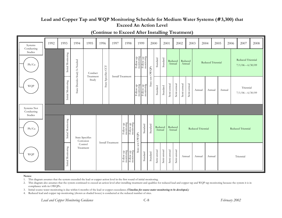# Lead and Copper Tap and WQP Monitoring Schedule for Medium Water Systems (# 3,300) that **Exceed An Action Level**

| Systems                        | 1992 | 1993 |                    | 1994                                | 1995                 | 1996                | 1997                     | 1998                                                                                                                                                                                                                                                                                                                                                                                                                                                                                                   | 1999             |                                                                                                                                               | 2000             |                   | 2001        |                   | 2002              |                   | 2003        | 2004              |                          | 2005   | 2006 | 2007                                    | 2008 |
|--------------------------------|------|------|--------------------|-------------------------------------|----------------------|---------------------|--------------------------|--------------------------------------------------------------------------------------------------------------------------------------------------------------------------------------------------------------------------------------------------------------------------------------------------------------------------------------------------------------------------------------------------------------------------------------------------------------------------------------------------------|------------------|-----------------------------------------------------------------------------------------------------------------------------------------------|------------------|-------------------|-------------|-------------------|-------------------|-------------------|-------------|-------------------|--------------------------|--------|------|-----------------------------------------|------|
| Conducting<br>Studies<br>Pb/Cu |      |      | Initial Monitoring | State Decides Study Is Needed       | Conduct<br>Treatment | State Specifies CCT |                          | <b>Install Treatment</b>                                                                                                                                                                                                                                                                                                                                                                                                                                                                               |                  | $\begin{tabular}{c} \textbf{Following}\\ \textbf{nonicoring}\\ \textbf{Following}\\ \textbf{Following}\\ \textbf{nonicoring}\\ \end{tabular}$ | State sets OWQPs | Standard          | Standard    |                   | Reduced<br>Annual | Reduced<br>Annual |             |                   | <b>Reduced Triennial</b> |        |      | Reduced Triennial<br>$7/1/06 - 6/30/09$ |      |
| <b>WQP</b>                     |      |      | Initial Monitoring |                                     | Study                |                     |                          |                                                                                                                                                                                                                                                                                                                                                                                                                                                                                                        |                  | Follow-up<br>monitoring<br>Follow-up<br>monitoring                                                                                            |                  | Standard          | Standard    | Semi-annual       | Semi-annual       | Semi-annual       | Semi-annual | Annual            | Annual                   | Annual |      | Triennial<br>$7/1/06 - 6/30/09$         |      |
| Systems Not<br>Conducting      |      |      |                    |                                     |                      |                     |                          |                                                                                                                                                                                                                                                                                                                                                                                                                                                                                                        |                  |                                                                                                                                               |                  |                   |             |                   |                   |                   |             |                   |                          |        |      |                                         |      |
| Studies<br>Pb/Cu               |      |      | Initial Monitoring | <b>State Specifies</b><br>Corrosion |                      |                     | <b>Install Treatment</b> | $\begin{tabular}{c} \multicolumn{1}{c}{\text{Following}}\\ \multicolumn{1}{c}{\text{Follow-up}}\\ \multicolumn{1}{c}{\text{Follow-up}}\\ \multicolumn{1}{c}{\text{Follow-up}}\\ \multicolumn{1}{c}{\text{Follow-up}}\\ \multicolumn{1}{c}{\text{Follow-up}}\\ \multicolumn{1}{c}{\text{Follow-up}}\\ \multicolumn{1}{c}{\text{Follow-up}}\\ \multicolumn{1}{c}{\text{Follow-up}}\\ \multicolumn{1}{c}{\text{Follow-up}}\\ \multicolumn{1}{c}{\text{Follow-up}}\\ \multicolumn{1}{c}{\text{Follow-up}}$ |                  | Standard                                                                                                                                      | Standard         | Reduced<br>Annual |             | Reduced<br>Annual |                   |                   |             | Reduced Triennial |                          |        |      | Reduced Triennial                       |      |
| <b>WQP</b>                     |      |      | Initial Monitoring | Control<br>Treatment                |                      |                     |                          | $\begin{tabular}{c} \multicolumn{1}{c}{\text{Following}}\\ \multicolumn{1}{c}{\text{Follow-up}}\\ \multicolumn{1}{c}{\text{Follow-up}}\\ \multicolumn{1}{c}{\text{Follow-up}}\\ \multicolumn{1}{c}{\text{Follow-up}}\\ \multicolumn{1}{c}{\text{m}{\text{outroup}}} \end{tabular}$                                                                                                                                                                                                                     | State sets OWQPs | Standard                                                                                                                                      | Standard         | Semi-annual       | Semi-annual | Semi-annual       | Semi-annual       | Annual            |             | Annual            | Annual                   |        |      | Triennial                               |      |

# **(Continue to Exceed After Installing Treatment)**

### **Notes:**

1. This diagram assumes that the system exceeded the lead or copper action level in the first round of initial monitoring.

2. This diagram also assumes that the system continued to exceed an action level after installing treatment and qualifies for reduced lead and copper tap and WQP tap monitoring because the system it is in compliance with its OWQPs.

3. Initial source water monitoring is due within 6 months of the lead or copper exceedance *(Timeline for source water monitoring to be developed.)*

4. Reduced lead and copper tap monitoring (shown as shaded boxes) is conducted at the reduced number of sites.

*Lead and Copper Monitoring Guidance* C-8 *February 2002*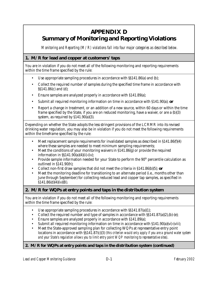# **APPENDIX D Summary of Monitoring and Reporting Violations**

 *Monitoring and Reporting (M/R) violations fall into four major categories as described below.*

# **1. M/R for lead and copper at customers' taps**

You are in violation if you do not meet all of the following monitoring and reporting requirements within the time frame specified by the rule:

- Use appropriate sampling procedures in accordance with  $\S$ \$141.86(a) and (b);
- Collect the required number of samples during the specified time frame in accordance with §§141.86(c) and (d);
- Ensure samples are analyzed properly in accordance with §141.89(a);
- Submit all required monitoring information on time in accordance with §141.90(a); *or*
- Report a change in treatment, or an addition of a new source, within 60 days or within the time frame specified by the State, if you are on reduced monitoring, have a waiver, or are a (b)(3) system, as required by §141.90(a)(3).

Depending on whether the State adopts the less stringent provisions of the LCRMR into its revised drinking water regulation, you may also be in violation if you do not meet the following requirements within the timeframe specified by the rule:

- Meet replacement sample requirements for invalidated samples as described in  $$141.86(f)(4)$ where these samples are needed to meet minimum sampling requirements;
- Meet the conditions of your monitoring waivers in §141.86(g) or provide the required information in §§141.90(a)(4)(ii)-(iv);
- Provide sample information needed for your State to perform the 90<sup>th</sup> percentile calculation as outlined in §141.90(h);
- Collect non-first draw samples that did not meet the criteria in §141.86(b)(5); *or*
- Meet the monitoring deadline for transitioning to an alternate period (i.e., months other than June through September) for collecting reduced lead and copper tap samples, as specified in  $$141.86(d)(4)(iv)(B).$

# **2. M/R for WQPs at entry points and taps in the distribution system**

You are in violation if you do not meet all of the following monitoring and reporting requirements within the time frame specified by the rule:

- Use appropriate sampling procedures in accordance with §§141.87(a)(1);
- Collect the required number and type of samples in accordance with  $\S(141.87(a)(2), (b)-(e))$ ;
- Ensure samples are analyzed properly in accordance with §141.89(a);
- Submit all required monitoring information on time in accordance with §141.90(a)(vi)-(viii);
- Meet the State-approved sampling plan for collecting WQPs at representative entry point locations in accordance with §§141.87(c)(3) *(this criterion would only apply if you are a ground water system and your State's regulation allows you to limit entry point WQP monitoring to representative sites)*.

# **2. M/R for WQPs at entry points and taps in the distribution system (continued)**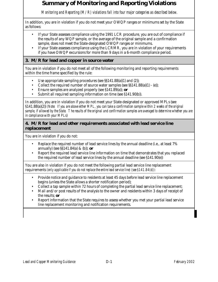# **Summary of Monitoring and Reporting Violations**

 *Monitoring and Reporting (M/R) violations fall into four major categories as described below.*

In addition, you are in violation if you do not meet your OWQP ranges or minimums set by the State as follows:

- If your State assesses compliance using the 1991 LCR procedure, you are out of compliance if the results of any WQP sample, or the average of the original sample and a confirmation sample, does not meet the State-designated OWQP ranges or minimums.
- If your State assesses compliance using the LCRMR, you are in violation of your requirements if you have OWQP excursions for more than 9 days in a 6-month compliance period.

# **3. M/R for lead and copper in source water**

You are in violation if you do not meet all of the following monitoring and reporting requirements within the time frame specified by the rule:

- Use appropriate sampling procedures (see §§141.88(a)(1) and (2));
- Collect the required number of source water samples (see  $\S(141.88(a)(1) (e))$ ;
- Ensure samples are analyzed properly (see §141.89(a)); *or*
- Submit all required sampling information on time (see §141.90(b)).

In addition, you are in violation if you do not meet your State-designated or approved MPLs (see §141.88(a)(2)) *(Note: If you are above either MPL, you can take a confirmation sample within 2 weeks of the original sample, if allowed by the State. The results of the original and confirmation samples are averaged to determine whether you are in compliance with your MPLs*)

# **4. M/R for lead and other requirements associated with lead service line replacement**

You are in violation if you do not:

- Replace the required number of lead service lines by the annual deadline (i.e., at least 7% annually) (see §§141.84(a) & (b)); *or*
- Report the required lead service line information on time that demonstrates that you replaced the required number of lead service lines by the annual deadline (see §141.90(e))

You are also in violation if you do not meet the following partial lead service line replacement requirements *(only applicable if you do not replace the entire lead service line) (see §141.84(d))*:

- Provide notice and guidance to residents at least 45 days before lead service line replacement begins (unless the State allows a shorter notification period);
- Collect a tap sample within 72 hours of completing the partial lead service line replacement;
- Mail and/or post results of the analysis to the owner and residents within 3 days of receipt of the results; *or*
- Report information that the State requires to assess whether you met your partial lead service line replacement monitoring and notification requirements.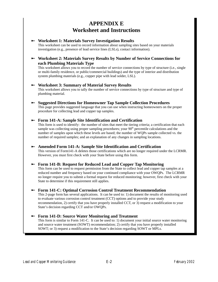# **APPENDIX E Worksheet and Instructions**

### 8 **Worksheet 1: Materials Survey Investigation Results**

This worksheet can be used to record information about sampling sites based on your materials investigation (e.g., presence of lead service lines (LSLs), contact information).

# 8 **Worksheet 2: Materials Survey Results by Number of Service Connections for each Plumbing Materials Type**

This worksheet allows you to record the number of service connections by type of structure (i.e., single or multi-family residence, or public/commercial buildings) and the type of interior and distribution system plumbing materials (e.g., copper pipe with lead solder, LSL).

## 8 **Worksheet 3: Summary of Material Survey Results**

This worksheet allows you to tally the number of service connections by type of structure and type of plumbing material.

# 8 **Suggested Directions for Homeowner Tap Sample Collection Procedures**

This page provides suggested language that you can use when instructing homeowners on the proper procedure for collecting lead and copper tap samples.

# 8 **Form 141-A: Sample Site Identification and Certification**

This form is used to identify: the number of sites that meet the tiering criteria; a certification that each sample was collecting using proper sampling procedures; your  $90<sup>th</sup>$  percentile calculations and the number of samples upon which these levels are based; the number of WQPs sample collected vs. the number of required samples; and an explanation of any changes in sampling locations.

# 8 **Amended Form 141-A: Sample Site Identification and Certification**

This version of Form141-A deletes those certifications which are no longer required under the LCRMR. However, you must first check with your State before using this form.

# 8 **Form 141-B: Request for Reduced Lead and Copper Tap Monitoring**

This form can be used to request permission from the State to collect lead and copper tap samples at a reduced number and frequency based on your continued compliance with your OWQPs. The LCRMR no longer require you to submit a formal request for reduced monitoring; however, first check with your State to determine if this requirement still applies.

# 8 **Form 141-C: Optimal Corrosion Control Treatment Recommendation**

This 2-page form has several applications. It can be used to: 1) document the results of monitoring used to evaluate various corrosion control treatment (CCT) options and to provide your study recommendation, 2) certify that you have properly installed CCT, or 3) request a modification to your State's decision regarding CCT and/or OWQPs.

# 8 **Form 141-D: Source Water Monitoring and Treatment**

This form is similar to Form 141-C. It can be used to: 1) document your initial source water monitoring and source water treatment (SOWT) recommendation; 2) certify that you have properly installed SOWT; or 3) request a modification to the State's decision regarding SOWT or MPLs.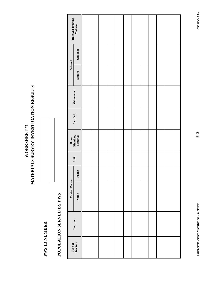# MATERIALS SURVEY INVESTIGATION RESULTS **MATERIALS SURVEY INVESTIGATION RESULTS** WORKSHEET #1 **WORKSHEET #1**

# **PWS ID NUMBER PWS ID NUMBER**



# POPULATION SERVED BY PWS **POPULATION SERVED BY PWS**

|                       | Received Training<br>Material |  |  |  |  |  |  |
|-----------------------|-------------------------------|--|--|--|--|--|--|
|                       | Optional                      |  |  |  |  |  |  |
| Selected              | Routine                       |  |  |  |  |  |  |
|                       | Volunteered                   |  |  |  |  |  |  |
|                       | Verified                      |  |  |  |  |  |  |
|                       | Home<br>Plumbing<br>Material  |  |  |  |  |  |  |
|                       | $_{\rm LSL}$                  |  |  |  |  |  |  |
|                       | Phone                         |  |  |  |  |  |  |
| <b>Contact Person</b> | Name                          |  |  |  |  |  |  |
|                       | Location                      |  |  |  |  |  |  |
|                       | Type of<br>Structure          |  |  |  |  |  |  |

Lead and Copper Monitoring Guidance February 2002 Lead and Copper Monitoring Guidance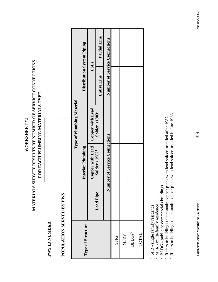**WORKSHEET#2 WORKSHEET #2**

# MATERIALS SURVEY RESULTS BY NUMBER OF SERVICE CONNECTIONS **MATERIALS SURVEY RESULTS BY NUMBER OF SERVICE CONNECTIONS**  FOR EACH PLUMBING MATERIALS TYPE **FOR EACH PLUMBING MATERIALS TYPE**

| È<br>Ċ<br>ع<br>⋍<br>Ę<br>╯             |  |
|----------------------------------------|--|
| ر<br>⊟<br>Ģ<br>$\circ$<br>ŗ<br>٦<br>֚֬ |  |

POPULATION SERVED BY PWS **POPULATION SERVED BY PWS**

|                    |                  |                               | Type of Plumbing Material           |                               |              |
|--------------------|------------------|-------------------------------|-------------------------------------|-------------------------------|--------------|
| Type of Structure  |                  | <b>Interior Plumbing</b>      |                                     | Distribution System Piping    |              |
|                    |                  |                               | Copper with Lead   Copper with Lead | LSLs                          |              |
|                    | <b>Lead Pipe</b> | Solder >1982 <sup>4</sup>     | Solder <1983 <sup>5</sup>           | <b>Entire Line</b>            | Partial Line |
|                    | Z                | lumber of Service Connections |                                     | Number of Service Connections |              |
| SFRs <sup>1</sup>  |                  |                               |                                     |                               |              |
| $\text{MFRs}^2$    |                  |                               |                                     |                               |              |
| BLDGs <sup>3</sup> |                  |                               |                                     |                               |              |
| TOTAL              |                  |                               |                                     |                               |              |

<sup>1</sup> SFR - single family residence 1 SFR - single family residence

 $^2$  MFR - multi-family residence 2 MFR - multi-family residence

<sup>3</sup> BLDG - public or commercials buildings 3 BLDG - public or commercials buildings

 $^4$  Refers to buildings that contain copper pipes with lead solder installed after 1982. Sefers to buildings that contain copper pipes with lead solder installed before 1983. 4 Refers to buildings that contain copper pipes with lead solder installed after 1982.

5 Refers to buildings that contain copper pipes with lead solder installed before 1983.

Lead and Copper Monitoring Guidance February 2002 Lead and Copper Monitoring Guidance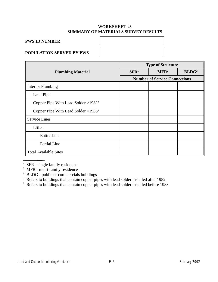# **WORKSHEET #3 SUMMARY OF MATERIALS SURVEY RESULTS**

# **PWS ID NUMBER**

# **POPULATION SERVED BY PWS**

|                                               | <b>Type of Structure</b> |                                      |                   |
|-----------------------------------------------|--------------------------|--------------------------------------|-------------------|
| <b>Plumbing Material</b>                      | $\mathbf{SFR}^1$         | MFR <sup>2</sup>                     | BLDG <sup>3</sup> |
|                                               |                          | <b>Number of Service Connections</b> |                   |
| <b>Interior Plumbing</b>                      |                          |                                      |                   |
| Lead Pipe                                     |                          |                                      |                   |
| Copper Pipe With Lead Solder $>1982^4$        |                          |                                      |                   |
| Copper Pipe With Lead Solder $\langle 1983^5$ |                          |                                      |                   |
| <b>Service Lines</b>                          |                          |                                      |                   |
| <b>LSLs</b>                                   |                          |                                      |                   |
| <b>Entire Line</b>                            |                          |                                      |                   |
| Partial Line                                  |                          |                                      |                   |
| <b>Total Available Sites</b>                  |                          |                                      |                   |

<sup>&</sup>lt;sup>1</sup> SFR - single family residence

<sup>&</sup>lt;sup>2</sup> MFR - multi-family residence

<sup>&</sup>lt;sup>3</sup> BLDG - public or commercials buildings

<sup>&</sup>lt;sup>4</sup> Refers to buildings that contain copper pipes with lead solder installed after 1982.

<sup>&</sup>lt;sup>5</sup> Refers to buildings that contain copper pipes with lead solder installed before 1983.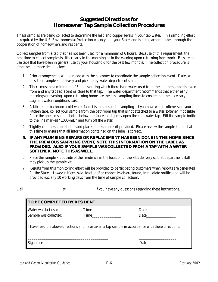# **Suggested Directions for Homeowner Tap Sample Collection Procedures**

These samples are being collected to determine the lead and copper levels in your tap water. This sampling effort is required by the U.S. Environmental Protection Agency and your State, and is being accomplished through the cooperation of homeowners and residents.

Collect samples from a tap that has not been used for a minimum of 6 hours. Because of this requirement, the best time to collect samples is either early in the morning or in the evening upon returning from work. Be sure to use taps that have been in general use by your household for the past few months. The collection procedure is described in more detail below.

- 1. Prior arrangements will be made with the customer to coordinate the sample collection event. Dates will be set for sample kit delivery and pick-up by water department staff.
- 2. There must be a minimum of 6 hours during which there is no water used from the tap the sample is taken from and any taps adjacent or close to that tap. The water department recommends that either early mornings or evenings upon returning home are the best sampling times to ensure that the necessary stagnant water conditions exist.
- 3. A kitchen or bathroom cold-water faucet is to be used for sampling. If you have water softeners on your kitchen taps, collect your sample from the bathroom tap that is not attached to a water softener, if possible. Place the opened sample bottle below the faucet and gently open the cold water tap. Fill the sample bottle to the line marked "1000-mL" and turn off the water.
- 4. Tightly cap the sample bottle and place in the sample kit provided. Please review the sample kit label at this time to ensure that all information contained on the label is correct.
- **5.** *IF ANY PLUMBING REPAIRS OR REPLACEMENT HAS BEEN DONE IN THE HOME SINCE THE PREVIOUS SAMPLING EVENT, NOTE THIS INFORMATION ON THE LABEL AS PROVIDED. ALSO IF YOUR SAMPLE WAS COLLECTED FROM A TAP WITH A WATER SOFTENER, NOTE THIS AS WELL.*
- 6. Place the sample kit outside of the residence in the location of the kit's delivery so that department staff may pick up the sample kit.
- 7. Results from this monitoring effort will be provided to participating customers when reports are generated for the State. However, if excessive lead and/or copper levels are found, immediate notification will be provided (usually 10 working days from the time of sample collection).

Call \_\_\_\_\_\_\_\_\_\_\_\_\_\_\_\_\_\_\_ at \_\_\_\_\_\_\_\_\_\_\_\_\_\_\_if you have any questions regarding these instructions.

| <b>TO BE COMPLETED BY RESIDENT</b>                                                                |              |              |  |  |
|---------------------------------------------------------------------------------------------------|--------------|--------------|--|--|
| <b>Water was last used:</b><br>Sample was collected:                                              | Time<br>Time | Date<br>Date |  |  |
| I have read the above directions and have taken a tap sample in accordance with these directions. |              |              |  |  |
| <b>Signature</b>                                                                                  |              | Date         |  |  |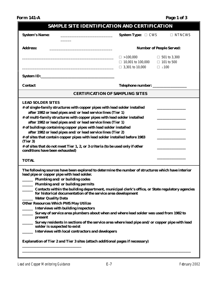**Form 141-A** Page 1 of 3

| <b>SAMPLE SITE IDENTIFICATION AND CERTIFICATION</b>                                                                                                                                                                                                                                                                                                                                                                                                                                                                                                                                                                                                                                                                                                                                                                                                                                                                                                                                                                                                                                                                                                                                                                                                                                                                                                                                                                                                                                                                                                                                                         |                                                                        |                                                             |  |  |  |  |
|-------------------------------------------------------------------------------------------------------------------------------------------------------------------------------------------------------------------------------------------------------------------------------------------------------------------------------------------------------------------------------------------------------------------------------------------------------------------------------------------------------------------------------------------------------------------------------------------------------------------------------------------------------------------------------------------------------------------------------------------------------------------------------------------------------------------------------------------------------------------------------------------------------------------------------------------------------------------------------------------------------------------------------------------------------------------------------------------------------------------------------------------------------------------------------------------------------------------------------------------------------------------------------------------------------------------------------------------------------------------------------------------------------------------------------------------------------------------------------------------------------------------------------------------------------------------------------------------------------------|------------------------------------------------------------------------|-------------------------------------------------------------|--|--|--|--|
| <b>System's Name:</b><br><u> 1980 - Johann Barbara, martin a</u>                                                                                                                                                                                                                                                                                                                                                                                                                                                                                                                                                                                                                                                                                                                                                                                                                                                                                                                                                                                                                                                                                                                                                                                                                                                                                                                                                                                                                                                                                                                                            | <b>System Type: <math>\Box</math> CWS</b>                              | $\Box$ NTNCWS                                               |  |  |  |  |
| <b>Address:</b><br><b>Number of People Served:</b>                                                                                                                                                                                                                                                                                                                                                                                                                                                                                                                                                                                                                                                                                                                                                                                                                                                                                                                                                                                                                                                                                                                                                                                                                                                                                                                                                                                                                                                                                                                                                          |                                                                        |                                                             |  |  |  |  |
|                                                                                                                                                                                                                                                                                                                                                                                                                                                                                                                                                                                                                                                                                                                                                                                                                                                                                                                                                                                                                                                                                                                                                                                                                                                                                                                                                                                                                                                                                                                                                                                                             | $\Box > 100,000$<br>$\Box$ 10,001 to 100,000<br>$\Box$ 3,301 to 10,000 | □ 501 to 3,300<br>$\Box$ 101 to 500<br>$\square$ $\leq 100$ |  |  |  |  |
|                                                                                                                                                                                                                                                                                                                                                                                                                                                                                                                                                                                                                                                                                                                                                                                                                                                                                                                                                                                                                                                                                                                                                                                                                                                                                                                                                                                                                                                                                                                                                                                                             |                                                                        |                                                             |  |  |  |  |
| <b>Contact</b>                                                                                                                                                                                                                                                                                                                                                                                                                                                                                                                                                                                                                                                                                                                                                                                                                                                                                                                                                                                                                                                                                                                                                                                                                                                                                                                                                                                                                                                                                                                                                                                              |                                                                        |                                                             |  |  |  |  |
| <b>CERTIFICATION OF SAMPLING SITES</b>                                                                                                                                                                                                                                                                                                                                                                                                                                                                                                                                                                                                                                                                                                                                                                                                                                                                                                                                                                                                                                                                                                                                                                                                                                                                                                                                                                                                                                                                                                                                                                      |                                                                        |                                                             |  |  |  |  |
| <b>LEAD SOLDER SITES</b><br># of single-family structures with copper pipes with lead solder installed<br>after 1982 or lead pipes and/or lead service lines (Tier 1)<br># of multi-family structures with copper pipes with lead solder installed<br>after 1982 or lead pipes and/or lead service lines (Tier 1)<br># of buildings containing copper pipes with lead solder installed<br>after 1982 or lead pipes and/or lead service lines (Tier 2)<br># of sites that contain copper pipes with lead solder installed before 1983<br>(Tier 3)<br># of sites that do not meet Tier 1, 2, or 3 criteria (to be used only if other<br>conditions have been exhausted)<br><b>TOTAL</b><br>The following sources have been explored to determine the number of structures which have interior<br>lead pipe or copper pipe with lead solder.<br>Plumbing and/or building codes<br>____ Plumbing and/or building permits<br>Contacts within the building department, municipal clerk's office, or State regulatory agencies<br>for historical documentation of the service area development<br><b>Water Quality Data</b><br><b>Other Resources Which PWS May Utilize</b><br><b>Interviews with building inspectors</b><br>Survey of service area plumbers about when and where lead solder was used from 1982 to<br>present<br>Survey residents in sections of the service area where lead pipe and/or copper pipe with lead<br>solder is suspected to exist<br><b>Interviews with local contractors and developers</b><br><b>Explanation of Tier 2 and Tier 3 sites (attach additional pages if necessary)</b> |                                                                        |                                                             |  |  |  |  |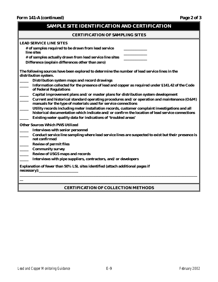| SAMPLE SITE IDENTIFICATION AND CERTIFICATION                                                                                                                                                                                                                                                                                                                                                                                                                                        |  |  |  |  |
|-------------------------------------------------------------------------------------------------------------------------------------------------------------------------------------------------------------------------------------------------------------------------------------------------------------------------------------------------------------------------------------------------------------------------------------------------------------------------------------|--|--|--|--|
| <b>CERTIFICATION OF SAMPLING SITES</b>                                                                                                                                                                                                                                                                                                                                                                                                                                              |  |  |  |  |
| <b>LEAD SERVICE LINE SITES</b><br># of samples required to be drawn from lead service<br>line sites<br># of samples actually drawn from lead service line sites<br>Difference (explain differences other than zero)                                                                                                                                                                                                                                                                 |  |  |  |  |
| The following sources have been explored to determine the number of lead service lines in the<br>distribution system.<br>Distribution system maps and record drawings<br>Information collected for the presence of lead and copper as required under §141.42 of the Code<br>of Federal Regulations<br>Capital improvement plans and/or master plans for distribution system development                                                                                             |  |  |  |  |
| Current and historical standard operating procedures and/or operation and maintenance (O&M)<br>manuals for the type of materials used for service connections<br>Utility records including meter installation records, customer complaint investigations and all<br>historical documentation which indicate and/or confirm the location of lead service connections<br>Existing water quality data for indications of 'troubled areas'                                              |  |  |  |  |
| <b>Other Sources Which PWS Utilized</b><br><b>Interviews with senior personnel</b><br>Conduct service line sampling where lead service lines are suspected to exist but their presence is<br>not confirmed<br><b>Review of permit files</b><br><b>Community survey</b><br><b>Review of USGS maps and records</b><br>Interviews with pipe suppliers, contractors, and/or developers<br>Explanation of fewer than 50% LSL sites identified (attach additional pages if<br>necessary): |  |  |  |  |
|                                                                                                                                                                                                                                                                                                                                                                                                                                                                                     |  |  |  |  |

# **CERTIFICATION OF COLLECTION METHODS**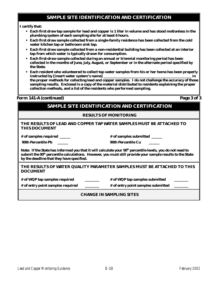# **SAMPLE SITE IDENTIFICATION AND CERTIFICATION**

### **I certify that:**

- **Each first draw tap sample for lead and copper is 1 liter in volume and has stood motionless in the plumbing system of each sampling site for at least 6 hours.**
- **Each first draw sample collected from a single-family residence has been collected from the cold water kitchen tap or bathroom sink tap.**
- **Each first draw sample collected from a non-residential building has been collected at an interior tap from which water is typically drawn for consumption.**
- **Each first-draw sample collected during an annual or triennial monitoring period has been collected in the months of June, July, August, or September or in the alternate period specified by the State.**
- **Each resident who volunteered to collect tap water samples from his or her home has been properly instructed by [insert water system's name] \_\_\_\_\_\_\_\_\_\_\_\_\_\_\_\_\_\_\_\_\_\_\_\_\_\_\_\_\_\_\_\_\_\_\_\_\_\_\_\_\_\_\_\_\_\_\_\_\_ in the proper methods for collecting lead and copper samples. I do not challenge the accuracy of those sampling results. Enclosed is a copy of the material distributed to residents explaining the proper collection methods, and a list of the residents who performed sampling.**

### **Form 141-A (continued) Page 3 of 3**

# **SAMPLE SITE IDENTIFICATION AND CERTIFICATION**

### **RESULTS OF MONITORING**

### **THE RESULTS OF LEAD AND COPPER TAP WATER SAMPLES MUST BE ATTACHED TO THIS DOCUMENT**

**# of samples required \_\_\_\_\_\_**

**# of samples submitted \_\_\_\_\_\_**

 **90th Percentile Pb \_\_\_\_\_\_** 

| <b>90th Percentile Cu</b> |  |
|---------------------------|--|
|---------------------------|--|

*Note: If the State has informed you that it will calculate your 90<sup>th</sup> percentile levels, you do not need to submit the 90th percentile calculations. However, you must still provide your sample results to the State by the deadline that they have specified.*

### **THE RESULTS OF WATER QUALITY PARAMETER SAMPLES MUST BE ATTACHED TO THIS DOCUMENT**

**# of WQP tap samples required \_\_\_\_\_\_\_\_**

**# of WQP tap samples submitted \_\_\_\_\_\_\_\_**

**# of entry point samples required \_\_\_\_\_\_\_\_** 

**# of entry point samples submitted \_\_\_\_\_\_\_\_**

### **CHANGE IN SAMPLING SITES**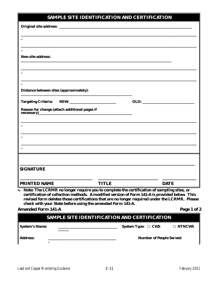# **SAMPLE SITE IDENTIFICATION AND CERTIFICATION**

| <b>New site address:</b>                                                                                                                                                                                                                                              |              |                                                                                                                                                                                                |
|-----------------------------------------------------------------------------------------------------------------------------------------------------------------------------------------------------------------------------------------------------------------------|--------------|------------------------------------------------------------------------------------------------------------------------------------------------------------------------------------------------|
|                                                                                                                                                                                                                                                                       |              |                                                                                                                                                                                                |
|                                                                                                                                                                                                                                                                       |              |                                                                                                                                                                                                |
|                                                                                                                                                                                                                                                                       |              |                                                                                                                                                                                                |
|                                                                                                                                                                                                                                                                       |              |                                                                                                                                                                                                |
| <b>Distance between sites (approximately):</b>                                                                                                                                                                                                                        |              |                                                                                                                                                                                                |
| Targeting Criteria: NEW: _________________________                                                                                                                                                                                                                    |              |                                                                                                                                                                                                |
| Reason for change (attach additional pages if                                                                                                                                                                                                                         |              |                                                                                                                                                                                                |
| $\frac{1}{1}$ and $\frac{1}{2}$ are contained a set of $\frac{1}{2}$ and $\frac{1}{2}$ are contained a set of $\frac{1}{2}$ and $\frac{1}{2}$ are contained a set of $\frac{1}{2}$ and $\frac{1}{2}$ are contained as a set of $\frac{1}{2}$ and $\frac{1}{2}$ are co |              |                                                                                                                                                                                                |
|                                                                                                                                                                                                                                                                       |              |                                                                                                                                                                                                |
|                                                                                                                                                                                                                                                                       |              |                                                                                                                                                                                                |
|                                                                                                                                                                                                                                                                       |              |                                                                                                                                                                                                |
|                                                                                                                                                                                                                                                                       |              |                                                                                                                                                                                                |
|                                                                                                                                                                                                                                                                       |              |                                                                                                                                                                                                |
|                                                                                                                                                                                                                                                                       |              |                                                                                                                                                                                                |
|                                                                                                                                                                                                                                                                       |              |                                                                                                                                                                                                |
| <b>SIGNATURE</b>                                                                                                                                                                                                                                                      |              |                                                                                                                                                                                                |
|                                                                                                                                                                                                                                                                       |              |                                                                                                                                                                                                |
| <b>PRINTED NAME</b>                                                                                                                                                                                                                                                   | <b>TITLE</b> | <b>DATE</b>                                                                                                                                                                                    |
|                                                                                                                                                                                                                                                                       |              | <b>Note: The LCRMR no longer require you to complete the certification of sampling sites, or</b>                                                                                               |
|                                                                                                                                                                                                                                                                       |              | certification of collection methods. A modified version of Form 141-A is provided below. This<br>revised form deletes those certifications that are no longer required under the LCRMR. Please |
|                                                                                                                                                                                                                                                                       |              |                                                                                                                                                                                                |
| check with your State before using the amended Form 141-A.                                                                                                                                                                                                            |              |                                                                                                                                                                                                |

|  |  | <b>SAMPLE SITE IDENTIFICATION AND CERTIFICATION</b> |  |  |
|--|--|-----------------------------------------------------|--|--|
|--|--|-----------------------------------------------------|--|--|

| <b>System's Name:</b> | System Type: $\Box$ CWS         | $\Box$ NTNCWS |
|-----------------------|---------------------------------|---------------|
| <b>Address:</b>       | <b>Number of People Served:</b> |               |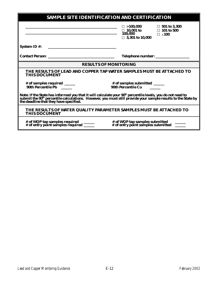| <b>SAMPLE SITE IDENTIFICATION AND CERTIFICATION</b>                                                                                                                                                                                                      |                                                                                                                             |  |  |
|----------------------------------------------------------------------------------------------------------------------------------------------------------------------------------------------------------------------------------------------------------|-----------------------------------------------------------------------------------------------------------------------------|--|--|
|                                                                                                                                                                                                                                                          | $\Box > 100,000$ $\Box 501$ to 3,300<br>$\Box$ 10,001 to $\Box$ 101 to 500<br>100,000 $\Box$ ≤100<br>$\Box$ 3,301 to 10,000 |  |  |
| <b>System ID#:</b>                                                                                                                                                                                                                                       |                                                                                                                             |  |  |
|                                                                                                                                                                                                                                                          |                                                                                                                             |  |  |
|                                                                                                                                                                                                                                                          | <b>RESULTS OF MONITORING</b>                                                                                                |  |  |
| THE RESULTS OF LEAD AND COPPER TAP WATER SAMPLES MUST BE ATTACHED TO<br><b>THIS DOCUMENT</b>                                                                                                                                                             |                                                                                                                             |  |  |
| # of samples required _____<br><b>90th Percentile Pb</b>                                                                                                                                                                                                 | # of samples submitted _____<br><b>90th Percentile Cu</b>                                                                   |  |  |
| Note: If the State has informed you that it will calculate your 90 <sup>th</sup> percentile levels, you do not need to<br>submit the 90 <sup>th</sup> percentile calculations.  However, you must still provide your sample results to the State by<br>t |                                                                                                                             |  |  |
| THE RESULTS OF WATER QUALITY PARAMETER SAMPLES MUST BE ATTACHED TO<br><b>THIS DOCUMENT</b>                                                                                                                                                               |                                                                                                                             |  |  |
| # of WQP tap samples required _______<br># of entry point samples required ______                                                                                                                                                                        | # of WQP tap samples submitted<br># of entry point samples submitted                                                        |  |  |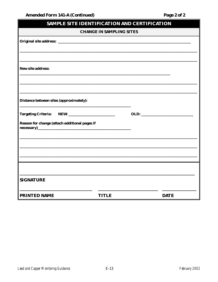| <b>SAMPLE SITE IDENTIFICATION AND CERTIFICATION</b>         |              |             |  |  |
|-------------------------------------------------------------|--------------|-------------|--|--|
| <b>CHANGE IN SAMPLING SITES</b>                             |              |             |  |  |
|                                                             |              |             |  |  |
|                                                             |              |             |  |  |
|                                                             |              |             |  |  |
| <b>New site address:</b>                                    |              |             |  |  |
|                                                             |              |             |  |  |
|                                                             |              |             |  |  |
| <b>Distance between sites (approximately):</b>              |              |             |  |  |
|                                                             |              |             |  |  |
| <b>Targeting Criteria:</b>                                  |              | <b>OLD:</b> |  |  |
| Reason for change (attach additional pages if<br>necessary) |              |             |  |  |
|                                                             |              |             |  |  |
|                                                             |              |             |  |  |
|                                                             |              |             |  |  |
|                                                             |              |             |  |  |
|                                                             |              |             |  |  |
| <b>SIGNATURE</b>                                            |              |             |  |  |
| <b>PRINTED NAME</b>                                         | <b>TITLE</b> | <b>DATE</b> |  |  |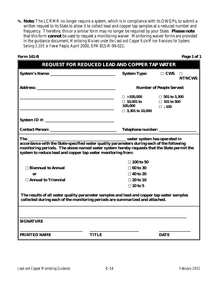O **Note:** The LCRMR no longer require a system, which is in compliance with its OWQPs, to submit a written request to its State to allow it to collect lead and copper tap samples at a reduced number and frequency. Therefore, this or a similar form may no longer be required by your State. **Please note** that this form *cannot* be used to request a monitoring waiver. Monitoring waiver forms are provided in the guidance document, *Monitoring Waivers under the Lead and Copper Rule Minor Revisions for Systems Serving 3,300 or Fewer People,* April 2000, EPA 815-R-99-021.

| <b>Form 141-B</b>                                                                                                                                                                                                                                                                                                                                                                                                                                                                              | <b>REQUEST FOR REDUCED LEAD AND COPPER TAP WATER</b> |                                                                              |                                                       |                         |  |  |
|------------------------------------------------------------------------------------------------------------------------------------------------------------------------------------------------------------------------------------------------------------------------------------------------------------------------------------------------------------------------------------------------------------------------------------------------------------------------------------------------|------------------------------------------------------|------------------------------------------------------------------------------|-------------------------------------------------------|-------------------------|--|--|
|                                                                                                                                                                                                                                                                                                                                                                                                                                                                                                |                                                      | <b>System Type:</b>                                                          | $\Box$ CWS                                            | $\Box$<br><b>NTNCWS</b> |  |  |
|                                                                                                                                                                                                                                                                                                                                                                                                                                                                                                |                                                      | <b>Number of People Served:</b>                                              |                                                       |                         |  |  |
|                                                                                                                                                                                                                                                                                                                                                                                                                                                                                                |                                                      | $\square > 100,000$<br>$\Box$ 10,001 to<br>100,000<br>$\Box$ 3,301 to 10,000 | □ 501 to 3,300<br>$\Box$ 101 to 500<br>$\square$ <100 |                         |  |  |
|                                                                                                                                                                                                                                                                                                                                                                                                                                                                                                |                                                      |                                                                              |                                                       |                         |  |  |
|                                                                                                                                                                                                                                                                                                                                                                                                                                                                                                |                                                      | Telephone number: _______________                                            |                                                       |                         |  |  |
| The <b>the contract of the contract of the contract of the contract of the contract of the contract of the contract of the contract of the contract of the contract of the contract of the contract of the contract of the contr</b><br>accordance with the State-specified water quality parameters during each of the following<br>monitoring periods. The above named water system hereby requests that the State permit the<br>system to reduce lead and copper tap water monitoring from: |                                                      |                                                                              |                                                       |                         |  |  |
|                                                                                                                                                                                                                                                                                                                                                                                                                                                                                                |                                                      | $\square$ 100 to 50                                                          |                                                       |                         |  |  |
| □ Biannual to Annual                                                                                                                                                                                                                                                                                                                                                                                                                                                                           |                                                      | $\Box$ 60 to 30                                                              |                                                       |                         |  |  |
| 0r                                                                                                                                                                                                                                                                                                                                                                                                                                                                                             |                                                      | $\Box$ 40 to 20                                                              |                                                       |                         |  |  |
| $\Box$ Annual to Triennial                                                                                                                                                                                                                                                                                                                                                                                                                                                                     |                                                      | $\square$ 20 to 10                                                           |                                                       |                         |  |  |
|                                                                                                                                                                                                                                                                                                                                                                                                                                                                                                |                                                      | $\Box$ 10 to 5                                                               |                                                       |                         |  |  |
| The results of all water quality parameter samples and lead and copper tap water samples<br>collected during each of the monitoring periods are summarized and attached.                                                                                                                                                                                                                                                                                                                       |                                                      |                                                                              |                                                       |                         |  |  |
| <b>SIGNATURE</b>                                                                                                                                                                                                                                                                                                                                                                                                                                                                               |                                                      |                                                                              |                                                       |                         |  |  |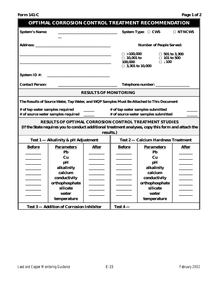| <b>OPTIMAL CORROSION CONTROL TREATMENT RECOMMENDATION</b> |                                                                                                                                                                                  |                              |                                                                                                                                    |                                                                                                                     |               |
|-----------------------------------------------------------|----------------------------------------------------------------------------------------------------------------------------------------------------------------------------------|------------------------------|------------------------------------------------------------------------------------------------------------------------------------|---------------------------------------------------------------------------------------------------------------------|---------------|
| <b>System's Name:</b>                                     |                                                                                                                                                                                  |                              |                                                                                                                                    | System Type: $\Box$ CWS                                                                                             | $\Box$ NTNCWS |
| <b>Address:</b>                                           |                                                                                                                                                                                  |                              |                                                                                                                                    | <b>Number of People Served:</b>                                                                                     |               |
|                                                           |                                                                                                                                                                                  |                              | $\Box > 100,000$<br>□ 501 to 3,300<br>$\Box$ 101 to 500<br>$\Box$ 10,001 to<br>$\square$ <100<br>100,000<br>$\Box$ 3,301 to 10,000 |                                                                                                                     |               |
| <b>System ID#:</b>                                        |                                                                                                                                                                                  |                              |                                                                                                                                    |                                                                                                                     |               |
| <b>Contact Person:</b>                                    |                                                                                                                                                                                  |                              |                                                                                                                                    | Telephone number: _____________                                                                                     |               |
|                                                           |                                                                                                                                                                                  | <b>RESULTS OF MONITORING</b> |                                                                                                                                    |                                                                                                                     |               |
|                                                           | The Results of Source Water, Tap Water, and WQP Samples Must Be Attached to This Document                                                                                        |                              |                                                                                                                                    |                                                                                                                     |               |
| # of tap water samples required                           | # of source water samples required _____                                                                                                                                         |                              |                                                                                                                                    | # of tap water samples submitted<br># of source water samples submitted                                             |               |
|                                                           | <b>RESULTS OF OPTIMAL CORROSION CONTROL TREATMENT STUDIES</b><br>(If the State requires you to conduct additional treatment analyses, copy this form and attach the<br>results.) |                              |                                                                                                                                    |                                                                                                                     |               |
|                                                           | <b>Test 1 – Alkalinity &amp; pH Adjustment</b>                                                                                                                                   |                              |                                                                                                                                    | <b>Test 2 – Calcium Hardness Treatment</b>                                                                          |               |
| <b>Before</b>                                             | <b>Parameters</b><br>Pb<br>Cu<br>pH<br>alkalinity<br>calcium<br>conductivity<br>orthophosphate<br>silicate                                                                       | <b>After</b>                 | <b>Before</b>                                                                                                                      | <b>Parameters</b><br><b>Pb</b><br>$cu$<br>pН<br>alkalinity<br>calcium<br>conductivity<br>orthophosphate<br>silicate | <b>After</b>  |
|                                                           | water<br>temperature                                                                                                                                                             |                              |                                                                                                                                    | water<br>temperature                                                                                                |               |
|                                                           | <b>Test 3-Addition of Corrosion Inhibitor</b>                                                                                                                                    |                              | Test $4-$                                                                                                                          |                                                                                                                     |               |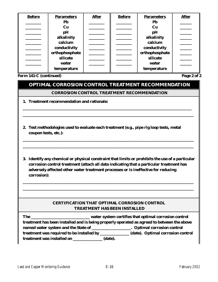| <b>Before</b> | <b>Parameters</b> | <b>After</b> | <b>Before</b> | <b>Parameters</b> | <b>After</b> |
|---------------|-------------------|--------------|---------------|-------------------|--------------|
|               | Pb                |              |               | Pb                |              |
|               | $cu$              |              |               | Cu                |              |
|               | pH                |              |               | pH                |              |
|               | alkalinity        |              |               | alkalinity        |              |
|               | calcium           |              |               | calcium           |              |
|               | conductivity      |              |               | conductivity      |              |
|               | orthophosphate    |              |               | orthophosphate    |              |
|               | silicate          |              |               | silicate          |              |
|               | water             |              |               | water             |              |
|               | temperature       |              |               | temperature       |              |

**Form 141-C (continued)** Page 2 of 2

# **OPTIMAL CORROSION CONTROL TREATMENT RECOMMENDATION**

### **CORROSION CONTROL TREATMENT RECOMMENDATION**

**\_\_\_\_\_\_\_\_\_\_\_\_\_\_\_\_\_\_\_\_\_\_\_\_\_\_\_\_\_\_\_\_\_\_\_\_\_\_\_\_\_\_\_\_\_\_\_\_\_\_\_\_\_\_\_\_\_\_\_\_\_\_\_\_\_\_\_\_\_\_\_\_\_\_\_\_\_\_\_\_\_\_\_\_\_\_ \_\_\_\_\_\_\_\_\_\_\_\_\_\_\_\_\_\_\_\_\_\_\_\_\_\_\_\_\_\_\_\_\_\_\_\_\_\_\_\_\_\_\_\_\_\_\_\_\_\_\_\_\_\_\_\_\_\_\_\_\_\_\_\_\_\_\_\_\_\_\_\_\_\_\_\_\_\_\_\_\_\_\_\_\_\_\_**

- **1. Treatment recommendation and rationale:**
- **2. Test methodologies used to evaluate each treatment (e.g., pipe rig loop tests, metal coupon tests, etc.):**
- **3. Identify any chemical or physical constraint that limits or prohibits the use of a particular corrosion control treatment (attach all data indicating that a particular treatment has adversely affected other water treatment processes or is ineffective for reducing corrosion):**

**\_\_\_\_\_\_\_\_\_\_\_\_\_\_\_\_\_\_\_\_\_\_\_\_\_\_\_\_\_\_\_\_\_\_\_\_\_\_\_\_\_\_\_\_\_\_\_\_\_\_\_\_\_\_\_\_\_\_\_\_\_\_\_\_\_\_\_\_\_\_\_\_\_\_\_\_\_\_\_\_\_\_\_\_\_\_\_ \_\_\_\_\_\_\_\_\_\_\_\_\_\_\_\_\_\_\_\_\_\_\_\_\_\_\_\_\_\_\_\_\_\_\_\_\_\_\_\_\_\_\_\_\_\_\_\_\_\_\_\_\_\_\_\_\_\_\_\_\_\_\_\_\_\_\_\_\_\_\_\_\_\_\_\_\_\_\_\_\_\_\_\_\_\_\_**

**\_\_\_\_\_\_\_\_\_\_\_\_\_\_\_\_\_\_\_\_\_\_\_\_\_\_\_\_\_\_\_\_\_\_\_\_\_\_\_\_\_\_\_\_\_\_\_\_\_\_\_\_\_\_\_\_\_\_\_\_\_\_\_\_\_\_\_\_\_\_\_\_\_\_\_\_\_\_\_\_\_\_\_\_\_\_\_ \_\_\_\_\_\_\_\_\_\_\_\_\_\_\_\_\_\_\_\_\_\_\_\_\_\_\_\_\_\_\_\_\_\_\_\_\_\_\_\_\_\_\_\_\_\_\_\_\_\_\_\_\_\_\_\_\_\_\_\_\_\_\_\_\_\_\_\_\_\_\_\_\_\_\_\_\_\_\_\_\_\_\_\_\_\_\_** 

## **CERTIFICATION THAT OPTIMAL CORROSION CONTROL TREATMENT HAS BEEN INSTALLED**

| The                                                                                        | water system certifies that optimal corrosion control                                 |  |  |  |
|--------------------------------------------------------------------------------------------|---------------------------------------------------------------------------------------|--|--|--|
| treatment has been installed and is being properly operated as agreed to between the above |                                                                                       |  |  |  |
|                                                                                            | named water system and the State of ______________________. Optimal corrosion control |  |  |  |
| treatment was required to be installed by __________                                       | (date). Optimal corrosion control                                                     |  |  |  |
| <b>treatment was installed on</b>                                                          | (date).                                                                               |  |  |  |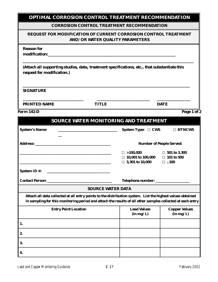| <b>OPTIMAL CORROSION CONTROL TREATMENT RECOMMENDATION</b>                                                                                                                                                                |                                                                                                                      |                                                                                             |                                   |
|--------------------------------------------------------------------------------------------------------------------------------------------------------------------------------------------------------------------------|----------------------------------------------------------------------------------------------------------------------|---------------------------------------------------------------------------------------------|-----------------------------------|
|                                                                                                                                                                                                                          |                                                                                                                      | <b>CORROSION CONTROL TREATMENT RECOMMENDATION</b>                                           |                                   |
| REQUEST FOR MODIFICATION OF CURRENT CORROSION CONTROL TREATMENT                                                                                                                                                          | <b>AND/OR WATER QUALITY PARAMETERS</b>                                                                               |                                                                                             |                                   |
| <b>Reason for</b>                                                                                                                                                                                                        |                                                                                                                      |                                                                                             |                                   |
| (Attach all supporting studies, data, treatment specifications, etc., that substantiate this<br>request for modification.)                                                                                               |                                                                                                                      |                                                                                             |                                   |
| <b>SIGNATURE</b>                                                                                                                                                                                                         |                                                                                                                      |                                                                                             |                                   |
| <b>PRINTED NAME</b>                                                                                                                                                                                                      | <b>TITLE</b>                                                                                                         |                                                                                             | <b>DATE</b>                       |
| <b>Form 141-D</b>                                                                                                                                                                                                        |                                                                                                                      |                                                                                             | Page 1 of 2                       |
|                                                                                                                                                                                                                          |                                                                                                                      | SOURCE WATER MONITORING AND TREATMENT                                                       |                                   |
| <b>System's Name:</b>                                                                                                                                                                                                    |                                                                                                                      | System Type: $\Box$ CWS                                                                     | $\Box$ NTNCWS                     |
| <b>Address:</b>                                                                                                                                                                                                          |                                                                                                                      |                                                                                             | <b>Number of People Served:</b>   |
|                                                                                                                                                                                                                          |                                                                                                                      | $\square > 100,000$<br>$\Box$ 10,001 to 100,000 $\Box$ 101 to 500<br>$\Box$ 3,301 to 10,000 | □ 501 to 3,300<br>$\square$ <100  |
| <b>System ID #:</b>                                                                                                                                                                                                      |                                                                                                                      |                                                                                             |                                   |
| <b>Contact Person:</b>                                                                                                                                                                                                   | <u> 1980 - Johann Stein, mars an deutscher Stein und der Stein und der Stein und der Stein und der Stein und der</u> | Telephone number: _________                                                                 |                                   |
|                                                                                                                                                                                                                          | <b>SOURCE WATER DATA</b>                                                                                             |                                                                                             |                                   |
| Attach all data collected at all entry points to the distribution system. List the highest values obtained<br>in sampling for this monitoring period and attach the results of all other samples collected at each entry |                                                                                                                      |                                                                                             |                                   |
| <b>Entry Point Location</b>                                                                                                                                                                                              |                                                                                                                      | <b>Lead Values</b><br>(in mg/L)                                                             | <b>Copper Values</b><br>(in mg/L) |
| 1.                                                                                                                                                                                                                       |                                                                                                                      |                                                                                             |                                   |
| 2.                                                                                                                                                                                                                       |                                                                                                                      |                                                                                             |                                   |

**3.**

**4.**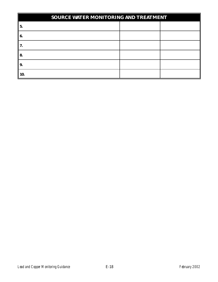| SOURCE WATER MONITORING AND TREATMENT |  |  |  |  |
|---------------------------------------|--|--|--|--|
| 5.                                    |  |  |  |  |
| 6.                                    |  |  |  |  |
| 7.                                    |  |  |  |  |
| 8.                                    |  |  |  |  |
| 9.                                    |  |  |  |  |
| 10.                                   |  |  |  |  |